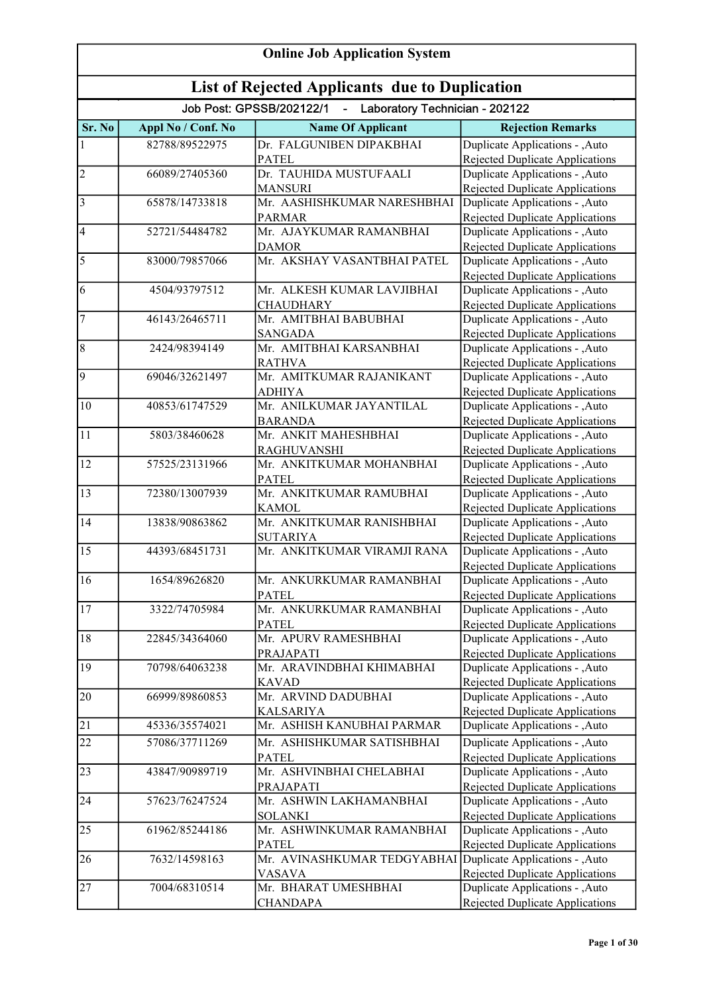| <b>Online Job Application System</b>                  |                    |                                                              |                                                                           |
|-------------------------------------------------------|--------------------|--------------------------------------------------------------|---------------------------------------------------------------------------|
| <b>List of Rejected Applicants due to Duplication</b> |                    |                                                              |                                                                           |
|                                                       |                    | Job Post: GPSSB/202122/1<br>- Laboratory Technician - 202122 |                                                                           |
| Sr. No                                                | Appl No / Conf. No | <b>Name Of Applicant</b>                                     | <b>Rejection Remarks</b>                                                  |
| $\mathbf{1}$                                          | 82788/89522975     | Dr. FALGUNIBEN DIPAKBHAI                                     | Duplicate Applications - , Auto                                           |
|                                                       |                    | <b>PATEL</b>                                                 | Rejected Duplicate Applications                                           |
| $\overline{2}$                                        | 66089/27405360     | Dr. TAUHIDA MUSTUFAALI                                       | Duplicate Applications - ,Auto                                            |
|                                                       |                    | <b>MANSURI</b>                                               | Rejected Duplicate Applications                                           |
| $\overline{3}$                                        | 65878/14733818     | Mr. AASHISHKUMAR NARESHBHAI                                  | Duplicate Applications - , Auto                                           |
|                                                       |                    | <b>PARMAR</b>                                                | <b>Rejected Duplicate Applications</b>                                    |
| $\vert 4$                                             | 52721/54484782     | Mr. AJAYKUMAR RAMANBHAI                                      | Duplicate Applications - , Auto                                           |
| $\overline{5}$                                        | 83000/79857066     | <b>DAMOR</b><br>Mr. AKSHAY VASANTBHAI PATEL                  | Rejected Duplicate Applications                                           |
|                                                       |                    |                                                              | Duplicate Applications - ,Auto<br>Rejected Duplicate Applications         |
| 6                                                     | 4504/93797512      | Mr. ALKESH KUMAR LAVJIBHAI                                   | Duplicate Applications - , Auto                                           |
|                                                       |                    | <b>CHAUDHARY</b>                                             | Rejected Duplicate Applications                                           |
| $\boldsymbol{7}$                                      | 46143/26465711     | Mr. AMITBHAI BABUBHAI                                        | Duplicate Applications - , Auto                                           |
|                                                       |                    | <b>SANGADA</b>                                               | <b>Rejected Duplicate Applications</b>                                    |
| $\overline{8}$                                        | 2424/98394149      | Mr. AMITBHAI KARSANBHAI                                      | Duplicate Applications - , Auto                                           |
|                                                       |                    | <b>RATHVA</b>                                                | Rejected Duplicate Applications                                           |
| $\vert 9 \vert$                                       | 69046/32621497     | Mr. AMITKUMAR RAJANIKANT                                     | Duplicate Applications - , Auto                                           |
|                                                       |                    | <b>ADHIYA</b>                                                | Rejected Duplicate Applications                                           |
| 10                                                    | 40853/61747529     | Mr. ANILKUMAR JAYANTILAL                                     | Duplicate Applications - , Auto                                           |
|                                                       |                    | <b>BARANDA</b>                                               | Rejected Duplicate Applications                                           |
| 11                                                    | 5803/38460628      | Mr. ANKIT MAHESHBHAI                                         | Duplicate Applications - ,Auto                                            |
|                                                       |                    | <b>RAGHUVANSHI</b>                                           | Rejected Duplicate Applications                                           |
| 12                                                    | 57525/23131966     | Mr. ANKITKUMAR MOHANBHAI                                     | Duplicate Applications - , Auto                                           |
|                                                       |                    | <b>PATEL</b>                                                 | <b>Rejected Duplicate Applications</b>                                    |
| 13                                                    | 72380/13007939     | Mr. ANKITKUMAR RAMUBHAI                                      | Duplicate Applications - ,Auto                                            |
|                                                       |                    | <b>KAMOL</b>                                                 | Rejected Duplicate Applications                                           |
| 14                                                    | 13838/90863862     | Mr. ANKITKUMAR RANISHBHAI                                    | Duplicate Applications - ,Auto                                            |
| 15                                                    | 44393/68451731     | <b>SUTARIYA</b><br>Mr. ANKITKUMAR VIRAMJI RANA               | <b>Rejected Duplicate Applications</b><br>Duplicate Applications - , Auto |
|                                                       |                    |                                                              | <b>Rejected Duplicate Applications</b>                                    |
| 16                                                    | 1654/89626820      | Mr. ANKURKUMAR RAMANBHAI                                     | Duplicate Applications - , Auto                                           |
|                                                       |                    | <b>PATEL</b>                                                 | Rejected Duplicate Applications                                           |
| 17                                                    | 3322/74705984      | Mr. ANKURKUMAR RAMANBHAI                                     | Duplicate Applications - , Auto                                           |
|                                                       |                    | <b>PATEL</b>                                                 | Rejected Duplicate Applications                                           |
| 18                                                    | 22845/34364060     | Mr. APURV RAMESHBHAI                                         | Duplicate Applications - , Auto                                           |
|                                                       |                    | PRAJAPATI                                                    | Rejected Duplicate Applications                                           |
| 19                                                    | 70798/64063238     | Mr. ARAVINDBHAI KHIMABHAI                                    | Duplicate Applications - , Auto                                           |
|                                                       |                    | <b>KAVAD</b>                                                 | Rejected Duplicate Applications                                           |
| 20                                                    | 66999/89860853     | Mr. ARVIND DADUBHAI                                          | Duplicate Applications - , Auto                                           |
|                                                       |                    | <b>KALSARIYA</b>                                             | <b>Rejected Duplicate Applications</b>                                    |
| 21                                                    | 45336/35574021     | Mr. ASHISH KANUBHAI PARMAR                                   | Duplicate Applications - , Auto                                           |
| 22                                                    | 57086/37711269     | Mr. ASHISHKUMAR SATISHBHAI                                   | Duplicate Applications - ,Auto                                            |
|                                                       |                    | <b>PATEL</b>                                                 | Rejected Duplicate Applications                                           |
| 23                                                    | 43847/90989719     | Mr. ASHVINBHAI CHELABHAI                                     | Duplicate Applications - , Auto                                           |
|                                                       |                    | PRAJAPATI                                                    | <b>Rejected Duplicate Applications</b>                                    |
| $\overline{24}$                                       | 57623/76247524     | Mr. ASHWIN LAKHAMANBHAI                                      | Duplicate Applications - ,Auto                                            |
|                                                       |                    | <b>SOLANKI</b>                                               | Rejected Duplicate Applications                                           |
| 25                                                    | 61962/85244186     | Mr. ASHWINKUMAR RAMANBHAI                                    | Duplicate Applications - , Auto                                           |
| 26                                                    |                    | <b>PATEL</b>                                                 | Rejected Duplicate Applications                                           |
|                                                       | 7632/14598163      | Mr. AVINASHKUMAR TEDGYABHAI<br><b>VASAVA</b>                 | Duplicate Applications - , Auto                                           |
| 27                                                    | 7004/68310514      | Mr. BHARAT UMESHBHAI                                         | Rejected Duplicate Applications<br>Duplicate Applications - , Auto        |
|                                                       |                    | <b>CHANDAPA</b>                                              | <b>Rejected Duplicate Applications</b>                                    |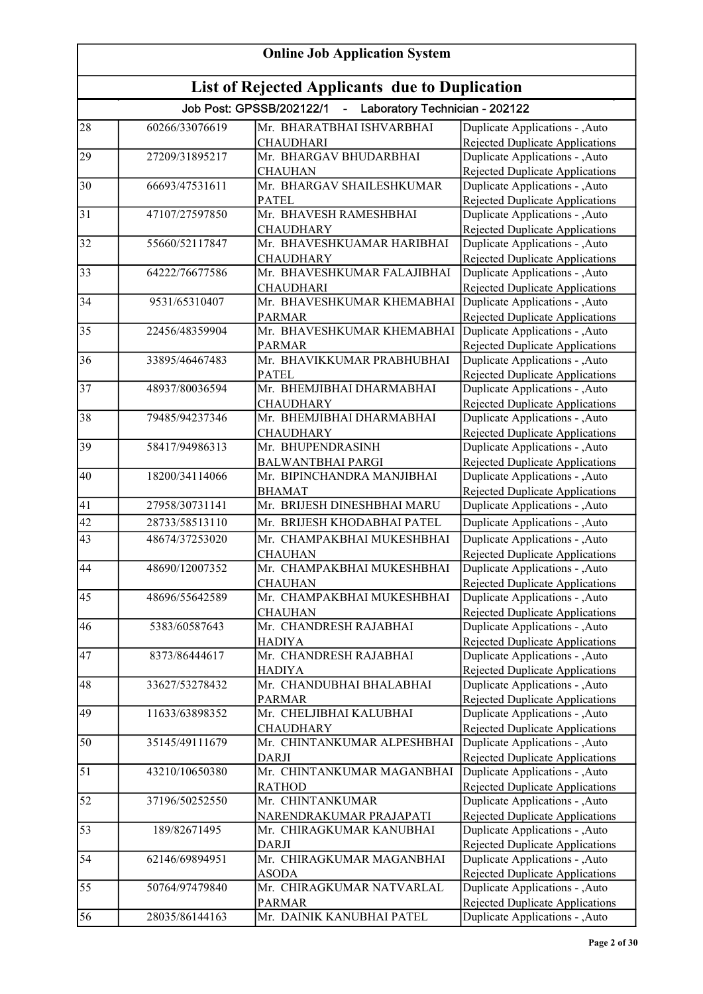| <b>Online Job Application System</b>                  |                |                                                              |                                                                           |
|-------------------------------------------------------|----------------|--------------------------------------------------------------|---------------------------------------------------------------------------|
| <b>List of Rejected Applicants due to Duplication</b> |                |                                                              |                                                                           |
|                                                       |                | Job Post: GPSSB/202122/1<br>- Laboratory Technician - 202122 |                                                                           |
| 28                                                    | 60266/33076619 | Mr. BHARATBHAI ISHVARBHAI<br><b>CHAUDHARI</b>                | Duplicate Applications - , Auto<br>Rejected Duplicate Applications        |
| 29                                                    | 27209/31895217 | Mr. BHARGAV BHUDARBHAI                                       | Duplicate Applications - , Auto                                           |
| 30                                                    | 66693/47531611 | <b>CHAUHAN</b><br>Mr. BHARGAV SHAILESHKUMAR                  | <b>Rejected Duplicate Applications</b><br>Duplicate Applications - , Auto |
| $\overline{31}$                                       | 47107/27597850 | <b>PATEL</b><br>Mr. BHAVESH RAMESHBHAI                       | Rejected Duplicate Applications<br>Duplicate Applications - , Auto        |
| $\overline{32}$                                       | 55660/52117847 | <b>CHAUDHARY</b><br>Mr. BHAVESHKUAMAR HARIBHAI               | Rejected Duplicate Applications<br>Duplicate Applications - ,Auto         |
|                                                       |                | <b>CHAUDHARY</b>                                             | Rejected Duplicate Applications                                           |
| $\overline{33}$                                       | 64222/76677586 | Mr. BHAVESHKUMAR FALAJIBHAI<br><b>CHAUDHARI</b>              | Duplicate Applications - , Auto<br>Rejected Duplicate Applications        |
| 34                                                    | 9531/65310407  | Mr. BHAVESHKUMAR KHEMABHAI<br><b>PARMAR</b>                  | Duplicate Applications - , Auto<br><b>Rejected Duplicate Applications</b> |
| 35                                                    | 22456/48359904 | Mr. BHAVESHKUMAR KHEMABHAI                                   | Duplicate Applications - , Auto                                           |
| 36                                                    | 33895/46467483 | <b>PARMAR</b><br>Mr. BHAVIKKUMAR PRABHUBHAI                  | <b>Rejected Duplicate Applications</b><br>Duplicate Applications - , Auto |
|                                                       |                | <b>PATEL</b>                                                 | <b>Rejected Duplicate Applications</b>                                    |
| $\overline{37}$                                       | 48937/80036594 | Mr. BHEMJIBHAI DHARMABHAI<br><b>CHAUDHARY</b>                | Duplicate Applications - , Auto<br><b>Rejected Duplicate Applications</b> |
| 38                                                    | 79485/94237346 | Mr. BHEMJIBHAI DHARMABHAI<br><b>CHAUDHARY</b>                | Duplicate Applications - , Auto<br><b>Rejected Duplicate Applications</b> |
| 39                                                    | 58417/94986313 | Mr. BHUPENDRASINH                                            | Duplicate Applications - , Auto                                           |
|                                                       |                | <b>BALWANTBHAI PARGI</b>                                     | <b>Rejected Duplicate Applications</b>                                    |
| 40                                                    | 18200/34114066 | Mr. BIPINCHANDRA MANJIBHAI<br><b>BHAMAT</b>                  | Duplicate Applications - ,Auto<br>Rejected Duplicate Applications         |
| 41                                                    | 27958/30731141 | Mr. BRIJESH DINESHBHAI MARU                                  | Duplicate Applications - , Auto                                           |
| 42                                                    | 28733/58513110 | Mr. BRIJESH KHODABHAI PATEL                                  | Duplicate Applications - , Auto                                           |
| 43                                                    | 48674/37253020 | Mr. CHAMPAKBHAI MUKESHBHAI                                   | Duplicate Applications - ,Auto                                            |
| 44                                                    | 48690/12007352 | <b>CHAUHAN</b><br>Mr. CHAMPAKBHAI MUKESHBHAI                 | <b>Rejected Duplicate Applications</b><br>Duplicate Applications - , Auto |
|                                                       |                | <b>CHAUHAN</b>                                               | Rejected Duplicate Applications                                           |
| 45                                                    | 48696/55642589 | Mr. CHAMPAKBHAI MUKESHBHAI<br><b>CHAUHAN</b>                 | Duplicate Applications - , Auto<br><b>Rejected Duplicate Applications</b> |
| 46                                                    | 5383/60587643  | Mr. CHANDRESH RAJABHAI                                       | Duplicate Applications - , Auto                                           |
| 47                                                    | 8373/86444617  | <b>HADIYA</b><br>Mr. CHANDRESH RAJABHAI                      | <b>Rejected Duplicate Applications</b><br>Duplicate Applications - , Auto |
|                                                       |                | <b>HADIYA</b>                                                | Rejected Duplicate Applications                                           |
| 48                                                    | 33627/53278432 | Mr. CHANDUBHAI BHALABHAI<br><b>PARMAR</b>                    | Duplicate Applications - , Auto<br><b>Rejected Duplicate Applications</b> |
| 49                                                    | 11633/63898352 | Mr. CHELJIBHAI KALUBHAI                                      | Duplicate Applications - , Auto                                           |
| 50                                                    | 35145/49111679 | <b>CHAUDHARY</b><br>Mr. CHINTANKUMAR ALPESHBHAI              | Rejected Duplicate Applications<br>Duplicate Applications - , Auto        |
| 51                                                    | 43210/10650380 | <b>DARJI</b><br>Mr. CHINTANKUMAR MAGANBHAI                   | Rejected Duplicate Applications<br>Duplicate Applications - , Auto        |
|                                                       |                | <b>RATHOD</b>                                                | <b>Rejected Duplicate Applications</b>                                    |
| $\overline{52}$                                       | 37196/50252550 | Mr. CHINTANKUMAR<br>NARENDRAKUMAR PRAJAPATI                  | Duplicate Applications - ,Auto<br>Rejected Duplicate Applications         |
| 53                                                    | 189/82671495   | Mr. CHIRAGKUMAR KANUBHAI<br>DARJI                            | Duplicate Applications - , Auto<br>Rejected Duplicate Applications        |
| $\overline{54}$                                       | 62146/69894951 | Mr. CHIRAGKUMAR MAGANBHAI                                    | Duplicate Applications - , Auto                                           |
| 55                                                    | 50764/97479840 | <b>ASODA</b><br>Mr. CHIRAGKUMAR NATVARLAL                    | Rejected Duplicate Applications<br>Duplicate Applications - , Auto        |
| 56                                                    | 28035/86144163 | <b>PARMAR</b><br>Mr. DAINIK KANUBHAI PATEL                   | <b>Rejected Duplicate Applications</b><br>Duplicate Applications - ,Auto  |
|                                                       |                |                                                              |                                                                           |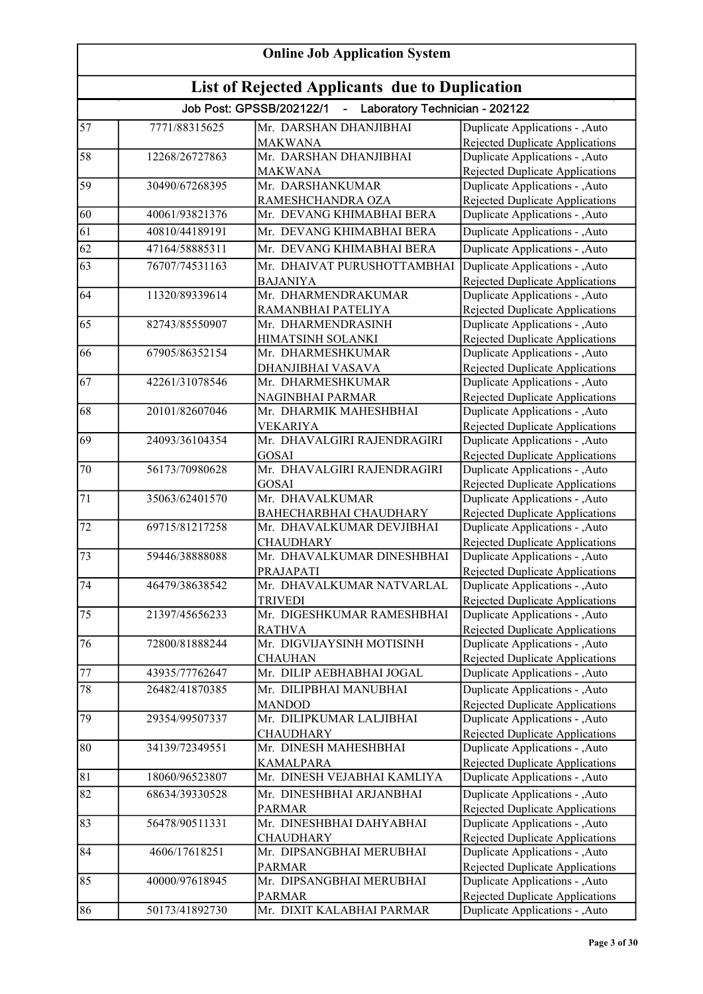| <b>Online Job Application System</b> |                                                |                                                                                   |                                                                    |  |
|--------------------------------------|------------------------------------------------|-----------------------------------------------------------------------------------|--------------------------------------------------------------------|--|
|                                      | List of Rejected Applicants due to Duplication |                                                                                   |                                                                    |  |
|                                      |                                                | Job Post: GPSSB/202122/1<br>Laboratory Technician - 202122<br>$\omega_{\rm{max}}$ |                                                                    |  |
| 57                                   | 7771/88315625                                  | Mr. DARSHAN DHANJIBHAI                                                            | Duplicate Applications - , Auto                                    |  |
|                                      |                                                | <b>MAKWANA</b>                                                                    | Rejected Duplicate Applications                                    |  |
| 58                                   | 12268/26727863                                 | Mr. DARSHAN DHANJIBHAI                                                            | Duplicate Applications - , Auto                                    |  |
|                                      |                                                | <b>MAKWANA</b>                                                                    | <b>Rejected Duplicate Applications</b>                             |  |
| 59                                   | 30490/67268395                                 | Mr. DARSHANKUMAR                                                                  | Duplicate Applications - , Auto                                    |  |
|                                      |                                                | RAMESHCHANDRA OZA                                                                 | <b>Rejected Duplicate Applications</b>                             |  |
| 60                                   | 40061/93821376                                 | Mr. DEVANG KHIMABHAI BERA                                                         | Duplicate Applications - , Auto                                    |  |
| 61                                   | 40810/44189191                                 | Mr. DEVANG KHIMABHAI BERA                                                         | Duplicate Applications - , Auto                                    |  |
| $\overline{62}$                      | 47164/58885311                                 | Mr. DEVANG KHIMABHAI BERA                                                         | Duplicate Applications - , Auto                                    |  |
| 63                                   | 76707/74531163                                 | Mr. DHAIVAT PURUSHOTTAMBHAI                                                       | Duplicate Applications - ,Auto                                     |  |
|                                      |                                                | <b>BAJANIYA</b>                                                                   | Rejected Duplicate Applications                                    |  |
| 64                                   | 11320/89339614                                 | Mr. DHARMENDRAKUMAR                                                               | Duplicate Applications - , Auto                                    |  |
|                                      |                                                | RAMANBHAI PATELIYA                                                                | Rejected Duplicate Applications                                    |  |
| 65                                   | 82743/85550907                                 | Mr. DHARMENDRASINH                                                                | Duplicate Applications - , Auto                                    |  |
|                                      |                                                | HIMATSINH SOLANKI                                                                 | <b>Rejected Duplicate Applications</b>                             |  |
| 66                                   | 67905/86352154                                 | Mr. DHARMESHKUMAR                                                                 | Duplicate Applications - , Auto                                    |  |
|                                      |                                                | DHANJIBHAI VASAVA                                                                 | Rejected Duplicate Applications                                    |  |
| 67                                   | 42261/31078546                                 | Mr. DHARMESHKUMAR                                                                 | Duplicate Applications - ,Auto                                     |  |
| 68                                   | 20101/82607046                                 | NAGINBHAI PARMAR<br>Mr. DHARMIK MAHESHBHAI                                        | <b>Rejected Duplicate Applications</b>                             |  |
|                                      |                                                |                                                                                   | Duplicate Applications - , Auto                                    |  |
| 69                                   | 24093/36104354                                 | <b>VEKARIYA</b><br>Mr. DHAVALGIRI RAJENDRAGIRI                                    | Rejected Duplicate Applications                                    |  |
|                                      |                                                |                                                                                   | Duplicate Applications - , Auto                                    |  |
| 70                                   | 56173/70980628                                 | <b>GOSAI</b><br>Mr. DHAVALGIRI RAJENDRAGIRI                                       | Rejected Duplicate Applications<br>Duplicate Applications - , Auto |  |
|                                      |                                                | <b>GOSAI</b>                                                                      | Rejected Duplicate Applications                                    |  |
| $\overline{71}$                      | 35063/62401570                                 | Mr. DHAVALKUMAR                                                                   | Duplicate Applications - , Auto                                    |  |
|                                      |                                                | <b>BAHECHARBHAI CHAUDHARY</b>                                                     | Rejected Duplicate Applications                                    |  |
| 72                                   | 69715/81217258                                 | Mr. DHAVALKUMAR DEVJIBHAI                                                         | Duplicate Applications - ,Auto                                     |  |
|                                      |                                                | <b>CHAUDHARY</b>                                                                  | <b>Rejected Duplicate Applications</b>                             |  |
| $\overline{73}$                      | 59446/38888088                                 | Mr. DHAVALKUMAR DINESHBHAI                                                        | Duplicate Applications - , Auto                                    |  |
|                                      |                                                | <b>PRAJAPATI</b>                                                                  | Rejected Duplicate Applications                                    |  |
| 74                                   | 46479/38638542                                 | Mr. DHAVALKUMAR NATVARLAL                                                         | Duplicate Applications - , Auto                                    |  |
|                                      |                                                | <b>TRIVEDI</b>                                                                    | Rejected Duplicate Applications                                    |  |
| 75                                   | 21397/45656233                                 | Mr. DIGESHKUMAR RAMESHBHAI                                                        | Duplicate Applications - , Auto                                    |  |
|                                      |                                                | <b>RATHVA</b>                                                                     | <b>Rejected Duplicate Applications</b>                             |  |
| 76                                   | 72800/81888244                                 | Mr. DIGVIJAYSINH MOTISINH                                                         | Duplicate Applications - , Auto                                    |  |
|                                      |                                                | <b>CHAUHAN</b>                                                                    | <b>Rejected Duplicate Applications</b>                             |  |
| 77                                   | 43935/77762647                                 | Mr. DILIP AEBHABHAI JOGAL                                                         | Duplicate Applications - ,Auto                                     |  |
| 78                                   | 26482/41870385                                 | Mr. DILIPBHAI MANUBHAI                                                            | Duplicate Applications - , Auto                                    |  |
|                                      |                                                | <b>MANDOD</b>                                                                     | <b>Rejected Duplicate Applications</b>                             |  |
| 79                                   | 29354/99507337                                 | Mr. DILIPKUMAR LALJIBHAI                                                          | Duplicate Applications - ,Auto                                     |  |
|                                      |                                                | <b>CHAUDHARY</b>                                                                  | Rejected Duplicate Applications                                    |  |
| 80                                   | 34139/72349551                                 | Mr. DINESH MAHESHBHAI                                                             | Duplicate Applications - , Auto                                    |  |
|                                      |                                                | <b>KAMALPARA</b>                                                                  | Rejected Duplicate Applications                                    |  |
| 81                                   | 18060/96523807                                 | Mr. DINESH VEJABHAI KAMLIYA                                                       | Duplicate Applications - , Auto                                    |  |
| 82                                   | 68634/39330528                                 | Mr. DINESHBHAI ARJANBHAI                                                          | Duplicate Applications - , Auto                                    |  |
|                                      |                                                | <b>PARMAR</b>                                                                     | Rejected Duplicate Applications                                    |  |
| 83                                   | 56478/90511331                                 | Mr. DINESHBHAI DAHYABHAI                                                          | Duplicate Applications - , Auto                                    |  |
|                                      |                                                | <b>CHAUDHARY</b>                                                                  | Rejected Duplicate Applications                                    |  |
| 84                                   | 4606/17618251                                  | Mr. DIPSANGBHAI MERUBHAI                                                          | Duplicate Applications - , Auto                                    |  |
|                                      |                                                | <b>PARMAR</b>                                                                     | Rejected Duplicate Applications                                    |  |
| 85                                   | 40000/97618945                                 | Mr. DIPSANGBHAI MERUBHAI                                                          | Duplicate Applications - , Auto                                    |  |
| 86                                   |                                                | <b>PARMAR</b><br>Mr. DIXIT KALABHAI PARMAR                                        | <b>Rejected Duplicate Applications</b>                             |  |
|                                      | 50173/41892730                                 |                                                                                   | Duplicate Applications - , Auto                                    |  |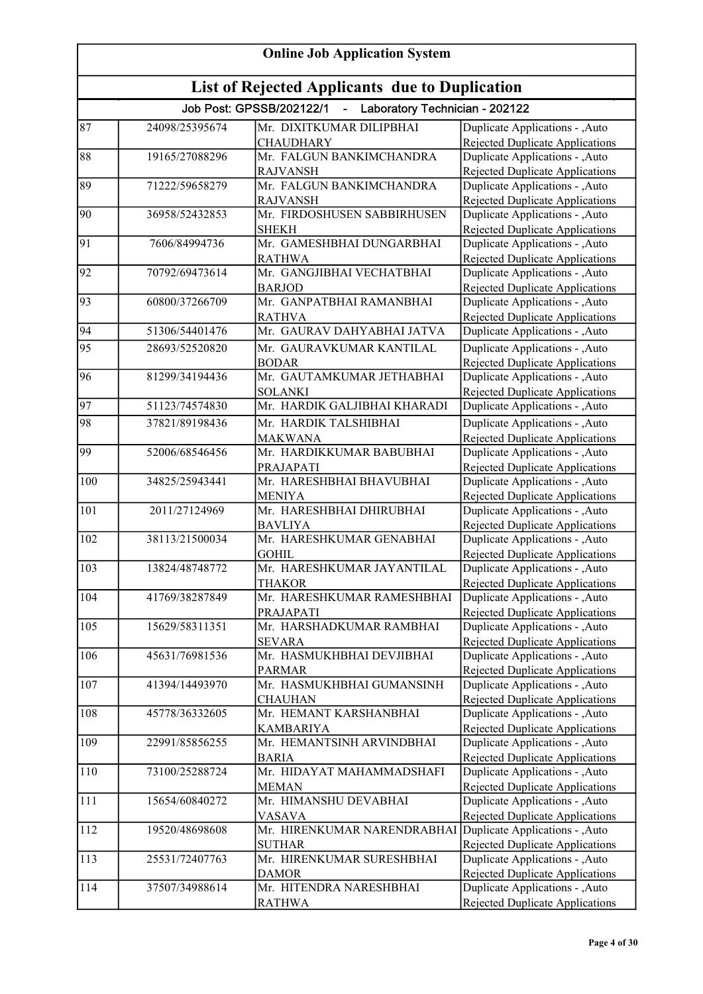| <b>Online Job Application System</b> |                                                       |                                                              |                                                                    |  |
|--------------------------------------|-------------------------------------------------------|--------------------------------------------------------------|--------------------------------------------------------------------|--|
|                                      | <b>List of Rejected Applicants due to Duplication</b> |                                                              |                                                                    |  |
|                                      |                                                       | Job Post: GPSSB/202122/1<br>- Laboratory Technician - 202122 |                                                                    |  |
| 87                                   | 24098/25395674                                        | Mr. DIXITKUMAR DILIPBHAI                                     | Duplicate Applications - , Auto                                    |  |
|                                      |                                                       | <b>CHAUDHARY</b>                                             | Rejected Duplicate Applications                                    |  |
| 88                                   | 19165/27088296                                        | Mr. FALGUN BANKIMCHANDRA                                     | Duplicate Applications - , Auto                                    |  |
|                                      |                                                       | <b>RAJVANSH</b>                                              | <b>Rejected Duplicate Applications</b>                             |  |
| 89                                   | 71222/59658279                                        | Mr. FALGUN BANKIMCHANDRA                                     | Duplicate Applications - ,Auto                                     |  |
|                                      |                                                       | <b>RAJVANSH</b>                                              | Rejected Duplicate Applications                                    |  |
| 90                                   | 36958/52432853                                        | Mr. FIRDOSHUSEN SABBIRHUSEN                                  | Duplicate Applications - , Auto                                    |  |
|                                      |                                                       | <b>SHEKH</b>                                                 | Rejected Duplicate Applications                                    |  |
| $\overline{91}$                      | 7606/84994736                                         | Mr. GAMESHBHAI DUNGARBHAI                                    | Duplicate Applications - , Auto                                    |  |
|                                      |                                                       | <b>RATHWA</b>                                                | Rejected Duplicate Applications                                    |  |
| $\overline{92}$                      | 70792/69473614                                        | Mr. GANGJIBHAI VECHATBHAI                                    | Duplicate Applications - , Auto                                    |  |
|                                      |                                                       | <b>BARJOD</b>                                                | Rejected Duplicate Applications                                    |  |
| 93                                   | 60800/37266709                                        | Mr. GANPATBHAI RAMANBHAI                                     | Duplicate Applications - , Auto                                    |  |
|                                      |                                                       | <b>RATHVA</b>                                                | Rejected Duplicate Applications                                    |  |
| 94                                   | 51306/54401476                                        | Mr. GAURAV DAHYABHAI JATVA                                   | Duplicate Applications - , Auto                                    |  |
| 95                                   | 28693/52520820                                        | Mr. GAURAVKUMAR KANTILAL                                     | Duplicate Applications - , Auto                                    |  |
|                                      |                                                       | <b>BODAR</b>                                                 | Rejected Duplicate Applications                                    |  |
| 96                                   | 81299/34194436                                        | Mr. GAUTAMKUMAR JETHABHAI                                    | Duplicate Applications - , Auto                                    |  |
|                                      |                                                       | <b>SOLANKI</b>                                               | Rejected Duplicate Applications                                    |  |
| 97                                   | 51123/74574830                                        | Mr. HARDIK GALJIBHAI KHARADI                                 | Duplicate Applications - ,Auto                                     |  |
| 98                                   | 37821/89198436                                        | Mr. HARDIK TALSHIBHAI                                        | Duplicate Applications - , Auto                                    |  |
|                                      |                                                       | <b>MAKWANA</b>                                               | Rejected Duplicate Applications                                    |  |
| 99                                   | 52006/68546456                                        | Mr. HARDIKKUMAR BABUBHAI                                     | Duplicate Applications - , Auto                                    |  |
|                                      |                                                       | PRAJAPATI                                                    | <b>Rejected Duplicate Applications</b>                             |  |
| 100                                  | 34825/25943441                                        | Mr. HARESHBHAI BHAVUBHAI                                     | Duplicate Applications - , Auto                                    |  |
|                                      |                                                       | <b>MENIYA</b>                                                | <b>Rejected Duplicate Applications</b>                             |  |
| 101                                  | 2011/27124969                                         | Mr. HARESHBHAI DHIRUBHAI                                     | Duplicate Applications - , Auto                                    |  |
|                                      |                                                       | <b>BAVLIYA</b>                                               | Rejected Duplicate Applications                                    |  |
| 102                                  | 38113/21500034                                        | Mr. HARESHKUMAR GENABHAI                                     | Duplicate Applications - , Auto                                    |  |
| $\overline{103}$                     | 13824/48748772                                        | <b>GOHIL</b><br>Mr. HARESHKUMAR JAYANTILAL                   | <b>Rejected Duplicate Applications</b>                             |  |
|                                      |                                                       |                                                              | Duplicate Applications - , Auto                                    |  |
| 104                                  | 41769/38287849                                        | <b>THAKOR</b><br>Mr. HARESHKUMAR RAMESHBHAI                  | Rejected Duplicate Applications<br>Duplicate Applications - , Auto |  |
|                                      |                                                       | PRAJAPATI                                                    | <b>Rejected Duplicate Applications</b>                             |  |
| 105                                  | 15629/58311351                                        | Mr. HARSHADKUMAR RAMBHAI                                     | Duplicate Applications - , Auto                                    |  |
|                                      |                                                       | <b>SEVARA</b>                                                | Rejected Duplicate Applications                                    |  |
| 106                                  | 45631/76981536                                        | Mr. HASMUKHBHAI DEVJIBHAI                                    | Duplicate Applications - , Auto                                    |  |
|                                      |                                                       | <b>PARMAR</b>                                                | Rejected Duplicate Applications                                    |  |
| 107                                  | 41394/14493970                                        | Mr. HASMUKHBHAI GUMANSINH                                    | Duplicate Applications - , Auto                                    |  |
|                                      |                                                       | <b>CHAUHAN</b>                                               | Rejected Duplicate Applications                                    |  |
| 108                                  | 45778/36332605                                        | Mr. HEMANT KARSHANBHAI                                       | Duplicate Applications - , Auto                                    |  |
|                                      |                                                       | <b>KAMBARIYA</b>                                             | <b>Rejected Duplicate Applications</b>                             |  |
| 109                                  | 22991/85856255                                        | Mr. HEMANTSINH ARVINDBHAI                                    | Duplicate Applications - , Auto                                    |  |
|                                      |                                                       | <b>BARIA</b>                                                 | Rejected Duplicate Applications                                    |  |
| $\overline{1}10$                     | 73100/25288724                                        | Mr. HIDAYAT MAHAMMADSHAFI                                    | Duplicate Applications - , Auto                                    |  |
|                                      |                                                       | <b>MEMAN</b>                                                 | <b>Rejected Duplicate Applications</b>                             |  |
| 111                                  | 15654/60840272                                        | Mr. HIMANSHU DEVABHAI                                        | Duplicate Applications - , Auto                                    |  |
|                                      |                                                       | <b>VASAVA</b>                                                | Rejected Duplicate Applications                                    |  |
| 112                                  | 19520/48698608                                        | Mr. HIRENKUMAR NARENDRABHAI Duplicate Applications - , Auto  |                                                                    |  |
|                                      |                                                       | <b>SUTHAR</b>                                                | Rejected Duplicate Applications                                    |  |
| 113                                  | 25531/72407763                                        | Mr. HIRENKUMAR SURESHBHAI                                    | Duplicate Applications - , Auto                                    |  |
|                                      |                                                       | <b>DAMOR</b>                                                 | Rejected Duplicate Applications                                    |  |
| 114                                  | 37507/34988614                                        | Mr. HITENDRA NARESHBHAI                                      | Duplicate Applications - , Auto                                    |  |
|                                      |                                                       | <b>RATHWA</b>                                                | Rejected Duplicate Applications                                    |  |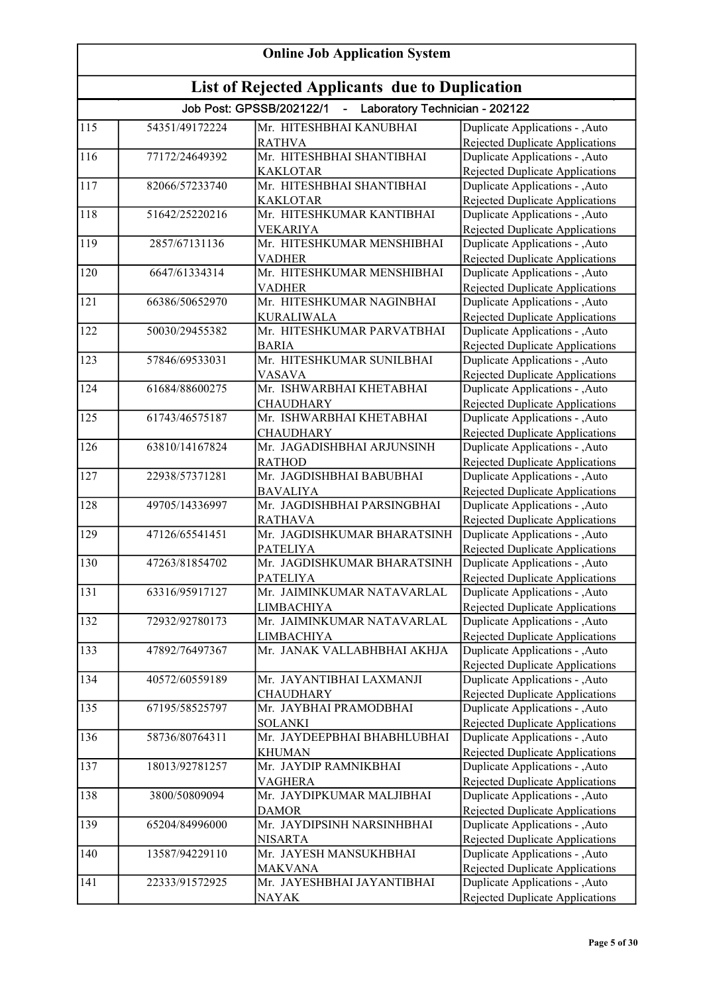| <b>Online Job Application System</b> |                                                       |                                                              |                                                                           |  |
|--------------------------------------|-------------------------------------------------------|--------------------------------------------------------------|---------------------------------------------------------------------------|--|
|                                      | <b>List of Rejected Applicants due to Duplication</b> |                                                              |                                                                           |  |
|                                      |                                                       | Job Post: GPSSB/202122/1<br>- Laboratory Technician - 202122 |                                                                           |  |
| 115                                  | 54351/49172224                                        | Mr. HITESHBHAI KANUBHAI                                      | Duplicate Applications - , Auto                                           |  |
|                                      |                                                       | <b>RATHVA</b>                                                | Rejected Duplicate Applications                                           |  |
| 116                                  | 77172/24649392                                        | Mr. HITESHBHAI SHANTIBHAI                                    | Duplicate Applications - , Auto                                           |  |
|                                      |                                                       | <b>KAKLOTAR</b>                                              | <b>Rejected Duplicate Applications</b>                                    |  |
| $\overline{117}$                     | 82066/57233740                                        | Mr. HITESHBHAI SHANTIBHAI                                    | Duplicate Applications - ,Auto                                            |  |
|                                      |                                                       | <b>KAKLOTAR</b>                                              | Rejected Duplicate Applications                                           |  |
| 118                                  | 51642/25220216                                        | Mr. HITESHKUMAR KANTIBHAI                                    | Duplicate Applications - ,Auto                                            |  |
|                                      |                                                       | <b>VEKARIYA</b>                                              | <b>Rejected Duplicate Applications</b>                                    |  |
| 119                                  | 2857/67131136                                         | Mr. HITESHKUMAR MENSHIBHAI<br><b>VADHER</b>                  | Duplicate Applications - , Auto                                           |  |
| 120                                  | 6647/61334314                                         | Mr. HITESHKUMAR MENSHIBHAI                                   | <b>Rejected Duplicate Applications</b><br>Duplicate Applications - , Auto |  |
|                                      |                                                       | <b>VADHER</b>                                                | Rejected Duplicate Applications                                           |  |
| 121                                  | 66386/50652970                                        | Mr. HITESHKUMAR NAGINBHAI                                    | Duplicate Applications - , Auto                                           |  |
|                                      |                                                       | <b>KURALIWALA</b>                                            | <b>Rejected Duplicate Applications</b>                                    |  |
| 122                                  | 50030/29455382                                        | Mr. HITESHKUMAR PARVATBHAI                                   | Duplicate Applications - , Auto                                           |  |
|                                      |                                                       | <b>BARIA</b>                                                 | <b>Rejected Duplicate Applications</b>                                    |  |
| 123                                  | 57846/69533031                                        | Mr. HITESHKUMAR SUNILBHAI                                    | Duplicate Applications - , Auto                                           |  |
|                                      |                                                       | <b>VASAVA</b>                                                | <b>Rejected Duplicate Applications</b>                                    |  |
| 124                                  | 61684/88600275                                        | Mr. ISHWARBHAI KHETABHAI                                     | Duplicate Applications - , Auto                                           |  |
|                                      |                                                       | <b>CHAUDHARY</b>                                             | <b>Rejected Duplicate Applications</b>                                    |  |
| 125                                  | 61743/46575187                                        | Mr. ISHWARBHAI KHETABHAI                                     | Duplicate Applications - , Auto                                           |  |
|                                      |                                                       | <b>CHAUDHARY</b>                                             | Rejected Duplicate Applications                                           |  |
| 126                                  | 63810/14167824                                        | Mr. JAGADISHBHAI ARJUNSINH                                   | Duplicate Applications - , Auto                                           |  |
|                                      |                                                       | <b>RATHOD</b>                                                | <b>Rejected Duplicate Applications</b>                                    |  |
| 127                                  | 22938/57371281                                        | Mr. JAGDISHBHAI BABUBHAI                                     | Duplicate Applications - , Auto                                           |  |
|                                      |                                                       | <b>BAVALIYA</b>                                              | Rejected Duplicate Applications                                           |  |
| 128                                  | 49705/14336997                                        | Mr. JAGDISHBHAI PARSINGBHAI                                  | Duplicate Applications - ,Auto                                            |  |
|                                      |                                                       | <b>RATHAVA</b>                                               | Rejected Duplicate Applications                                           |  |
| 129                                  | 47126/65541451                                        | Mr. JAGDISHKUMAR BHARATSINH                                  | Duplicate Applications - , Auto                                           |  |
|                                      |                                                       | <b>PATELIYA</b>                                              | Rejected Duplicate Applications                                           |  |
| 130                                  | 47263/81854702                                        | Mr. JAGDISHKUMAR BHARATSINH                                  | Duplicate Applications - , Auto                                           |  |
|                                      |                                                       | <b>PATELIYA</b>                                              | Rejected Duplicate Applications                                           |  |
| 131                                  | 63316/95917127                                        | Mr. JAIMINKUMAR NATAVARLAL                                   | Duplicate Applications - ,Auto                                            |  |
|                                      |                                                       | <b>LIMBACHIYA</b>                                            | Rejected Duplicate Applications                                           |  |
| 132                                  | 72932/92780173                                        | Mr. JAIMINKUMAR NATAVARLAL                                   | Duplicate Applications - , Auto                                           |  |
| 133                                  | 47892/76497367                                        | <b>LIMBACHIYA</b><br>Mr. JANAK VALLABHBHAI AKHJA             | Rejected Duplicate Applications<br>Duplicate Applications - , Auto        |  |
|                                      |                                                       |                                                              |                                                                           |  |
| 134                                  | 40572/60559189                                        | Mr. JAYANTIBHAI LAXMANJI                                     | <b>Rejected Duplicate Applications</b><br>Duplicate Applications - , Auto |  |
|                                      |                                                       | <b>CHAUDHARY</b>                                             | Rejected Duplicate Applications                                           |  |
| 135                                  | 67195/58525797                                        | Mr. JAYBHAI PRAMODBHAI                                       | Duplicate Applications - , Auto                                           |  |
|                                      |                                                       | <b>SOLANKI</b>                                               | <b>Rejected Duplicate Applications</b>                                    |  |
| 136                                  | 58736/80764311                                        | Mr. JAYDEEPBHAI BHABHLUBHAI                                  | Duplicate Applications - , Auto                                           |  |
|                                      |                                                       | <b>KHUMAN</b>                                                | Rejected Duplicate Applications                                           |  |
| 137                                  | 18013/92781257                                        | Mr. JAYDIP RAMNIKBHAI                                        | Duplicate Applications - , Auto                                           |  |
|                                      |                                                       | <b>VAGHERA</b>                                               | Rejected Duplicate Applications                                           |  |
| 138                                  | 3800/50809094                                         | Mr. JAYDIPKUMAR MALJIBHAI                                    | Duplicate Applications - , Auto                                           |  |
|                                      |                                                       | <b>DAMOR</b>                                                 | Rejected Duplicate Applications                                           |  |
| 139                                  | 65204/84996000                                        | Mr. JAYDIPSINH NARSINHBHAI                                   | Duplicate Applications - , Auto                                           |  |
|                                      |                                                       | <b>NISARTA</b>                                               | Rejected Duplicate Applications                                           |  |
| 140                                  | 13587/94229110                                        | Mr. JAYESH MANSUKHBHAI                                       | Duplicate Applications - ,Auto                                            |  |
|                                      |                                                       | <b>MAKVANA</b>                                               | Rejected Duplicate Applications                                           |  |
| 141                                  | 22333/91572925                                        | Mr. JAYESHBHAI JAYANTIBHAI                                   | Duplicate Applications - , Auto                                           |  |
|                                      |                                                       | <b>NAYAK</b>                                                 | Rejected Duplicate Applications                                           |  |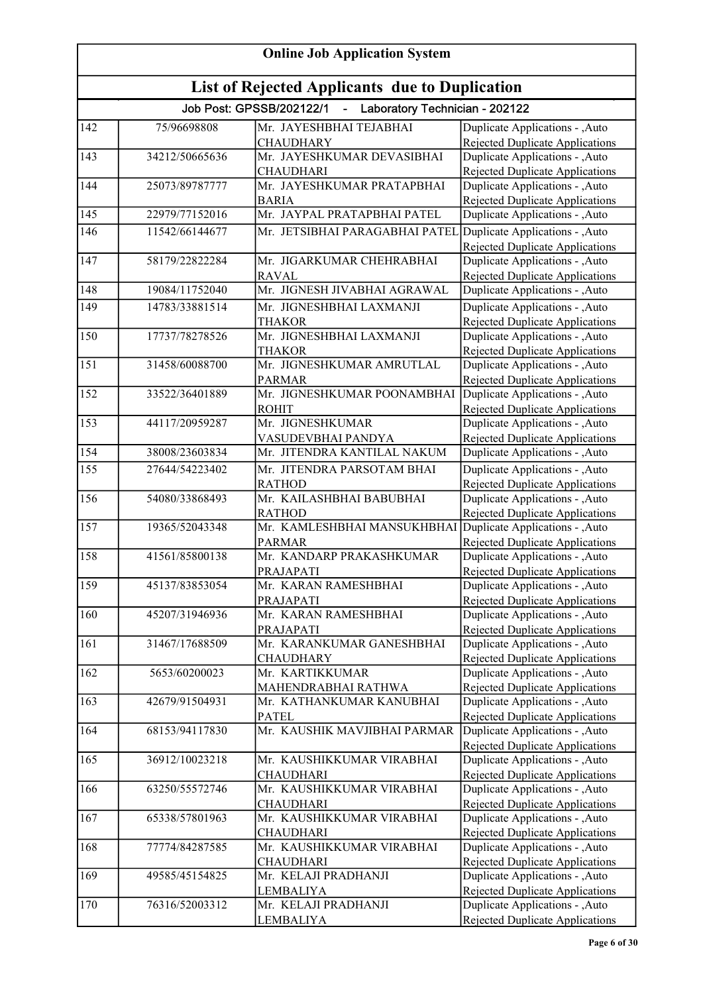| <b>Online Job Application System</b> |                                                       |                                                                              |                                                                                                              |  |
|--------------------------------------|-------------------------------------------------------|------------------------------------------------------------------------------|--------------------------------------------------------------------------------------------------------------|--|
|                                      | <b>List of Rejected Applicants due to Duplication</b> |                                                                              |                                                                                                              |  |
|                                      |                                                       | Job Post: GPSSB/202122/1<br>Laboratory Technician - 202122<br>$\blacksquare$ |                                                                                                              |  |
| 142                                  | 75/96698808                                           | Mr. JAYESHBHAI TEJABHAI<br><b>CHAUDHARY</b>                                  | Duplicate Applications - , Auto<br>Rejected Duplicate Applications                                           |  |
| 143                                  | 34212/50665636                                        | Mr. JAYESHKUMAR DEVASIBHAI<br><b>CHAUDHARI</b>                               | Duplicate Applications - ,Auto<br><b>Rejected Duplicate Applications</b>                                     |  |
| 144                                  | 25073/89787777                                        | Mr. JAYESHKUMAR PRATAPBHAI<br><b>BARIA</b>                                   | Duplicate Applications - , Auto<br>Rejected Duplicate Applications                                           |  |
| 145                                  | 22979/77152016                                        | Mr. JAYPAL PRATAPBHAI PATEL                                                  | Duplicate Applications - , Auto                                                                              |  |
| 146                                  | 11542/66144677                                        | Mr. JETSIBHAI PARAGABHAI PATEL                                               | Duplicate Applications - , Auto<br><b>Rejected Duplicate Applications</b>                                    |  |
| 147                                  | 58179/22822284                                        | Mr. JIGARKUMAR CHEHRABHAI<br><b>RAVAL</b>                                    | Duplicate Applications - , Auto<br><b>Rejected Duplicate Applications</b>                                    |  |
| 148                                  | 19084/11752040                                        | Mr. JIGNESH JIVABHAI AGRAWAL                                                 | Duplicate Applications - , Auto                                                                              |  |
| 149                                  | 14783/33881514                                        | Mr. JIGNESHBHAI LAXMANJI<br><b>THAKOR</b>                                    | Duplicate Applications - , Auto<br><b>Rejected Duplicate Applications</b>                                    |  |
| 150                                  | 17737/78278526                                        | Mr. JIGNESHBHAI LAXMANJI<br>THAKOR                                           | Duplicate Applications - , Auto<br>Rejected Duplicate Applications                                           |  |
| 151                                  | 31458/60088700                                        | Mr. JIGNESHKUMAR AMRUTLAL<br><b>PARMAR</b>                                   | Duplicate Applications - , Auto<br>Rejected Duplicate Applications                                           |  |
| 152                                  | 33522/36401889                                        | Mr. JIGNESHKUMAR POONAMBHAI<br><b>ROHIT</b>                                  | Duplicate Applications - , Auto<br>Rejected Duplicate Applications                                           |  |
| 153                                  | 44117/20959287                                        | Mr. JIGNESHKUMAR<br>VASUDEVBHAI PANDYA                                       | Duplicate Applications - , Auto<br><b>Rejected Duplicate Applications</b>                                    |  |
| 154                                  | 38008/23603834                                        | Mr. JITENDRA KANTILAL NAKUM                                                  | Duplicate Applications - ,Auto                                                                               |  |
| 155                                  | 27644/54223402                                        | Mr. JITENDRA PARSOTAM BHAI<br><b>RATHOD</b>                                  | Duplicate Applications - , Auto<br><b>Rejected Duplicate Applications</b>                                    |  |
| 156                                  | 54080/33868493                                        | Mr. KAILASHBHAI BABUBHAI<br><b>RATHOD</b>                                    | Duplicate Applications - , Auto<br>Rejected Duplicate Applications                                           |  |
| 157                                  | 19365/52043348                                        | Mr. KAMLESHBHAI MANSUKHBHAI<br><b>PARMAR</b>                                 | Duplicate Applications - , Auto<br><b>Rejected Duplicate Applications</b>                                    |  |
| 158                                  | 41561/85800138                                        | Mr. KANDARP PRAKASHKUMAR<br><b>PRAJAPATI</b>                                 | Duplicate Applications - , Auto<br>Rejected Duplicate Applications                                           |  |
| 159                                  | 45137/83853054                                        | Mr. KARAN RAMESHBHAI<br>PRAJAPATI                                            | Duplicate Applications - , Auto<br>Rejected Duplicate Applications                                           |  |
| 160                                  | 45207/31946936                                        | Mr. KARAN RAMESHBHAI<br>PRAJAPATI                                            | Duplicate Applications - , Auto<br><b>Rejected Duplicate Applications</b>                                    |  |
| 161                                  | 31467/17688509                                        | Mr. KARANKUMAR GANESHBHAI<br><b>CHAUDHARY</b>                                | Duplicate Applications - , Auto<br>Rejected Duplicate Applications                                           |  |
| 162                                  | 5653/60200023                                         | Mr. KARTIKKUMAR<br>MAHENDRABHAI RATHWA                                       | Duplicate Applications - , Auto<br>Rejected Duplicate Applications                                           |  |
| 163                                  | 42679/91504931                                        | Mr. KATHANKUMAR KANUBHAI<br><b>PATEL</b>                                     | Duplicate Applications - , Auto<br>Rejected Duplicate Applications                                           |  |
| 164                                  | 68153/94117830                                        | Mr. KAUSHIK MAVJIBHAI PARMAR                                                 | Duplicate Applications - , Auto                                                                              |  |
| 165                                  | 36912/10023218                                        | Mr. KAUSHIKKUMAR VIRABHAI                                                    | Rejected Duplicate Applications<br>Duplicate Applications - , Auto                                           |  |
| 166                                  | 63250/55572746                                        | <b>CHAUDHARI</b><br>Mr. KAUSHIKKUMAR VIRABHAI                                | Rejected Duplicate Applications<br>Duplicate Applications - , Auto                                           |  |
| 167                                  | 65338/57801963                                        | <b>CHAUDHARI</b><br>Mr. KAUSHIKKUMAR VIRABHAI                                | Rejected Duplicate Applications<br>Duplicate Applications - , Auto                                           |  |
| 168                                  | 77774/84287585                                        | <b>CHAUDHARI</b><br>Mr. KAUSHIKKUMAR VIRABHAI                                | Rejected Duplicate Applications<br>Duplicate Applications - , Auto                                           |  |
| 169                                  | 49585/45154825                                        | <b>CHAUDHARI</b><br>Mr. KELAJI PRADHANJI                                     | <b>Rejected Duplicate Applications</b><br>Duplicate Applications - , Auto                                    |  |
| 170                                  | 76316/52003312                                        | <b>LEMBALIYA</b><br>Mr. KELAJI PRADHANJI<br><b>LEMBALIYA</b>                 | <b>Rejected Duplicate Applications</b><br>Duplicate Applications - , Auto<br>Rejected Duplicate Applications |  |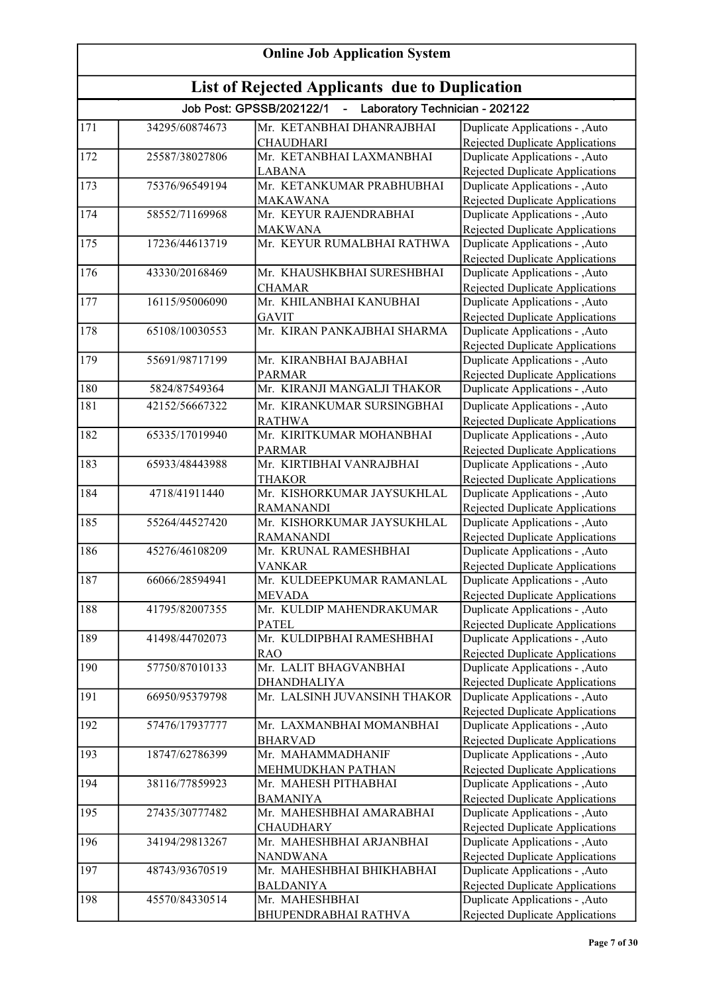| <b>Online Job Application System</b><br><b>List of Rejected Applicants due to Duplication</b> |                |                                              |                                                                          |
|-----------------------------------------------------------------------------------------------|----------------|----------------------------------------------|--------------------------------------------------------------------------|
|                                                                                               |                |                                              |                                                                          |
| 171                                                                                           | 34295/60874673 | Mr. KETANBHAI DHANRAJBHAI                    | Duplicate Applications - , Auto                                          |
|                                                                                               |                | <b>CHAUDHARI</b>                             | Rejected Duplicate Applications                                          |
| 172                                                                                           | 25587/38027806 | Mr. KETANBHAI LAXMANBHAI                     | Duplicate Applications - ,Auto                                           |
|                                                                                               |                | <b>LABANA</b>                                | Rejected Duplicate Applications                                          |
| 173                                                                                           | 75376/96549194 | Mr. KETANKUMAR PRABHUBHAI                    | Duplicate Applications - ,Auto<br>Rejected Duplicate Applications        |
| 174                                                                                           | 58552/71169968 | <b>MAKAWANA</b><br>Mr. KEYUR RAJENDRABHAI    | Duplicate Applications - ,Auto                                           |
|                                                                                               |                | <b>MAKWANA</b>                               | Rejected Duplicate Applications                                          |
| 175                                                                                           | 17236/44613719 | Mr. KEYUR RUMALBHAI RATHWA                   | Duplicate Applications - , Auto                                          |
|                                                                                               |                |                                              | Rejected Duplicate Applications                                          |
| 176                                                                                           | 43330/20168469 | Mr. KHAUSHKBHAI SURESHBHAI                   | Duplicate Applications - , Auto                                          |
|                                                                                               |                | <b>CHAMAR</b>                                | Rejected Duplicate Applications                                          |
| 177                                                                                           | 16115/95006090 | Mr. KHILANBHAI KANUBHAI                      | Duplicate Applications - , Auto                                          |
|                                                                                               |                | <b>GAVIT</b>                                 | <b>Rejected Duplicate Applications</b>                                   |
| 178                                                                                           | 65108/10030553 | Mr. KIRAN PANKAJBHAI SHARMA                  | Duplicate Applications - ,Auto                                           |
|                                                                                               |                |                                              | Rejected Duplicate Applications                                          |
| 179                                                                                           | 55691/98717199 | Mr. KIRANBHAI BAJABHAI                       | Duplicate Applications - , Auto                                          |
|                                                                                               |                | <b>PARMAR</b>                                | <b>Rejected Duplicate Applications</b>                                   |
| 180                                                                                           | 5824/87549364  | Mr. KIRANJI MANGALJI THAKOR                  | Duplicate Applications - ,Auto                                           |
| 181                                                                                           | 42152/56667322 | Mr. KIRANKUMAR SURSINGBHAI                   | Duplicate Applications - , Auto                                          |
|                                                                                               |                | <b>RATHWA</b>                                | Rejected Duplicate Applications                                          |
| 182                                                                                           | 65335/17019940 | Mr. KIRITKUMAR MOHANBHAI                     | Duplicate Applications - , Auto                                          |
|                                                                                               |                | <b>PARMAR</b>                                | Rejected Duplicate Applications                                          |
| 183                                                                                           | 65933/48443988 | Mr. KIRTIBHAI VANRAJBHAI                     | Duplicate Applications - , Auto                                          |
|                                                                                               |                | <b>THAKOR</b>                                | <b>Rejected Duplicate Applications</b>                                   |
| 184                                                                                           | 4718/41911440  | Mr. KISHORKUMAR JAYSUKHLAL                   | Duplicate Applications - , Auto                                          |
|                                                                                               |                | <b>RAMANANDI</b>                             | <b>Rejected Duplicate Applications</b>                                   |
| 185                                                                                           | 55264/44527420 | Mr. KISHORKUMAR JAYSUKHLAL                   | Duplicate Applications - , Auto                                          |
|                                                                                               |                | <b>RAMANANDI</b>                             | <b>Rejected Duplicate Applications</b>                                   |
| 186                                                                                           | 45276/46108209 | Mr. KRUNAL RAMESHBHAI                        | Duplicate Applications - ,Auto                                           |
| 187                                                                                           | 66066/28594941 | <b>VANKAR</b><br>Mr. KULDEEPKUMAR RAMANLAL   | Rejected Duplicate Applications<br>Duplicate Applications - , Auto       |
|                                                                                               |                | <b>MEVADA</b>                                | Rejected Duplicate Applications                                          |
| 188                                                                                           | 41795/82007355 | Mr. KULDIP MAHENDRAKUMAR                     | Duplicate Applications - , Auto                                          |
|                                                                                               |                | <b>PATEL</b>                                 | Rejected Duplicate Applications                                          |
| 189                                                                                           | 41498/44702073 | Mr. KULDIPBHAI RAMESHBHAI                    | Duplicate Applications - , Auto                                          |
|                                                                                               |                | <b>RAO</b>                                   | <b>Rejected Duplicate Applications</b>                                   |
| 190                                                                                           | 57750/87010133 | Mr. LALIT BHAGVANBHAI                        | Duplicate Applications - , Auto                                          |
|                                                                                               |                | DHANDHALIYA                                  | Rejected Duplicate Applications                                          |
| 191                                                                                           | 66950/95379798 | Mr. LALSINH JUVANSINH THAKOR                 | Duplicate Applications - , Auto                                          |
|                                                                                               |                |                                              | <b>Rejected Duplicate Applications</b>                                   |
| 192                                                                                           | 57476/17937777 | Mr. LAXMANBHAI MOMANBHAI                     | Duplicate Applications - , Auto                                          |
|                                                                                               |                | <b>BHARVAD</b>                               | Rejected Duplicate Applications                                          |
| 193                                                                                           | 18747/62786399 | Mr. MAHAMMADHANIF                            | Duplicate Applications - , Auto                                          |
|                                                                                               |                | MEHMUDKHAN PATHAN                            | Rejected Duplicate Applications                                          |
| 194                                                                                           | 38116/77859923 | Mr. MAHESH PITHABHAI                         | Duplicate Applications - , Auto                                          |
|                                                                                               |                | <b>BAMANIYA</b>                              | <b>Rejected Duplicate Applications</b>                                   |
| 195                                                                                           | 27435/30777482 | Mr. MAHESHBHAI AMARABHAI                     | Duplicate Applications - ,Auto                                           |
|                                                                                               |                | <b>CHAUDHARY</b>                             | Rejected Duplicate Applications                                          |
| 196                                                                                           | 34194/29813267 | Mr. MAHESHBHAI ARJANBHAI                     | Duplicate Applications - , Auto                                          |
| $\overline{197}$                                                                              | 48743/93670519 | <b>NANDWANA</b><br>Mr. MAHESHBHAI BHIKHABHAI | <b>Rejected Duplicate Applications</b><br>Duplicate Applications - ,Auto |
|                                                                                               |                | <b>BALDANIYA</b>                             | Rejected Duplicate Applications                                          |
| 198                                                                                           | 45570/84330514 | Mr. MAHESHBHAI                               | Duplicate Applications - , Auto                                          |
|                                                                                               |                | BHUPENDRABHAI RATHVA                         | Rejected Duplicate Applications                                          |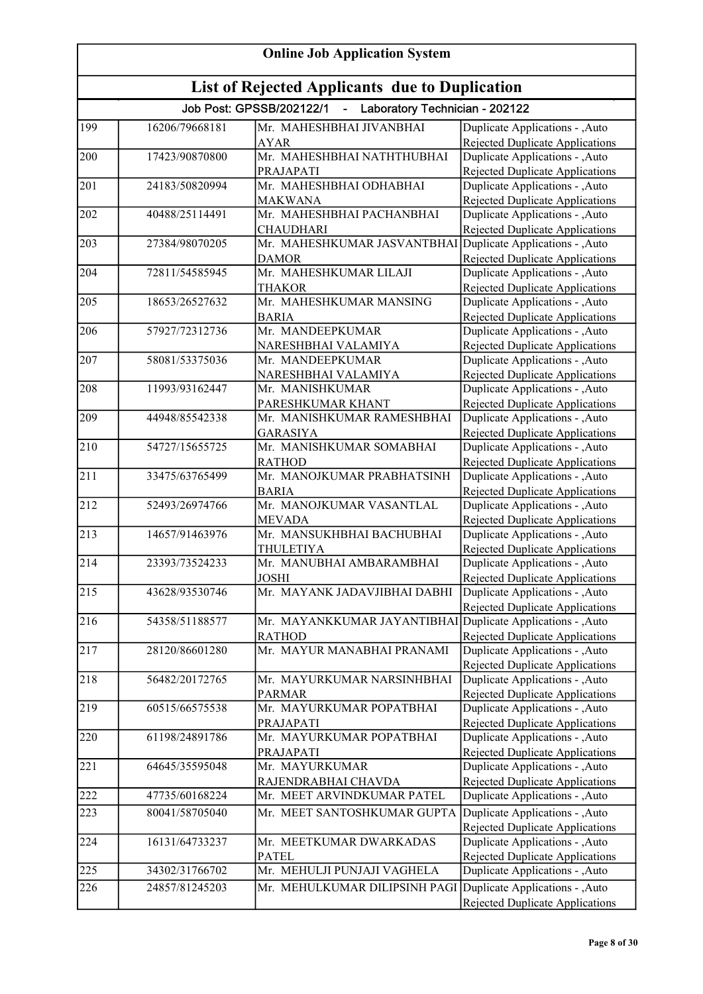| <b>Online Job Application System</b> |                                                |                                                              |                                                                    |  |
|--------------------------------------|------------------------------------------------|--------------------------------------------------------------|--------------------------------------------------------------------|--|
|                                      | List of Rejected Applicants due to Duplication |                                                              |                                                                    |  |
|                                      |                                                | Job Post: GPSSB/202122/1<br>- Laboratory Technician - 202122 |                                                                    |  |
| 199                                  | 16206/79668181                                 | Mr. MAHESHBHAI JIVANBHAI                                     | Duplicate Applications - , Auto                                    |  |
|                                      |                                                | <b>AYAR</b>                                                  | Rejected Duplicate Applications                                    |  |
| 200                                  | 17423/90870800                                 | Mr. MAHESHBHAI NATHTHUBHAI                                   | Duplicate Applications - , Auto                                    |  |
|                                      |                                                | PRAJAPATI                                                    | <b>Rejected Duplicate Applications</b>                             |  |
| 201                                  | 24183/50820994                                 | Mr. MAHESHBHAI ODHABHAI                                      | Duplicate Applications - ,Auto                                     |  |
|                                      |                                                | <b>MAKWANA</b>                                               | Rejected Duplicate Applications                                    |  |
| 202                                  | 40488/25114491                                 | Mr. MAHESHBHAI PACHANBHAI                                    | Duplicate Applications - ,Auto                                     |  |
|                                      |                                                | <b>CHAUDHARI</b>                                             | Rejected Duplicate Applications                                    |  |
| 203                                  | 27384/98070205                                 | Mr. MAHESHKUMAR JASVANTBHAI                                  | Duplicate Applications - , Auto                                    |  |
| 204                                  | 72811/54585945                                 | <b>DAMOR</b><br>Mr. MAHESHKUMAR LILAJI                       | Rejected Duplicate Applications<br>Duplicate Applications - , Auto |  |
|                                      |                                                | <b>THAKOR</b>                                                | Rejected Duplicate Applications                                    |  |
| 205                                  | 18653/26527632                                 | Mr. MAHESHKUMAR MANSING                                      | Duplicate Applications - , Auto                                    |  |
|                                      |                                                | <b>BARIA</b>                                                 | Rejected Duplicate Applications                                    |  |
| 206                                  | 57927/72312736                                 | Mr. MANDEEPKUMAR                                             | Duplicate Applications - , Auto                                    |  |
|                                      |                                                | NARESHBHAI VALAMIYA                                          | Rejected Duplicate Applications                                    |  |
| 207                                  | 58081/53375036                                 | Mr. MANDEEPKUMAR                                             | Duplicate Applications - , Auto                                    |  |
|                                      |                                                | NARESHBHAI VALAMIYA                                          | Rejected Duplicate Applications                                    |  |
| 208                                  | 11993/93162447                                 | Mr. MANISHKUMAR                                              | Duplicate Applications - , Auto                                    |  |
|                                      |                                                | PARESHKUMAR KHANT                                            | <b>Rejected Duplicate Applications</b>                             |  |
| 209                                  | 44948/85542338                                 | Mr. MANISHKUMAR RAMESHBHAI                                   | Duplicate Applications - , Auto                                    |  |
|                                      |                                                | <b>GARASIYA</b>                                              | <b>Rejected Duplicate Applications</b>                             |  |
| 210                                  | 54727/15655725                                 | Mr. MANISHKUMAR SOMABHAI                                     | Duplicate Applications - , Auto                                    |  |
|                                      |                                                | <b>RATHOD</b>                                                | <b>Rejected Duplicate Applications</b>                             |  |
| 211                                  | 33475/63765499                                 | Mr. MANOJKUMAR PRABHATSINH                                   | Duplicate Applications - , Auto                                    |  |
|                                      |                                                | <b>BARIA</b>                                                 | <b>Rejected Duplicate Applications</b>                             |  |
| 212                                  | 52493/26974766                                 | Mr. MANOJKUMAR VASANTLAL                                     | Duplicate Applications - , Auto                                    |  |
|                                      |                                                | <b>MEVADA</b><br>Mr. MANSUKHBHAI BACHUBHAI                   | Rejected Duplicate Applications                                    |  |
| 213                                  | 14657/91463976                                 |                                                              | Duplicate Applications - , Auto                                    |  |
| 214                                  | 23393/73524233                                 | <b>THULETIYA</b><br>Mr. MANUBHAI AMBARAMBHAI                 | Rejected Duplicate Applications<br>Duplicate Applications - , Auto |  |
|                                      |                                                | JOSHI                                                        | Rejected Duplicate Applications                                    |  |
| 215                                  | 43628/93530746                                 | Mr. MAYANK JADAVJIBHAI DABHI                                 | Duplicate Applications - , Auto                                    |  |
|                                      |                                                |                                                              | Rejected Duplicate Applications                                    |  |
| 216                                  | 54358/51188577                                 | Mr. MAYANKKUMAR JAYANTIBHAI                                  | Duplicate Applications - , Auto                                    |  |
|                                      |                                                | <b>RATHOD</b>                                                | <b>Rejected Duplicate Applications</b>                             |  |
| 217                                  | 28120/86601280                                 | Mr. MAYUR MANABHAI PRANAMI                                   | Duplicate Applications - , Auto                                    |  |
|                                      |                                                |                                                              | <b>Rejected Duplicate Applications</b>                             |  |
| 218                                  | 56482/20172765                                 | Mr. MAYURKUMAR NARSINHBHAI                                   | Duplicate Applications - , Auto                                    |  |
|                                      |                                                | <b>PARMAR</b>                                                | <b>Rejected Duplicate Applications</b>                             |  |
| 219                                  | 60515/66575538                                 | Mr. MAYURKUMAR POPATBHAI                                     | Duplicate Applications - ,Auto                                     |  |
|                                      |                                                | PRAJAPATI                                                    | <b>Rejected Duplicate Applications</b>                             |  |
| 220                                  | 61198/24891786                                 | Mr. MAYURKUMAR POPATBHAI                                     | Duplicate Applications - , Auto                                    |  |
|                                      |                                                | PRAJAPATI                                                    | <b>Rejected Duplicate Applications</b>                             |  |
| 221                                  | 64645/35595048                                 | Mr. MAYURKUMAR                                               | Duplicate Applications - , Auto                                    |  |
|                                      |                                                | RAJENDRABHAI CHAVDA                                          | Rejected Duplicate Applications                                    |  |
| 222                                  | 47735/60168224                                 | Mr. MEET ARVINDKUMAR PATEL                                   | Duplicate Applications - , Auto                                    |  |
| 223                                  | 80041/58705040                                 | Mr. MEET SANTOSHKUMAR GUPTA                                  | Duplicate Applications - , Auto                                    |  |
|                                      |                                                |                                                              | Rejected Duplicate Applications                                    |  |
| 224                                  | 16131/64733237                                 | Mr. MEETKUMAR DWARKADAS                                      | Duplicate Applications - , Auto                                    |  |
|                                      |                                                | <b>PATEL</b>                                                 | <b>Rejected Duplicate Applications</b>                             |  |
| 225                                  | 34302/31766702                                 | Mr. MEHULJI PUNJAJI VAGHELA                                  | Duplicate Applications - ,Auto                                     |  |
| 226                                  | 24857/81245203                                 | Mr. MEHULKUMAR DILIPSINH PAGI                                | Duplicate Applications - , Auto                                    |  |
|                                      |                                                |                                                              | Rejected Duplicate Applications                                    |  |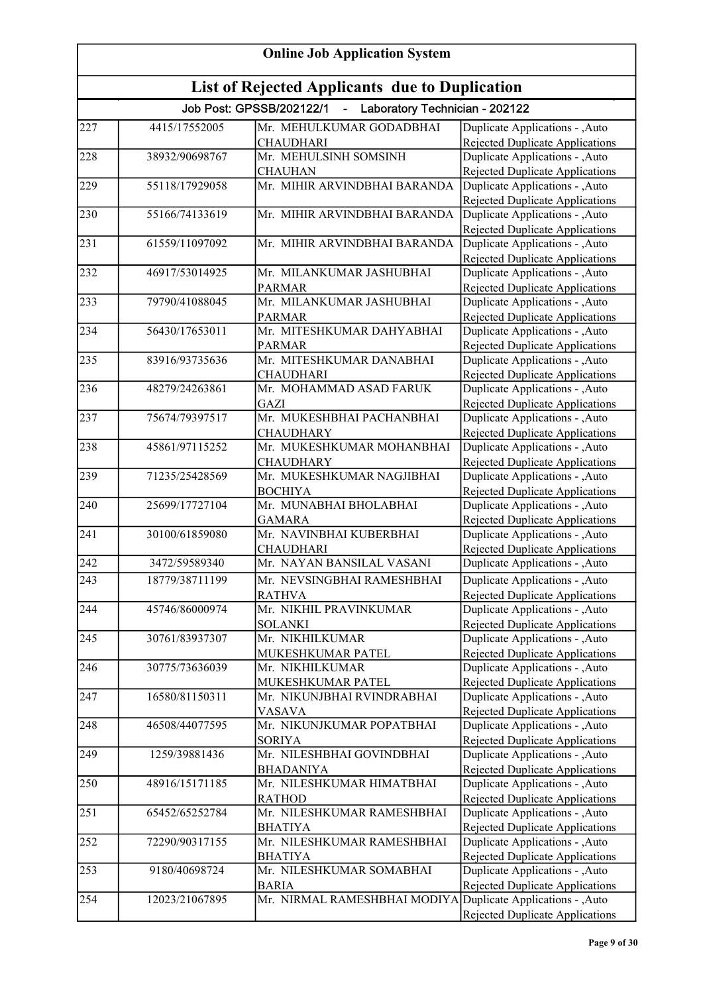| <b>Online Job Application System</b> |                                                |                                                              |                                                                           |  |
|--------------------------------------|------------------------------------------------|--------------------------------------------------------------|---------------------------------------------------------------------------|--|
|                                      | List of Rejected Applicants due to Duplication |                                                              |                                                                           |  |
|                                      |                                                | Job Post: GPSSB/202122/1<br>- Laboratory Technician - 202122 |                                                                           |  |
| 227                                  | 4415/17552005                                  | Mr. MEHULKUMAR GODADBHAI                                     | Duplicate Applications - , Auto                                           |  |
|                                      |                                                | <b>CHAUDHARI</b>                                             | Rejected Duplicate Applications                                           |  |
| 228                                  | 38932/90698767                                 | Mr. MEHULSINH SOMSINH                                        | Duplicate Applications - , Auto                                           |  |
| 229                                  | 55118/17929058                                 | <b>CHAUHAN</b><br>Mr. MIHIR ARVINDBHAI BARANDA               | <b>Rejected Duplicate Applications</b><br>Duplicate Applications - , Auto |  |
|                                      |                                                |                                                              | <b>Rejected Duplicate Applications</b>                                    |  |
| 230                                  | 55166/74133619                                 | Mr. MIHIR ARVINDBHAI BARANDA                                 | Duplicate Applications - , Auto                                           |  |
| 231                                  | 61559/11097092                                 | Mr. MIHIR ARVINDBHAI BARANDA                                 | Rejected Duplicate Applications                                           |  |
|                                      |                                                |                                                              | Duplicate Applications - , Auto<br>Rejected Duplicate Applications        |  |
| 232                                  | 46917/53014925                                 | Mr. MILANKUMAR JASHUBHAI                                     | Duplicate Applications - , Auto                                           |  |
|                                      |                                                | <b>PARMAR</b>                                                | Rejected Duplicate Applications                                           |  |
| 233                                  | 79790/41088045                                 | Mr. MILANKUMAR JASHUBHAI                                     | Duplicate Applications - , Auto                                           |  |
|                                      |                                                | <b>PARMAR</b>                                                | Rejected Duplicate Applications                                           |  |
| 234                                  | 56430/17653011                                 | Mr. MITESHKUMAR DAHYABHAI                                    | Duplicate Applications - , Auto                                           |  |
| 235                                  | 83916/93735636                                 | <b>PARMAR</b><br>Mr. MITESHKUMAR DANABHAI                    | Rejected Duplicate Applications<br>Duplicate Applications - , Auto        |  |
|                                      |                                                | <b>CHAUDHARI</b>                                             | <b>Rejected Duplicate Applications</b>                                    |  |
| 236                                  | 48279/24263861                                 | Mr. MOHAMMAD ASAD FARUK                                      | Duplicate Applications - , Auto                                           |  |
|                                      |                                                | <b>GAZI</b>                                                  | <b>Rejected Duplicate Applications</b>                                    |  |
| 237                                  | 75674/79397517                                 | Mr. MUKESHBHAI PACHANBHAI                                    | Duplicate Applications - , Auto                                           |  |
|                                      |                                                | <b>CHAUDHARY</b>                                             | <b>Rejected Duplicate Applications</b>                                    |  |
| 238                                  | 45861/97115252                                 | Mr. MUKESHKUMAR MOHANBHAI                                    | Duplicate Applications - , Auto                                           |  |
|                                      |                                                | <b>CHAUDHARY</b>                                             | <b>Rejected Duplicate Applications</b>                                    |  |
| 239                                  | 71235/25428569                                 | Mr. MUKESHKUMAR NAGJIBHAI                                    | Duplicate Applications - , Auto                                           |  |
|                                      |                                                | <b>BOCHIYA</b>                                               | <b>Rejected Duplicate Applications</b>                                    |  |
| 240                                  | 25699/17727104                                 | Mr. MUNABHAI BHOLABHAI                                       | Duplicate Applications - ,Auto                                            |  |
| 241                                  | 30100/61859080                                 | <b>GAMARA</b><br>Mr. NAVINBHAI KUBERBHAI                     | Rejected Duplicate Applications                                           |  |
|                                      |                                                | <b>CHAUDHARI</b>                                             | Duplicate Applications - ,Auto<br>Rejected Duplicate Applications         |  |
| 242                                  | 3472/59589340                                  | Mr. NAYAN BANSILAL VASANI                                    | Duplicate Applications - ,Auto                                            |  |
| 243                                  | 18779/38711199                                 | Mr. NEVSINGBHAI RAMESHBHAI                                   | Duplicate Applications - , Auto                                           |  |
|                                      |                                                | <b>RATHVA</b>                                                | Rejected Duplicate Applications                                           |  |
| 244                                  | 45746/86000974                                 | Mr. NIKHIL PRAVINKUMAR                                       | Duplicate Applications - , Auto                                           |  |
|                                      |                                                | <b>SOLANKI</b>                                               | <b>Rejected Duplicate Applications</b>                                    |  |
| 245                                  | 30761/83937307                                 | Mr. NIKHILKUMAR                                              | Duplicate Applications - , Auto                                           |  |
|                                      |                                                | MUKESHKUMAR PATEL                                            | <b>Rejected Duplicate Applications</b>                                    |  |
| 246                                  | 30775/73636039                                 | Mr. NIKHILKUMAR                                              | Duplicate Applications - , Auto                                           |  |
|                                      |                                                | MUKESHKUMAR PATEL                                            | Rejected Duplicate Applications                                           |  |
| 247                                  | 16580/81150311                                 | Mr. NIKUNJBHAI RVINDRABHAI                                   | Duplicate Applications - , Auto                                           |  |
|                                      |                                                | <b>VASAVA</b>                                                | <b>Rejected Duplicate Applications</b>                                    |  |
| 248                                  | 46508/44077595                                 | Mr. NIKUNJKUMAR POPATBHAI                                    | Duplicate Applications - , Auto                                           |  |
| 249                                  | 1259/39881436                                  | <b>SORIYA</b><br>Mr. NILESHBHAI GOVINDBHAI                   | Rejected Duplicate Applications<br>Duplicate Applications - , Auto        |  |
|                                      |                                                | <b>BHADANIYA</b>                                             | Rejected Duplicate Applications                                           |  |
| 250                                  | 48916/15171185                                 | Mr. NILESHKUMAR HIMATBHAI                                    | Duplicate Applications - , Auto                                           |  |
|                                      |                                                | <b>RATHOD</b>                                                | <b>Rejected Duplicate Applications</b>                                    |  |
| 251                                  | 65452/65252784                                 | Mr. NILESHKUMAR RAMESHBHAI                                   | Duplicate Applications - , Auto                                           |  |
|                                      |                                                | <b>BHATIYA</b>                                               | Rejected Duplicate Applications                                           |  |
| 252                                  | 72290/90317155                                 | Mr. NILESHKUMAR RAMESHBHAI                                   | Duplicate Applications - , Auto                                           |  |
|                                      |                                                | <b>BHATIYA</b>                                               | <b>Rejected Duplicate Applications</b>                                    |  |
| 253                                  | 9180/40698724                                  | Mr. NILESHKUMAR SOMABHAI                                     | Duplicate Applications - , Auto                                           |  |
|                                      |                                                | <b>BARIA</b>                                                 | Rejected Duplicate Applications                                           |  |
| 254                                  | 12023/21067895                                 | Mr. NIRMAL RAMESHBHAI MODIYA Duplicate Applications - , Auto |                                                                           |  |
|                                      |                                                |                                                              | Rejected Duplicate Applications                                           |  |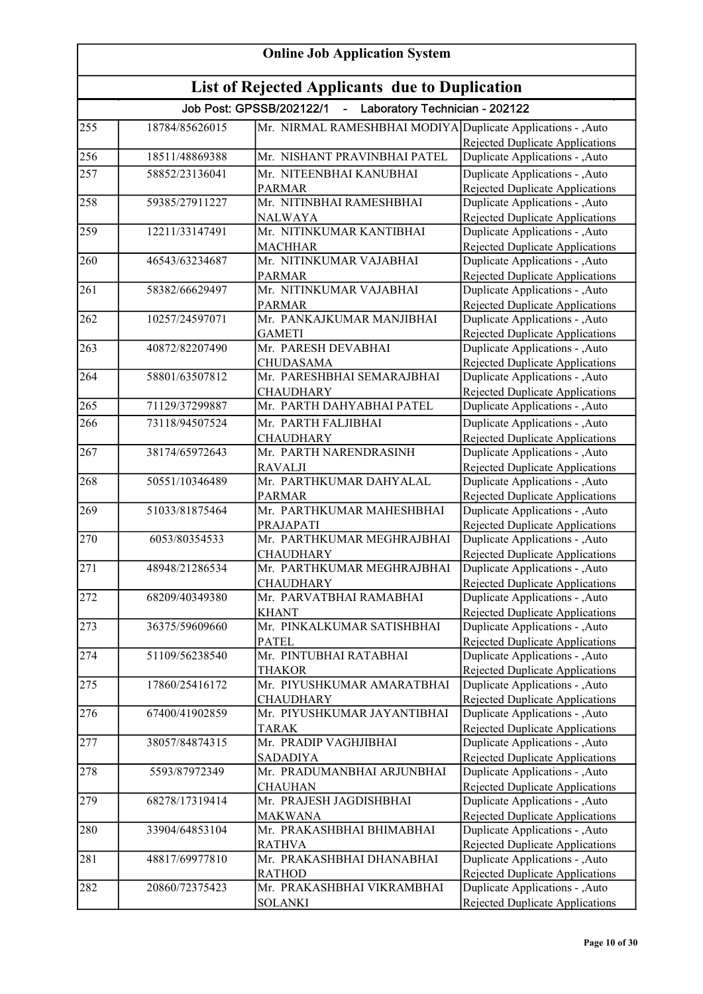| <b>Online Job Application System</b> |                                                       |                                                                         |                                                                           |  |
|--------------------------------------|-------------------------------------------------------|-------------------------------------------------------------------------|---------------------------------------------------------------------------|--|
|                                      | <b>List of Rejected Applicants due to Duplication</b> |                                                                         |                                                                           |  |
|                                      |                                                       | Job Post: GPSSB/202122/1<br>Laboratory Technician - 202122<br>$\sim 10$ |                                                                           |  |
| 255                                  | 18784/85626015                                        | Mr. NIRMAL RAMESHBHAI MODIYA Duplicate Applications - , Auto            |                                                                           |  |
|                                      |                                                       |                                                                         | Rejected Duplicate Applications                                           |  |
| 256                                  | 18511/48869388                                        | Mr. NISHANT PRAVINBHAI PATEL                                            | Duplicate Applications - , Auto                                           |  |
| 257                                  | 58852/23136041                                        | Mr. NITEENBHAI KANUBHAI                                                 | Duplicate Applications - , Auto                                           |  |
|                                      |                                                       | <b>PARMAR</b>                                                           | Rejected Duplicate Applications                                           |  |
| 258                                  | 59385/27911227                                        | Mr. NITINBHAI RAMESHBHAI                                                | Duplicate Applications - , Auto                                           |  |
|                                      |                                                       | <b>NALWAYA</b>                                                          | Rejected Duplicate Applications                                           |  |
| 259                                  | 12211/33147491                                        | Mr. NITINKUMAR KANTIBHAI                                                | Duplicate Applications - , Auto                                           |  |
|                                      |                                                       | <b>MACHHAR</b>                                                          | <b>Rejected Duplicate Applications</b>                                    |  |
| 260                                  | 46543/63234687                                        | Mr. NITINKUMAR VAJABHAI                                                 | Duplicate Applications - , Auto                                           |  |
|                                      |                                                       | <b>PARMAR</b>                                                           | <b>Rejected Duplicate Applications</b>                                    |  |
| 261                                  | 58382/66629497                                        | Mr. NITINKUMAR VAJABHAI                                                 | Duplicate Applications - , Auto                                           |  |
| 262                                  | 10257/24597071                                        | <b>PARMAR</b><br>Mr. PANKAJKUMAR MANJIBHAI                              | Rejected Duplicate Applications<br>Duplicate Applications - , Auto        |  |
|                                      |                                                       | <b>GAMETI</b>                                                           | Rejected Duplicate Applications                                           |  |
| 263                                  | 40872/82207490                                        | Mr. PARESH DEVABHAI                                                     | Duplicate Applications - ,Auto                                            |  |
|                                      |                                                       | <b>CHUDASAMA</b>                                                        | Rejected Duplicate Applications                                           |  |
| 264                                  | 58801/63507812                                        | Mr. PARESHBHAI SEMARAJBHAI                                              | Duplicate Applications - , Auto                                           |  |
|                                      |                                                       | <b>CHAUDHARY</b>                                                        | Rejected Duplicate Applications                                           |  |
| 265                                  | 71129/37299887                                        | Mr. PARTH DAHYABHAI PATEL                                               | Duplicate Applications - ,Auto                                            |  |
| 266                                  | 73118/94507524                                        | Mr. PARTH FALJIBHAI                                                     | Duplicate Applications - , Auto                                           |  |
|                                      |                                                       | <b>CHAUDHARY</b>                                                        | Rejected Duplicate Applications                                           |  |
| 267                                  | 38174/65972643                                        | Mr. PARTH NARENDRASINH                                                  | Duplicate Applications - , Auto                                           |  |
|                                      |                                                       | <b>RAVALJI</b>                                                          | <b>Rejected Duplicate Applications</b>                                    |  |
| 268                                  | 50551/10346489                                        | Mr. PARTHKUMAR DAHYALAL                                                 | Duplicate Applications - , Auto                                           |  |
|                                      |                                                       | <b>PARMAR</b>                                                           | Rejected Duplicate Applications                                           |  |
| 269                                  | 51033/81875464                                        | Mr. PARTHKUMAR MAHESHBHAI                                               | Duplicate Applications - , Auto                                           |  |
|                                      |                                                       | PRAJAPATI                                                               | Rejected Duplicate Applications                                           |  |
| 270                                  | 6053/80354533                                         | Mr. PARTHKUMAR MEGHRAJBHAI                                              | Duplicate Applications - , Auto                                           |  |
|                                      |                                                       | <b>CHAUDHARY</b>                                                        | <b>Rejected Duplicate Applications</b>                                    |  |
| $\overline{271}$                     | 48948/21286534                                        | Mr. PARTHKUMAR MEGHRAJBHAI                                              | Duplicate Applications - , Auto                                           |  |
|                                      |                                                       | <b>CHAUDHARY</b>                                                        | Rejected Duplicate Applications                                           |  |
| 272                                  | 68209/40349380                                        | Mr. PARVATBHAI RAMABHAI                                                 | Duplicate Applications - , Auto                                           |  |
|                                      |                                                       | <b>KHANT</b>                                                            | <b>Rejected Duplicate Applications</b>                                    |  |
| 273                                  | 36375/59609660                                        | Mr. PINKALKUMAR SATISHBHAI                                              | Duplicate Applications - , Auto                                           |  |
| 274                                  | 51109/56238540                                        | <b>PATEL</b><br>Mr. PINTUBHAI RATABHAI                                  | <b>Rejected Duplicate Applications</b><br>Duplicate Applications - , Auto |  |
|                                      |                                                       | <b>THAKOR</b>                                                           | Rejected Duplicate Applications                                           |  |
| 275                                  | 17860/25416172                                        | Mr. PIYUSHKUMAR AMARATBHAI                                              | Duplicate Applications - , Auto                                           |  |
|                                      |                                                       | <b>CHAUDHARY</b>                                                        | Rejected Duplicate Applications                                           |  |
| 276                                  | 67400/41902859                                        | Mr. PIYUSHKUMAR JAYANTIBHAI                                             | Duplicate Applications - , Auto                                           |  |
|                                      |                                                       | <b>TARAK</b>                                                            | <b>Rejected Duplicate Applications</b>                                    |  |
| 277                                  | 38057/84874315                                        | Mr. PRADIP VAGHJIBHAI                                                   | Duplicate Applications - , Auto                                           |  |
|                                      |                                                       | <b>SADADIYA</b>                                                         | Rejected Duplicate Applications                                           |  |
| 278                                  | 5593/87972349                                         | Mr. PRADUMANBHAI ARJUNBHAI                                              | Duplicate Applications - ,Auto                                            |  |
|                                      |                                                       | <b>CHAUHAN</b>                                                          | <b>Rejected Duplicate Applications</b>                                    |  |
| 279                                  | 68278/17319414                                        | Mr. PRAJESH JAGDISHBHAI                                                 | Duplicate Applications - , Auto                                           |  |
|                                      |                                                       | <b>MAKWANA</b>                                                          | Rejected Duplicate Applications                                           |  |
| 280                                  | 33904/64853104                                        | Mr. PRAKASHBHAI BHIMABHAI                                               | Duplicate Applications - , Auto                                           |  |
|                                      |                                                       | <b>RATHVA</b>                                                           | Rejected Duplicate Applications                                           |  |
| 281                                  | 48817/69977810                                        | Mr. PRAKASHBHAI DHANABHAI                                               | Duplicate Applications - , Auto                                           |  |
|                                      |                                                       | <b>RATHOD</b>                                                           | Rejected Duplicate Applications                                           |  |
| 282                                  | 20860/72375423                                        | Mr. PRAKASHBHAI VIKRAMBHAI                                              | Duplicate Applications - , Auto                                           |  |
|                                      |                                                       | <b>SOLANKI</b>                                                          | Rejected Duplicate Applications                                           |  |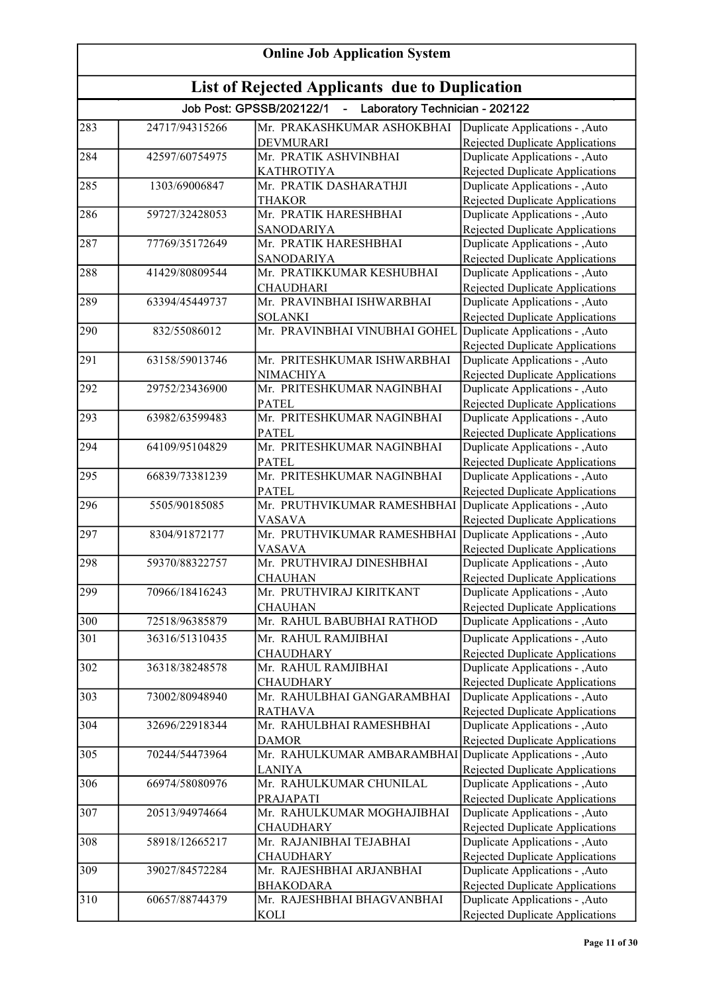| <b>Online Job Application System</b><br>List of Rejected Applicants due to Duplication |                |                                            |                                                                           |
|----------------------------------------------------------------------------------------|----------------|--------------------------------------------|---------------------------------------------------------------------------|
|                                                                                        |                |                                            |                                                                           |
| 283                                                                                    | 24717/94315266 | Mr. PRAKASHKUMAR ASHOKBHAI                 | Duplicate Applications - , Auto                                           |
|                                                                                        |                | <b>DEVMURARI</b>                           | Rejected Duplicate Applications                                           |
| 284                                                                                    | 42597/60754975 | Mr. PRATIK ASHVINBHAI                      | Duplicate Applications - , Auto                                           |
|                                                                                        |                | <b>KATHROTIYA</b>                          | <b>Rejected Duplicate Applications</b>                                    |
| 285                                                                                    | 1303/69006847  | Mr. PRATIK DASHARATHJI                     | Duplicate Applications - ,Auto                                            |
|                                                                                        |                | <b>THAKOR</b>                              | Rejected Duplicate Applications                                           |
| 286                                                                                    | 59727/32428053 | Mr. PRATIK HARESHBHAI                      | Duplicate Applications - ,Auto                                            |
| 287                                                                                    | 77769/35172649 | <b>SANODARIYA</b><br>Mr. PRATIK HARESHBHAI | Rejected Duplicate Applications<br>Duplicate Applications - ,Auto         |
|                                                                                        |                | <b>SANODARIYA</b>                          | Rejected Duplicate Applications                                           |
| 288                                                                                    | 41429/80809544 | Mr. PRATIKKUMAR KESHUBHAI                  | Duplicate Applications - , Auto                                           |
|                                                                                        |                | <b>CHAUDHARI</b>                           | Rejected Duplicate Applications                                           |
| 289                                                                                    | 63394/45449737 | Mr. PRAVINBHAI ISHWARBHAI                  | Duplicate Applications - , Auto                                           |
|                                                                                        |                | <b>SOLANKI</b>                             | Rejected Duplicate Applications                                           |
| 290                                                                                    | 832/55086012   | Mr. PRAVINBHAI VINUBHAI GOHEL              | Duplicate Applications - , Auto                                           |
|                                                                                        |                |                                            | <b>Rejected Duplicate Applications</b>                                    |
| 291                                                                                    | 63158/59013746 | Mr. PRITESHKUMAR ISHWARBHAI                | Duplicate Applications - ,Auto                                            |
|                                                                                        |                | NIMACHIYA                                  | <b>Rejected Duplicate Applications</b>                                    |
| 292                                                                                    | 29752/23436900 | Mr. PRITESHKUMAR NAGINBHAI                 | Duplicate Applications - , Auto                                           |
|                                                                                        |                | <b>PATEL</b>                               | <b>Rejected Duplicate Applications</b>                                    |
| 293                                                                                    | 63982/63599483 | Mr. PRITESHKUMAR NAGINBHAI                 | Duplicate Applications - , Auto                                           |
|                                                                                        |                | <b>PATEL</b>                               | <b>Rejected Duplicate Applications</b>                                    |
| 294                                                                                    | 64109/95104829 | Mr. PRITESHKUMAR NAGINBHAI                 | Duplicate Applications - , Auto                                           |
| 295                                                                                    | 66839/73381239 | <b>PATEL</b><br>Mr. PRITESHKUMAR NAGINBHAI | <b>Rejected Duplicate Applications</b><br>Duplicate Applications - , Auto |
|                                                                                        |                | <b>PATEL</b>                               | <b>Rejected Duplicate Applications</b>                                    |
| 296                                                                                    | 5505/90185085  | Mr. PRUTHVIKUMAR RAMESHBHAI                | Duplicate Applications - ,Auto                                            |
|                                                                                        |                | <b>VASAVA</b>                              | Rejected Duplicate Applications                                           |
| 297                                                                                    | 8304/91872177  | Mr. PRUTHVIKUMAR RAMESHBHAI                | Duplicate Applications - , Auto                                           |
|                                                                                        |                | <b>VASAVA</b>                              | Rejected Duplicate Applications                                           |
| 298                                                                                    | 59370/88322757 | Mr. PRUTHVIRAJ DINESHBHAI                  | Duplicate Applications - , Auto                                           |
|                                                                                        |                | <b>CHAUHAN</b>                             | Rejected Duplicate Applications                                           |
| 299                                                                                    | 70966/18416243 | Mr. PRUTHVIRAJ KIRITKANT                   | Duplicate Applications - , Auto                                           |
|                                                                                        |                | <b>CHAUHAN</b>                             | Rejected Duplicate Applications                                           |
| 300                                                                                    | 72518/96385879 | Mr. RAHUL BABUBHAI RATHOD                  | Duplicate Applications - , Auto                                           |
| 301                                                                                    | 36316/51310435 | Mr. RAHUL RAMJIBHAI                        | Duplicate Applications - , Auto                                           |
|                                                                                        |                | <b>CHAUDHARY</b>                           | Rejected Duplicate Applications                                           |
| 302                                                                                    | 36318/38248578 | Mr. RAHUL RAMJIBHAI                        | Duplicate Applications - , Auto                                           |
|                                                                                        |                | <b>CHAUDHARY</b>                           | Rejected Duplicate Applications                                           |
| 303                                                                                    | 73002/80948940 | Mr. RAHULBHAI GANGARAMBHAI                 | Duplicate Applications - , Auto                                           |
|                                                                                        |                | <b>RATHAVA</b>                             | <b>Rejected Duplicate Applications</b>                                    |
| 304                                                                                    | 32696/22918344 | Mr. RAHULBHAI RAMESHBHAI                   | Duplicate Applications - , Auto                                           |
| 305                                                                                    | 70244/54473964 | <b>DAMOR</b><br>Mr. RAHULKUMAR AMBARAMBHAI | Rejected Duplicate Applications<br>Duplicate Applications - , Auto        |
|                                                                                        |                | LANIYA                                     | Rejected Duplicate Applications                                           |
| 306                                                                                    | 66974/58080976 | Mr. RAHULKUMAR CHUNILAL                    | Duplicate Applications - , Auto                                           |
|                                                                                        |                | PRAJAPATI                                  | <b>Rejected Duplicate Applications</b>                                    |
| 307                                                                                    | 20513/94974664 | Mr. RAHULKUMAR MOGHAJIBHAI                 | Duplicate Applications - , Auto                                           |
|                                                                                        |                | <b>CHAUDHARY</b>                           | Rejected Duplicate Applications                                           |
| 308                                                                                    | 58918/12665217 | Mr. RAJANIBHAI TEJABHAI                    | Duplicate Applications - , Auto                                           |
|                                                                                        |                | <b>CHAUDHARY</b>                           | <b>Rejected Duplicate Applications</b>                                    |
| 309                                                                                    | 39027/84572284 | Mr. RAJESHBHAI ARJANBHAI                   | Duplicate Applications - , Auto                                           |
|                                                                                        |                | <b>BHAKODARA</b>                           | Rejected Duplicate Applications                                           |
| 310                                                                                    | 60657/88744379 | Mr. RAJESHBHAI BHAGVANBHAI                 | Duplicate Applications - , Auto                                           |
|                                                                                        |                | <b>KOLI</b>                                | Rejected Duplicate Applications                                           |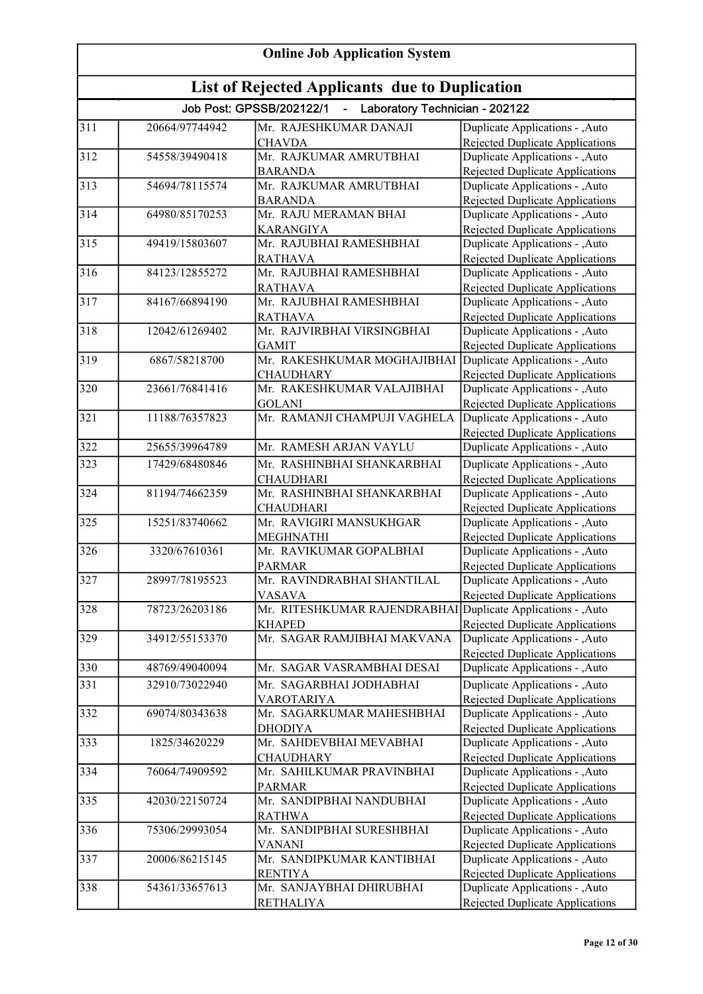| <b>Online Job Application System</b><br>List of Rejected Applicants due to Duplication |                |                                                              |                                                                    |
|----------------------------------------------------------------------------------------|----------------|--------------------------------------------------------------|--------------------------------------------------------------------|
|                                                                                        |                |                                                              |                                                                    |
| 311                                                                                    | 20664/97744942 | Mr. RAJESHKUMAR DANAJI                                       | Duplicate Applications - , Auto                                    |
|                                                                                        |                | <b>CHAVDA</b>                                                | Rejected Duplicate Applications                                    |
| 312                                                                                    | 54558/39490418 | Mr. RAJKUMAR AMRUTBHAI                                       | Duplicate Applications - ,Auto                                     |
|                                                                                        |                | <b>BARANDA</b>                                               | <b>Rejected Duplicate Applications</b>                             |
| $\overline{313}$                                                                       | 54694/78115574 | Mr. RAJKUMAR AMRUTBHAI                                       | Duplicate Applications - , Auto                                    |
|                                                                                        |                | <b>BARANDA</b>                                               | Rejected Duplicate Applications                                    |
| 314                                                                                    | 64980/85170253 | Mr. RAJU MERAMAN BHAI                                        | Duplicate Applications - ,Auto                                     |
|                                                                                        |                | <b>KARANGIYA</b>                                             | Rejected Duplicate Applications                                    |
| 315                                                                                    | 49419/15803607 | Mr. RAJUBHAI RAMESHBHAI                                      | Duplicate Applications - , Auto                                    |
| 316                                                                                    | 84123/12855272 | <b>RATHAVA</b><br>Mr. RAJUBHAI RAMESHBHAI                    | Rejected Duplicate Applications<br>Duplicate Applications - , Auto |
|                                                                                        |                | <b>RATHAVA</b>                                               | Rejected Duplicate Applications                                    |
| 317                                                                                    | 84167/66894190 | Mr. RAJUBHAI RAMESHBHAI                                      | Duplicate Applications - , Auto                                    |
|                                                                                        |                | <b>RATHAVA</b>                                               | Rejected Duplicate Applications                                    |
| 318                                                                                    | 12042/61269402 | Mr. RAJVIRBHAI VIRSINGBHAI                                   | Duplicate Applications - , Auto                                    |
|                                                                                        |                | <b>GAMIT</b>                                                 | Rejected Duplicate Applications                                    |
| 319                                                                                    | 6867/58218700  | Mr. RAKESHKUMAR MOGHAJIBHAI                                  | Duplicate Applications - , Auto                                    |
|                                                                                        |                | <b>CHAUDHARY</b>                                             | Rejected Duplicate Applications                                    |
| 320                                                                                    | 23661/76841416 | Mr. RAKESHKUMAR VALAJIBHAI                                   | Duplicate Applications - , Auto                                    |
|                                                                                        |                | <b>GOLANI</b>                                                | Rejected Duplicate Applications                                    |
| $\overline{321}$                                                                       | 11188/76357823 | Mr. RAMANJI CHAMPUJI VAGHELA                                 | Duplicate Applications - , Auto                                    |
|                                                                                        |                |                                                              | <b>Rejected Duplicate Applications</b>                             |
| 322                                                                                    | 25655/39964789 | Mr. RAMESH ARJAN VAYLU                                       | Duplicate Applications - , Auto                                    |
| 323                                                                                    | 17429/68480846 | Mr. RASHINBHAI SHANKARBHAI                                   | Duplicate Applications - , Auto                                    |
|                                                                                        |                | <b>CHAUDHARI</b>                                             | <b>Rejected Duplicate Applications</b>                             |
| 324                                                                                    | 81194/74662359 | Mr. RASHINBHAI SHANKARBHAI                                   | Duplicate Applications - ,Auto                                     |
|                                                                                        |                | <b>CHAUDHARI</b>                                             | Rejected Duplicate Applications                                    |
| 325                                                                                    | 15251/83740662 | Mr. RAVIGIRI MANSUKHGAR                                      | Duplicate Applications - , Auto                                    |
|                                                                                        |                | <b>MEGHNATHI</b>                                             | <b>Rejected Duplicate Applications</b>                             |
| 326                                                                                    | 3320/67610361  | Mr. RAVIKUMAR GOPALBHAI                                      | Duplicate Applications - , Auto                                    |
|                                                                                        | 28997/78195523 | <b>PARMAR</b>                                                | Rejected Duplicate Applications                                    |
| 327                                                                                    |                | Mr. RAVINDRABHAI SHANTILAL<br><b>VASAVA</b>                  | Duplicate Applications - , Auto                                    |
| 328                                                                                    | 78723/26203186 | Mr. RITESHKUMAR RAJENDRABHAI Duplicate Applications - , Auto | Rejected Duplicate Applications                                    |
|                                                                                        |                | <b>KHAPED</b>                                                | <b>Rejected Duplicate Applications</b>                             |
| 329                                                                                    | 34912/55153370 | Mr. SAGAR RAMJIBHAI MAKVANA                                  | Duplicate Applications - , Auto                                    |
|                                                                                        |                |                                                              | <b>Rejected Duplicate Applications</b>                             |
| 330                                                                                    | 48769/49040094 | Mr. SAGAR VASRAMBHAI DESAI                                   | Duplicate Applications - , Auto                                    |
| 331                                                                                    | 32910/73022940 | Mr. SAGARBHAI JODHABHAI                                      | Duplicate Applications - , Auto                                    |
|                                                                                        |                | <b>VAROTARIYA</b>                                            | Rejected Duplicate Applications                                    |
| 332                                                                                    | 69074/80343638 | Mr. SAGARKUMAR MAHESHBHAI                                    | Duplicate Applications - , Auto                                    |
|                                                                                        |                | <b>DHODIYA</b>                                               | Rejected Duplicate Applications                                    |
| 333                                                                                    | 1825/34620229  | Mr. SAHDEVBHAI MEVABHAI                                      | Duplicate Applications - , Auto                                    |
|                                                                                        |                | <b>CHAUDHARY</b>                                             | Rejected Duplicate Applications                                    |
| 334                                                                                    | 76064/74909592 | Mr. SAHILKUMAR PRAVINBHAI                                    | Duplicate Applications - ,Auto                                     |
|                                                                                        |                | <b>PARMAR</b>                                                | <b>Rejected Duplicate Applications</b>                             |
| 335                                                                                    | 42030/22150724 | Mr. SANDIPBHAI NANDUBHAI                                     | Duplicate Applications - ,Auto                                     |
|                                                                                        |                | <b>RATHWA</b>                                                | Rejected Duplicate Applications                                    |
| 336                                                                                    | 75306/29993054 | Mr. SANDIPBHAI SURESHBHAI                                    | Duplicate Applications - , Auto                                    |
|                                                                                        |                | VANANI                                                       | Rejected Duplicate Applications                                    |
| 337                                                                                    | 20006/86215145 | Mr. SANDIPKUMAR KANTIBHAI                                    | Duplicate Applications - , Auto                                    |
|                                                                                        |                | <b>RENTIYA</b>                                               | Rejected Duplicate Applications                                    |
| 338                                                                                    | 54361/33657613 | Mr. SANJAYBHAI DHIRUBHAI                                     | Duplicate Applications - , Auto                                    |
|                                                                                        |                | <b>RETHALIYA</b>                                             | Rejected Duplicate Applications                                    |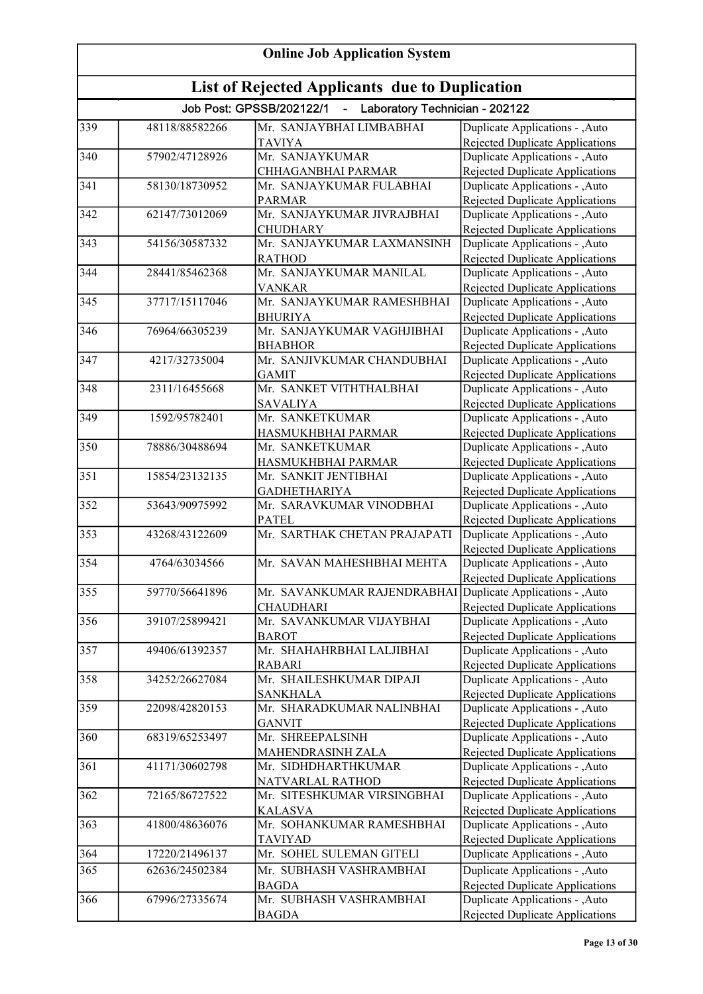| <b>Online Job Application System</b><br><b>List of Rejected Applicants due to Duplication</b> |                |                                                 |                                                                           |
|-----------------------------------------------------------------------------------------------|----------------|-------------------------------------------------|---------------------------------------------------------------------------|
|                                                                                               |                |                                                 |                                                                           |
| 339                                                                                           | 48118/88582266 | Mr. SANJAYBHAI LIMBABHAI                        | Duplicate Applications - , Auto                                           |
|                                                                                               |                | <b>TAVIYA</b>                                   | Rejected Duplicate Applications                                           |
| 340                                                                                           | 57902/47128926 | Mr. SANJAYKUMAR                                 | Duplicate Applications - , Auto                                           |
|                                                                                               |                | CHHAGANBHAI PARMAR                              | Rejected Duplicate Applications                                           |
| $\overline{341}$                                                                              | 58130/18730952 | Mr. SANJAYKUMAR FULABHAI                        | Duplicate Applications - , Auto                                           |
|                                                                                               |                | <b>PARMAR</b>                                   | Rejected Duplicate Applications                                           |
| 342                                                                                           | 62147/73012069 | Mr. SANJAYKUMAR JIVRAJBHAI                      | Duplicate Applications - , Auto                                           |
|                                                                                               |                | <b>CHUDHARY</b>                                 | Rejected Duplicate Applications                                           |
| 343                                                                                           | 54156/30587332 | Mr. SANJAYKUMAR LAXMANSINH                      | Duplicate Applications - , Auto                                           |
| 344                                                                                           | 28441/85462368 | <b>RATHOD</b><br>Mr. SANJAYKUMAR MANILAL        | Rejected Duplicate Applications<br>Duplicate Applications - , Auto        |
|                                                                                               |                | <b>VANKAR</b>                                   | Rejected Duplicate Applications                                           |
| 345                                                                                           | 37717/15117046 | Mr. SANJAYKUMAR RAMESHBHAI                      | Duplicate Applications - , Auto                                           |
|                                                                                               |                | <b>BHURIYA</b>                                  | <b>Rejected Duplicate Applications</b>                                    |
| $\overline{346}$                                                                              | 76964/66305239 | Mr. SANJAYKUMAR VAGHJIBHAI                      | Duplicate Applications - , Auto                                           |
|                                                                                               |                | <b>BHABHOR</b>                                  | <b>Rejected Duplicate Applications</b>                                    |
| 347                                                                                           | 4217/32735004  | Mr. SANJIVKUMAR CHANDUBHAI                      | Duplicate Applications - , Auto                                           |
|                                                                                               |                | <b>GAMIT</b>                                    | <b>Rejected Duplicate Applications</b>                                    |
| 348                                                                                           | 2311/16455668  | Mr. SANKET VITHTHALBHAI                         | Duplicate Applications - , Auto                                           |
|                                                                                               |                | <b>SAVALIYA</b>                                 | <b>Rejected Duplicate Applications</b>                                    |
| 349                                                                                           | 1592/95782401  | Mr. SANKETKUMAR                                 | Duplicate Applications - , Auto                                           |
|                                                                                               |                | HASMUKHBHAI PARMAR                              | Rejected Duplicate Applications                                           |
| 350                                                                                           | 78886/30488694 | Mr. SANKETKUMAR                                 | Duplicate Applications - , Auto                                           |
|                                                                                               |                | HASMUKHBHAI PARMAR                              | <b>Rejected Duplicate Applications</b>                                    |
| 351                                                                                           | 15854/23132135 | Mr. SANKIT JENTIBHAI                            | Duplicate Applications - , Auto                                           |
| 352                                                                                           | 53643/90975992 | <b>GADHETHARIYA</b><br>Mr. SARAVKUMAR VINODBHAI | Rejected Duplicate Applications<br>Duplicate Applications - , Auto        |
|                                                                                               |                | <b>PATEL</b>                                    | Rejected Duplicate Applications                                           |
| 353                                                                                           | 43268/43122609 | Mr. SARTHAK CHETAN PRAJAPATI                    | Duplicate Applications - , Auto                                           |
|                                                                                               |                |                                                 | Rejected Duplicate Applications                                           |
| 354                                                                                           | 4764/63034566  | Mr. SAVAN MAHESHBHAI MEHTA                      | Duplicate Applications - , Auto                                           |
|                                                                                               |                |                                                 | Rejected Duplicate Applications                                           |
| 355                                                                                           | 59770/56641896 | Mr. SAVANKUMAR RAJENDRABHAI                     | Duplicate Applications - , Auto                                           |
|                                                                                               |                | <b>CHAUDHARI</b>                                | Rejected Duplicate Applications                                           |
| 356                                                                                           | 39107/25899421 | Mr. SAVANKUMAR VIJAYBHAI                        | Duplicate Applications - , Auto                                           |
|                                                                                               |                | <b>BAROT</b>                                    | Rejected Duplicate Applications                                           |
| 357                                                                                           | 49406/61392357 | Mr. SHAHAHRBHAI LALJIBHAI                       | Duplicate Applications - , Auto                                           |
|                                                                                               |                | <b>RABARI</b>                                   | Rejected Duplicate Applications                                           |
| 358                                                                                           | 34252/26627084 | Mr. SHAILESHKUMAR DIPAJI                        | Duplicate Applications - , Auto                                           |
|                                                                                               |                | <b>SANKHALA</b>                                 | Rejected Duplicate Applications                                           |
| 359                                                                                           | 22098/42820153 | Mr. SHARADKUMAR NALINBHAI<br><b>GANVIT</b>      | Duplicate Applications - , Auto                                           |
| 360                                                                                           | 68319/65253497 | Mr. SHREEPALSINH                                | <b>Rejected Duplicate Applications</b><br>Duplicate Applications - , Auto |
|                                                                                               |                | MAHENDRASINH ZALA                               | Rejected Duplicate Applications                                           |
| 361                                                                                           | 41171/30602798 | Mr. SIDHDHARTHKUMAR                             | Duplicate Applications - , Auto                                           |
|                                                                                               |                | NATVARLAL RATHOD                                | Rejected Duplicate Applications                                           |
| 362                                                                                           | 72165/86727522 | Mr. SITESHKUMAR VIRSINGBHAI                     | Duplicate Applications - , Auto                                           |
|                                                                                               |                | <b>KALASVA</b>                                  | <b>Rejected Duplicate Applications</b>                                    |
| 363                                                                                           | 41800/48636076 | Mr. SOHANKUMAR RAMESHBHAI                       | Duplicate Applications - , Auto                                           |
|                                                                                               |                | <b>TAVIYAD</b>                                  | Rejected Duplicate Applications                                           |
| 364                                                                                           | 17220/21496137 | Mr. SOHEL SULEMAN GITELI                        | Duplicate Applications - , Auto                                           |
| 365                                                                                           | 62636/24502384 | Mr. SUBHASH VASHRAMBHAI                         | Duplicate Applications - ,Auto                                            |
|                                                                                               |                | <b>BAGDA</b>                                    | Rejected Duplicate Applications                                           |
| 366                                                                                           | 67996/27335674 | Mr. SUBHASH VASHRAMBHAI                         | Duplicate Applications - , Auto                                           |
|                                                                                               |                | <b>BAGDA</b>                                    | Rejected Duplicate Applications                                           |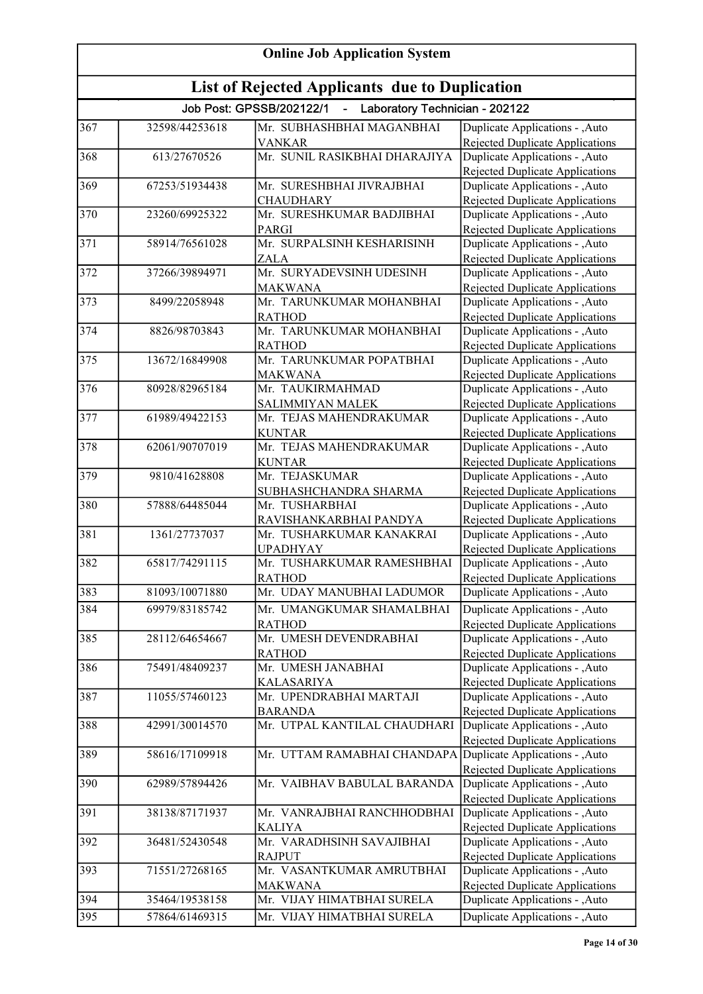| <b>Online Job Application System</b> |                                                |                                                                   |                                                                                                              |  |
|--------------------------------------|------------------------------------------------|-------------------------------------------------------------------|--------------------------------------------------------------------------------------------------------------|--|
|                                      | List of Rejected Applicants due to Duplication |                                                                   |                                                                                                              |  |
|                                      |                                                | Job Post: GPSSB/202122/1<br>- Laboratory Technician - 202122      |                                                                                                              |  |
| 367                                  | 32598/44253618                                 | Mr. SUBHASHBHAI MAGANBHAI<br><b>VANKAR</b>                        | Duplicate Applications - , Auto<br>Rejected Duplicate Applications                                           |  |
| 368                                  | 613/27670526                                   | Mr. SUNIL RASIKBHAI DHARAJIYA                                     | Duplicate Applications - , Auto<br>Rejected Duplicate Applications                                           |  |
| 369                                  | 67253/51934438                                 | Mr. SURESHBHAI JIVRAJBHAI                                         | Duplicate Applications - , Auto                                                                              |  |
| 370                                  | 23260/69925322                                 | <b>CHAUDHARY</b><br>Mr. SURESHKUMAR BADJIBHAI                     | Rejected Duplicate Applications<br>Duplicate Applications - , Auto                                           |  |
| 371                                  | 58914/76561028                                 | PARGI<br>Mr. SURPALSINH KESHARISINH                               | Rejected Duplicate Applications<br>Duplicate Applications - , Auto                                           |  |
| 372                                  | 37266/39894971                                 | <b>ZALA</b><br>Mr. SURYADEVSINH UDESINH                           | Rejected Duplicate Applications<br>Duplicate Applications - , Auto                                           |  |
| 373                                  | 8499/22058948                                  | <b>MAKWANA</b><br>Mr. TARUNKUMAR MOHANBHAI                        | Rejected Duplicate Applications<br>Duplicate Applications - , Auto                                           |  |
| 374                                  | 8826/98703843                                  | <b>RATHOD</b><br>Mr. TARUNKUMAR MOHANBHAI                         | Rejected Duplicate Applications<br>Duplicate Applications - ,Auto                                            |  |
| 375                                  | 13672/16849908                                 | <b>RATHOD</b><br>Mr. TARUNKUMAR POPATBHAI                         | <b>Rejected Duplicate Applications</b><br>Duplicate Applications - , Auto                                    |  |
|                                      |                                                | <b>MAKWANA</b>                                                    | <b>Rejected Duplicate Applications</b>                                                                       |  |
| 376                                  | 80928/82965184                                 | Mr. TAUKIRMAHMAD<br><b>SALIMMIYAN MALEK</b>                       | Duplicate Applications - , Auto<br><b>Rejected Duplicate Applications</b>                                    |  |
| 377                                  | 61989/49422153                                 | Mr. TEJAS MAHENDRAKUMAR<br><b>KUNTAR</b>                          | Duplicate Applications - , Auto<br>Rejected Duplicate Applications                                           |  |
| 378                                  | 62061/90707019                                 | Mr. TEJAS MAHENDRAKUMAR<br><b>KUNTAR</b>                          | Duplicate Applications - ,Auto<br><b>Rejected Duplicate Applications</b>                                     |  |
| 379                                  | 9810/41628808                                  | Mr. TEJASKUMAR                                                    | Duplicate Applications - , Auto                                                                              |  |
| 380                                  | 57888/64485044                                 | SUBHASHCHANDRA SHARMA<br>Mr. TUSHARBHAI<br>RAVISHANKARBHAI PANDYA | <b>Rejected Duplicate Applications</b><br>Duplicate Applications - , Auto<br>Rejected Duplicate Applications |  |
| 381                                  | 1361/27737037                                  | Mr. TUSHARKUMAR KANAKRAI                                          | Duplicate Applications - , Auto                                                                              |  |
| 382                                  | 65817/74291115                                 | <b>UPADHYAY</b><br>Mr. TUSHARKUMAR RAMESHBHAI                     | Rejected Duplicate Applications<br>Duplicate Applications - , Auto                                           |  |
| 383                                  | 81093/10071880                                 | <b>RATHOD</b><br>Mr. UDAY MANUBHAI LADUMOR                        | Rejected Duplicate Applications<br>Duplicate Applications - , Auto                                           |  |
| 384                                  | 69979/83185742                                 | Mr. UMANGKUMAR SHAMALBHAI                                         | Duplicate Applications - , Auto                                                                              |  |
| 385                                  | 28112/64654667                                 | <b>RATHOD</b><br>Mr. UMESH DEVENDRABHAI<br><b>RATHOD</b>          | Rejected Duplicate Applications<br>Duplicate Applications - , Auto<br><b>Rejected Duplicate Applications</b> |  |
| 386                                  | 75491/48409237                                 | Mr. UMESH JANABHAI<br><b>KALASARIYA</b>                           | Duplicate Applications - , Auto<br>Rejected Duplicate Applications                                           |  |
| 387                                  | 11055/57460123                                 | Mr. UPENDRABHAI MARTAJI                                           | Duplicate Applications - , Auto                                                                              |  |
| 388                                  | 42991/30014570                                 | <b>BARANDA</b><br>Mr. UTPAL KANTILAL CHAUDHARI                    | <b>Rejected Duplicate Applications</b><br>Duplicate Applications - , Auto<br>Rejected Duplicate Applications |  |
| 389                                  | 58616/17109918                                 | Mr. UTTAM RAMABHAI CHANDAPA                                       | Duplicate Applications - , Auto<br>Rejected Duplicate Applications                                           |  |
| 390                                  | 62989/57894426                                 | Mr. VAIBHAV BABULAL BARANDA                                       | Duplicate Applications - , Auto                                                                              |  |
| 391                                  | 38138/87171937                                 | Mr. VANRAJBHAI RANCHHODBHAI                                       | <b>Rejected Duplicate Applications</b><br>Duplicate Applications - ,Auto                                     |  |
| 392                                  | 36481/52430548                                 | <b>KALIYA</b><br>Mr. VARADHSINH SAVAJIBHAI                        | Rejected Duplicate Applications<br>Duplicate Applications - ,Auto                                            |  |
| 393                                  | 71551/27268165                                 | <b>RAJPUT</b><br>Mr. VASANTKUMAR AMRUTBHAI<br><b>MAKWANA</b>      | <b>Rejected Duplicate Applications</b><br>Duplicate Applications - ,Auto<br>Rejected Duplicate Applications  |  |
| 394                                  | 35464/19538158                                 | Mr. VIJAY HIMATBHAI SURELA                                        | Duplicate Applications - , Auto                                                                              |  |
| 395                                  | 57864/61469315                                 | Mr. VIJAY HIMATBHAI SURELA                                        | Duplicate Applications - , Auto                                                                              |  |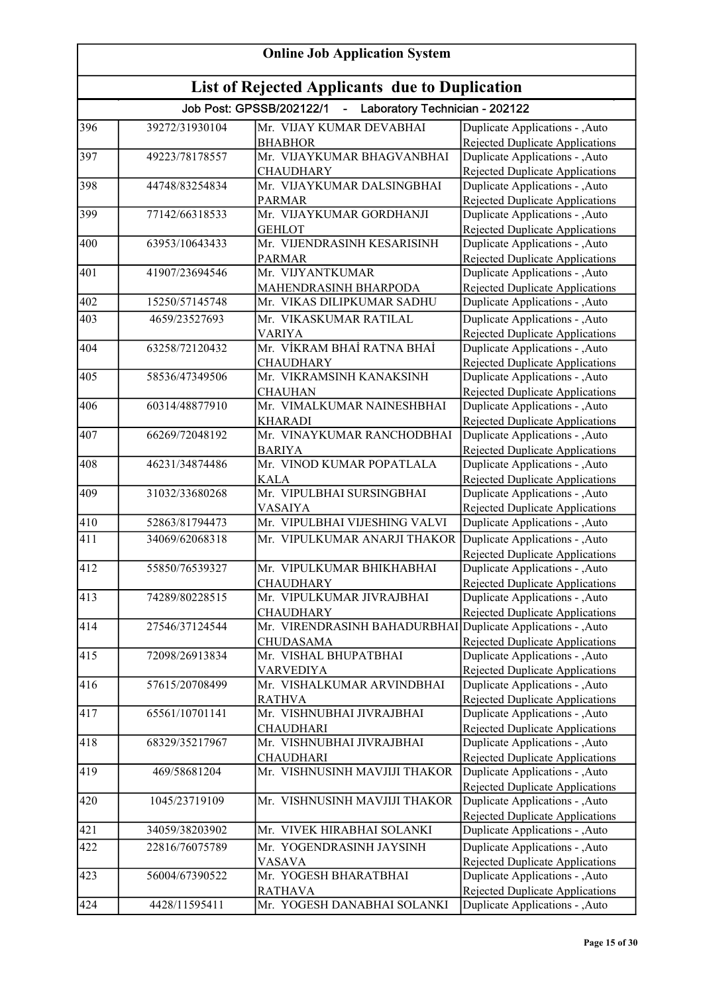| <b>Online Job Application System</b><br>List of Rejected Applicants due to Duplication |                |                                                              |                                                                          |
|----------------------------------------------------------------------------------------|----------------|--------------------------------------------------------------|--------------------------------------------------------------------------|
|                                                                                        |                |                                                              |                                                                          |
| 396                                                                                    | 39272/31930104 | Mr. VIJAY KUMAR DEVABHAI                                     | Duplicate Applications - , Auto                                          |
|                                                                                        |                | <b>BHABHOR</b>                                               | Rejected Duplicate Applications                                          |
| 397                                                                                    | 49223/78178557 | Mr. VIJAYKUMAR BHAGVANBHAI                                   | Duplicate Applications - , Auto                                          |
|                                                                                        |                | <b>CHAUDHARY</b>                                             | <b>Rejected Duplicate Applications</b>                                   |
| 398                                                                                    | 44748/83254834 | Mr. VIJAYKUMAR DALSINGBHAI                                   | Duplicate Applications - ,Auto                                           |
|                                                                                        |                | <b>PARMAR</b>                                                | Rejected Duplicate Applications                                          |
| 399                                                                                    | 77142/66318533 | Mr. VIJAYKUMAR GORDHANJI                                     | Duplicate Applications - ,Auto                                           |
| 400                                                                                    | 63953/10643433 | <b>GEHLOT</b><br>Mr. VIJENDRASINH KESARISINH                 | Rejected Duplicate Applications<br>Duplicate Applications - , Auto       |
|                                                                                        |                | <b>PARMAR</b>                                                | Rejected Duplicate Applications                                          |
| 401                                                                                    | 41907/23694546 | Mr. VIJYANTKUMAR                                             | Duplicate Applications - , Auto                                          |
|                                                                                        |                | MAHENDRASINH BHARPODA                                        | Rejected Duplicate Applications                                          |
| 402                                                                                    | 15250/57145748 | Mr. VIKAS DILIPKUMAR SADHU                                   | Duplicate Applications - ,Auto                                           |
| 403                                                                                    | 4659/23527693  | Mr. VIKASKUMAR RATILAL                                       | Duplicate Applications - , Auto                                          |
|                                                                                        |                | <b>VARIYA</b>                                                | Rejected Duplicate Applications                                          |
| 404                                                                                    | 63258/72120432 | Mr. VİKRAM BHAİ RATNA BHAİ                                   | Duplicate Applications - ,Auto                                           |
|                                                                                        |                | <b>CHAUDHARY</b>                                             | <b>Rejected Duplicate Applications</b>                                   |
| 405                                                                                    | 58536/47349506 | Mr. VIKRAMSINH KANAKSINH                                     | Duplicate Applications - , Auto                                          |
|                                                                                        |                | <b>CHAUHAN</b>                                               | <b>Rejected Duplicate Applications</b>                                   |
| 406                                                                                    | 60314/48877910 | Mr. VIMALKUMAR NAINESHBHAI                                   | Duplicate Applications - , Auto                                          |
|                                                                                        |                | <b>KHARADI</b>                                               | Rejected Duplicate Applications                                          |
| 407                                                                                    | 66269/72048192 | Mr. VINAYKUMAR RANCHODBHAI                                   | Duplicate Applications - , Auto                                          |
| 408                                                                                    | 46231/34874486 | <b>BARIYA</b><br>Mr. VINOD KUMAR POPATLALA                   | Rejected Duplicate Applications                                          |
|                                                                                        |                | <b>KALA</b>                                                  | Duplicate Applications - , Auto<br>Rejected Duplicate Applications       |
| 409                                                                                    | 31032/33680268 | Mr. VIPULBHAI SURSINGBHAI                                    | Duplicate Applications - , Auto                                          |
|                                                                                        |                | <b>VASAIYA</b>                                               | <b>Rejected Duplicate Applications</b>                                   |
| 410                                                                                    | 52863/81794473 | Mr. VIPULBHAI VIJESHING VALVI                                | Duplicate Applications - , Auto                                          |
| 411                                                                                    | 34069/62068318 | Mr. VIPULKUMAR ANARJI THAKOR Duplicate Applications - , Auto |                                                                          |
|                                                                                        |                |                                                              | <b>Rejected Duplicate Applications</b>                                   |
| $\overline{412}$                                                                       | 55850/76539327 | Mr. VIPULKUMAR BHIKHABHAI                                    | Duplicate Applications - , Auto                                          |
|                                                                                        |                | <b>CHAUDHARY</b>                                             | Rejected Duplicate Applications                                          |
| 413                                                                                    | 74289/80228515 | Mr. VIPULKUMAR JIVRAJBHAI                                    | Duplicate Applications - , Auto                                          |
|                                                                                        |                | <b>CHAUDHARY</b>                                             | Rejected Duplicate Applications                                          |
| 414                                                                                    | 27546/37124544 | Mr. VIRENDRASINH BAHADURBHAI                                 | Duplicate Applications - , Auto                                          |
|                                                                                        | 72098/26913834 | CHUDASAMA<br>Mr. VISHAL BHUPATBHAI                           | <b>Rejected Duplicate Applications</b>                                   |
| 415                                                                                    |                | <b>VARVEDIYA</b>                                             | Duplicate Applications - , Auto<br>Rejected Duplicate Applications       |
| 416                                                                                    | 57615/20708499 | Mr. VISHALKUMAR ARVINDBHAI                                   | Duplicate Applications - , Auto                                          |
|                                                                                        |                | <b>RATHVA</b>                                                | <b>Rejected Duplicate Applications</b>                                   |
| 417                                                                                    | 65561/10701141 | Mr. VISHNUBHAI JIVRAJBHAI                                    | Duplicate Applications - , Auto                                          |
|                                                                                        |                | <b>CHAUDHARI</b>                                             | Rejected Duplicate Applications                                          |
| 418                                                                                    | 68329/35217967 | Mr. VISHNUBHAI JIVRAJBHAI                                    | Duplicate Applications - ,Auto                                           |
|                                                                                        |                | <b>CHAUDHARI</b>                                             | Rejected Duplicate Applications                                          |
| 419                                                                                    | 469/58681204   | Mr. VISHNUSINH MAVJIJI THAKOR                                | Duplicate Applications - , Auto                                          |
|                                                                                        |                |                                                              | <b>Rejected Duplicate Applications</b>                                   |
| 420                                                                                    | 1045/23719109  | Mr. VISHNUSINH MAVJIJI THAKOR                                | Duplicate Applications - , Auto                                          |
|                                                                                        |                |                                                              | Rejected Duplicate Applications                                          |
| 421                                                                                    | 34059/38203902 | Mr. VIVEK HIRABHAI SOLANKI                                   | Duplicate Applications - , Auto                                          |
| 422                                                                                    | 22816/76075789 | Mr. YOGENDRASINH JAYSINH                                     | Duplicate Applications - , Auto                                          |
| 423                                                                                    | 56004/67390522 | <b>VASAVA</b><br>Mr. YOGESH BHARATBHAI                       | <b>Rejected Duplicate Applications</b>                                   |
|                                                                                        |                | <b>RATHAVA</b>                                               | Duplicate Applications - ,Auto<br><b>Rejected Duplicate Applications</b> |
| 424                                                                                    | 4428/11595411  | Mr. YOGESH DANABHAI SOLANKI                                  | Duplicate Applications - ,Auto                                           |
|                                                                                        |                |                                                              |                                                                          |

Rejected Duplicate Applications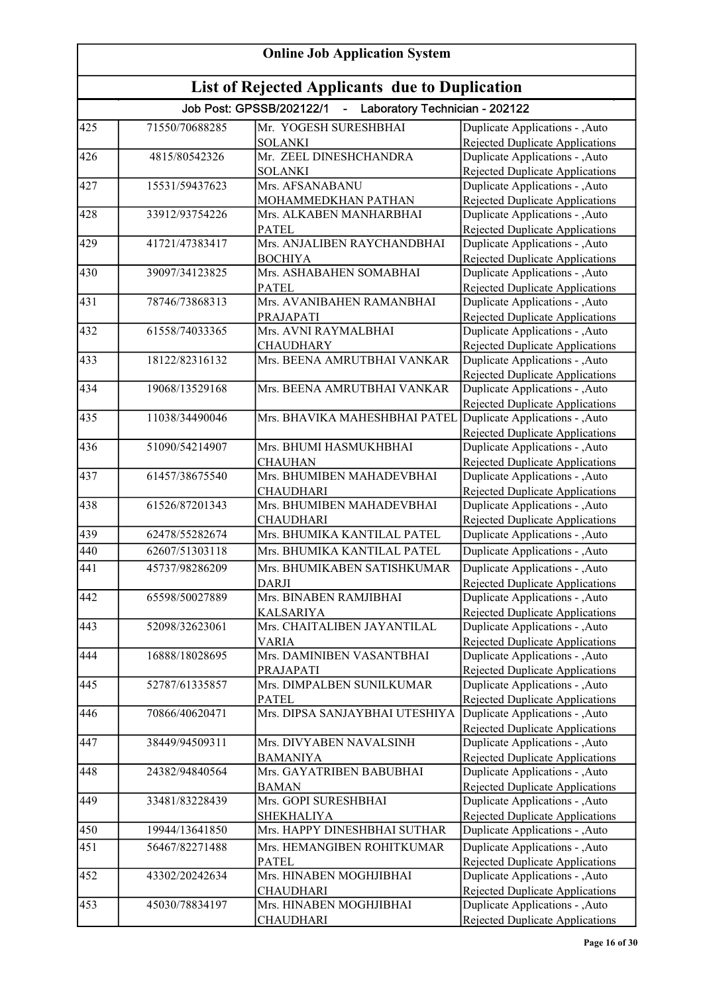| <b>Online Job Application System</b><br><b>List of Rejected Applicants due to Duplication</b> |                |                                                               |                                                                           |
|-----------------------------------------------------------------------------------------------|----------------|---------------------------------------------------------------|---------------------------------------------------------------------------|
|                                                                                               |                |                                                               |                                                                           |
| 425                                                                                           | 71550/70688285 | Mr. YOGESH SURESHBHAI                                         | Duplicate Applications - , Auto                                           |
|                                                                                               |                | <b>SOLANKI</b>                                                | Rejected Duplicate Applications                                           |
| 426                                                                                           | 4815/80542326  | Mr. ZEEL DINESHCHANDRA                                        | Duplicate Applications - ,Auto                                            |
|                                                                                               |                | <b>SOLANKI</b>                                                | <b>Rejected Duplicate Applications</b>                                    |
| 427                                                                                           | 15531/59437623 | Mrs. AFSANABANU                                               | Duplicate Applications - , Auto                                           |
| 428                                                                                           | 33912/93754226 | MOHAMMEDKHAN PATHAN<br>Mrs. ALKABEN MANHARBHAI                | <b>Rejected Duplicate Applications</b>                                    |
|                                                                                               |                | <b>PATEL</b>                                                  | Duplicate Applications - , Auto<br>Rejected Duplicate Applications        |
| 429                                                                                           | 41721/47383417 | Mrs. ANJALIBEN RAYCHANDBHAI                                   | Duplicate Applications - , Auto                                           |
|                                                                                               |                | <b>BOCHIYA</b>                                                | Rejected Duplicate Applications                                           |
| 430                                                                                           | 39097/34123825 | Mrs. ASHABAHEN SOMABHAI                                       | Duplicate Applications - , Auto                                           |
|                                                                                               |                | <b>PATEL</b>                                                  | Rejected Duplicate Applications                                           |
| 431                                                                                           | 78746/73868313 | Mrs. AVANIBAHEN RAMANBHAI                                     | Duplicate Applications - , Auto                                           |
|                                                                                               |                | PRAJAPATI                                                     | Rejected Duplicate Applications                                           |
| 432                                                                                           | 61558/74033365 | Mrs. AVNI RAYMALBHAI                                          | Duplicate Applications - , Auto                                           |
|                                                                                               |                | <b>CHAUDHARY</b>                                              | Rejected Duplicate Applications                                           |
| 433                                                                                           | 18122/82316132 | Mrs. BEENA AMRUTBHAI VANKAR                                   | Duplicate Applications - , Auto                                           |
|                                                                                               |                |                                                               | <b>Rejected Duplicate Applications</b>                                    |
| 434                                                                                           | 19068/13529168 | Mrs. BEENA AMRUTBHAI VANKAR                                   | Duplicate Applications - , Auto                                           |
|                                                                                               |                |                                                               | <b>Rejected Duplicate Applications</b>                                    |
| 435                                                                                           | 11038/34490046 | Mrs. BHAVIKA MAHESHBHAI PATEL Duplicate Applications - , Auto |                                                                           |
| 436                                                                                           | 51090/54214907 | Mrs. BHUMI HASMUKHBHAI                                        | <b>Rejected Duplicate Applications</b><br>Duplicate Applications - , Auto |
|                                                                                               |                | <b>CHAUHAN</b>                                                | Rejected Duplicate Applications                                           |
| 437                                                                                           | 61457/38675540 | Mrs. BHUMIBEN MAHADEVBHAI                                     | Duplicate Applications - , Auto                                           |
|                                                                                               |                | <b>CHAUDHARI</b>                                              | <b>Rejected Duplicate Applications</b>                                    |
| 438                                                                                           | 61526/87201343 | Mrs. BHUMIBEN MAHADEVBHAI                                     | Duplicate Applications - , Auto                                           |
|                                                                                               |                | <b>CHAUDHARI</b>                                              | Rejected Duplicate Applications                                           |
| 439                                                                                           | 62478/55282674 | Mrs. BHUMIKA KANTILAL PATEL                                   | Duplicate Applications - , Auto                                           |
| 440                                                                                           | 62607/51303118 | Mrs. BHUMIKA KANTILAL PATEL                                   | Duplicate Applications - ,Auto                                            |
| 441                                                                                           | 45737/98286209 | Mrs. BHUMIKABEN SATISHKUMAR                                   | Duplicate Applications - , Auto                                           |
|                                                                                               |                | <b>DARJI</b>                                                  | Rejected Duplicate Applications                                           |
| 442                                                                                           | 65598/50027889 | Mrs. BINABEN RAMJIBHAI                                        | Duplicate Applications - , Auto                                           |
|                                                                                               |                | <b>KALSARIYA</b>                                              | Rejected Duplicate Applications                                           |
| 443                                                                                           | 52098/32623061 | Mrs. CHAITALIBEN JAYANTILAL                                   | Duplicate Applications - , Auto                                           |
|                                                                                               |                | <b>VARIA</b>                                                  | Rejected Duplicate Applications                                           |
| 444                                                                                           | 16888/18028695 | Mrs. DAMINIBEN VASANTBHAI                                     | Duplicate Applications - , Auto                                           |
|                                                                                               |                | PRAJAPATI                                                     | Rejected Duplicate Applications                                           |
| 445                                                                                           | 52787/61335857 | Mrs. DIMPALBEN SUNILKUMAR                                     | Duplicate Applications - , Auto                                           |
| 446                                                                                           | 70866/40620471 | <b>PATEL</b><br>Mrs. DIPSA SANJAYBHAI UTESHIYA                | Rejected Duplicate Applications<br>Duplicate Applications - , Auto        |
|                                                                                               |                |                                                               | Rejected Duplicate Applications                                           |
| 447                                                                                           | 38449/94509311 | Mrs. DIVYABEN NAVALSINH                                       | Duplicate Applications - , Auto                                           |
|                                                                                               |                | <b>BAMANIYA</b>                                               | Rejected Duplicate Applications                                           |
| 448                                                                                           | 24382/94840564 | Mrs. GAYATRIBEN BABUBHAI                                      | Duplicate Applications - , Auto                                           |
|                                                                                               |                | <b>BAMAN</b>                                                  | <b>Rejected Duplicate Applications</b>                                    |
| 449                                                                                           | 33481/83228439 | Mrs. GOPI SURESHBHAI                                          | Duplicate Applications - , Auto                                           |
|                                                                                               |                | <b>SHEKHALIYA</b>                                             | Rejected Duplicate Applications                                           |
| 450                                                                                           | 19944/13641850 | Mrs. HAPPY DINESHBHAI SUTHAR                                  | Duplicate Applications - , Auto                                           |
| 451                                                                                           | 56467/82271488 | Mrs. HEMANGIBEN ROHITKUMAR                                    | Duplicate Applications - , Auto                                           |
|                                                                                               |                | <b>PATEL</b>                                                  | Rejected Duplicate Applications                                           |
| 452                                                                                           | 43302/20242634 | Mrs. HINABEN MOGHJIBHAI                                       | Duplicate Applications - , Auto                                           |
|                                                                                               |                | <b>CHAUDHARI</b>                                              | <b>Rejected Duplicate Applications</b>                                    |
| 453                                                                                           | 45030/78834197 | Mrs. HINABEN MOGHJIBHAI                                       | Duplicate Applications - , Auto                                           |
|                                                                                               |                | <b>CHAUDHARI</b>                                              | Rejected Duplicate Applications                                           |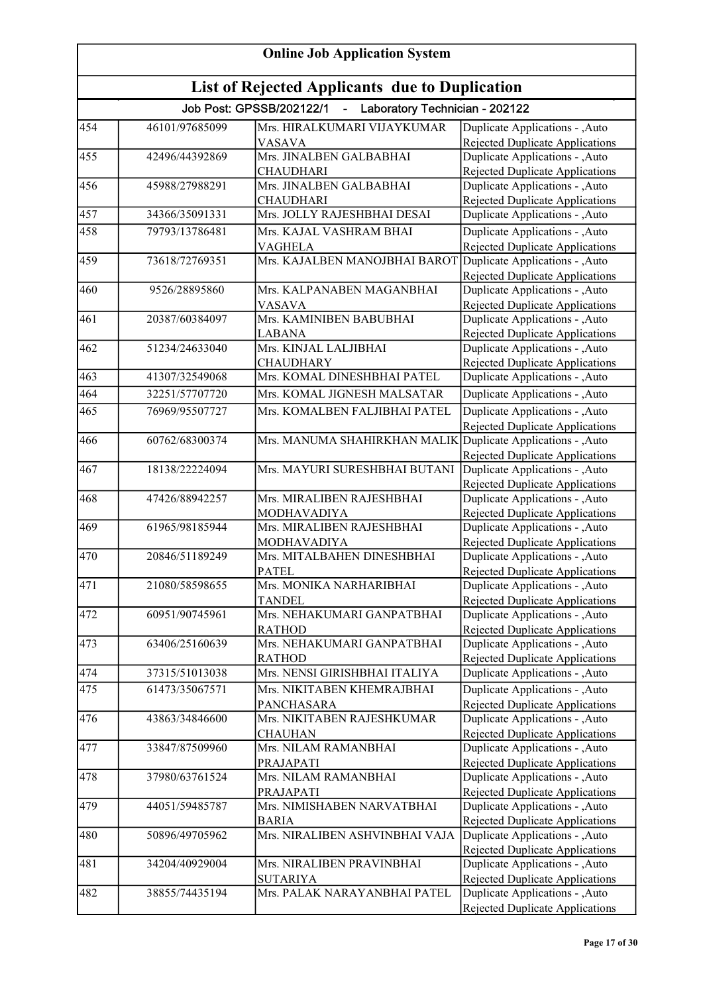| <b>Online Job Application System</b><br><b>List of Rejected Applicants due to Duplication</b> |                |                                                              |                                                                          |
|-----------------------------------------------------------------------------------------------|----------------|--------------------------------------------------------------|--------------------------------------------------------------------------|
|                                                                                               |                |                                                              |                                                                          |
| 454                                                                                           | 46101/97685099 | Mrs. HIRALKUMARI VIJAYKUMAR                                  | Duplicate Applications - , Auto                                          |
|                                                                                               |                | VASAVA                                                       | Rejected Duplicate Applications                                          |
| 455                                                                                           | 42496/44392869 | Mrs. JINALBEN GALBABHAI                                      | Duplicate Applications - ,Auto                                           |
|                                                                                               |                | <b>CHAUDHARI</b>                                             | <b>Rejected Duplicate Applications</b>                                   |
| 456                                                                                           | 45988/27988291 | Mrs. JINALBEN GALBABHAI                                      | Duplicate Applications - ,Auto                                           |
|                                                                                               |                | <b>CHAUDHARI</b>                                             | Rejected Duplicate Applications                                          |
| 457                                                                                           | 34366/35091331 | Mrs. JOLLY RAJESHBHAI DESAI                                  | Duplicate Applications - ,Auto                                           |
| 458                                                                                           | 79793/13786481 | Mrs. KAJAL VASHRAM BHAI<br><b>VAGHELA</b>                    | Duplicate Applications - ,Auto<br><b>Rejected Duplicate Applications</b> |
| 459                                                                                           | 73618/72769351 | Mrs. KAJALBEN MANOJBHAI BAROT                                | Duplicate Applications - , Auto                                          |
|                                                                                               |                |                                                              | <b>Rejected Duplicate Applications</b>                                   |
| 460                                                                                           | 9526/28895860  | Mrs. KALPANABEN MAGANBHAI                                    | Duplicate Applications - , Auto                                          |
|                                                                                               |                | <b>VASAVA</b>                                                | Rejected Duplicate Applications                                          |
| 461                                                                                           | 20387/60384097 | Mrs. KAMINIBEN BABUBHAI                                      | Duplicate Applications - , Auto                                          |
|                                                                                               |                | <b>LABANA</b>                                                | Rejected Duplicate Applications                                          |
| 462                                                                                           | 51234/24633040 | Mrs. KINJAL LALJIBHAI                                        | Duplicate Applications - , Auto                                          |
|                                                                                               |                | <b>CHAUDHARY</b>                                             | Rejected Duplicate Applications                                          |
| 463                                                                                           | 41307/32549068 | Mrs. KOMAL DINESHBHAI PATEL                                  | Duplicate Applications - , Auto                                          |
| 464                                                                                           | 32251/57707720 | Mrs. KOMAL JIGNESH MALSATAR                                  | Duplicate Applications - ,Auto                                           |
| 465                                                                                           | 76969/95507727 | Mrs. KOMALBEN FALJIBHAI PATEL                                | Duplicate Applications - , Auto                                          |
|                                                                                               |                |                                                              | Rejected Duplicate Applications                                          |
| 466                                                                                           | 60762/68300374 | Mrs. MANUMA SHAHIRKHAN MALIK Duplicate Applications - , Auto |                                                                          |
|                                                                                               |                |                                                              | Rejected Duplicate Applications                                          |
| 467                                                                                           | 18138/22224094 | Mrs. MAYURI SURESHBHAI BUTANI                                | Duplicate Applications - , Auto                                          |
|                                                                                               |                |                                                              | Rejected Duplicate Applications                                          |
| 468                                                                                           | 47426/88942257 | Mrs. MIRALIBEN RAJESHBHAI                                    | Duplicate Applications - , Auto                                          |
|                                                                                               |                | MODHAVADIYA                                                  | <b>Rejected Duplicate Applications</b>                                   |
| 469                                                                                           | 61965/98185944 | Mrs. MIRALIBEN RAJESHBHAI                                    | Duplicate Applications - , Auto                                          |
|                                                                                               |                | MODHAVADIYA                                                  | <b>Rejected Duplicate Applications</b>                                   |
| 470                                                                                           | 20846/51189249 | Mrs. MITALBAHEN DINESHBHAI                                   | Duplicate Applications - ,Auto                                           |
|                                                                                               |                | <b>PATEL</b>                                                 | Rejected Duplicate Applications                                          |
| 471                                                                                           | 21080/58598655 | Mrs. MONIKA NARHARIBHAI                                      | Duplicate Applications - , Auto                                          |
|                                                                                               |                | <b>TANDEL</b>                                                | Rejected Duplicate Applications                                          |
| 472                                                                                           | 60951/90745961 | Mrs. NEHAKUMARI GANPATBHAI                                   | Duplicate Applications - , Auto                                          |
|                                                                                               |                | <b>RATHOD</b>                                                | Rejected Duplicate Applications                                          |
| 473                                                                                           | 63406/25160639 | Mrs. NEHAKUMARI GANPATBHAI                                   | Duplicate Applications - , Auto                                          |
|                                                                                               |                | <b>RATHOD</b>                                                | <b>Rejected Duplicate Applications</b>                                   |
| 474                                                                                           | 37315/51013038 | Mrs. NENSI GIRISHBHAI ITALIYA                                | Duplicate Applications - , Auto                                          |
| 475                                                                                           | 61473/35067571 | Mrs. NIKITABEN KHEMRAJBHAI                                   | Duplicate Applications - , Auto                                          |
|                                                                                               |                | <b>PANCHASARA</b>                                            | Rejected Duplicate Applications                                          |
| 476                                                                                           | 43863/34846600 | Mrs. NIKITABEN RAJESHKUMAR                                   | Duplicate Applications - , Auto                                          |
| 477                                                                                           | 33847/87509960 | <b>CHAUHAN</b><br>Mrs. NILAM RAMANBHAI                       | Rejected Duplicate Applications<br>Duplicate Applications - , Auto       |
|                                                                                               |                | PRAJAPATI                                                    | Rejected Duplicate Applications                                          |
| 478                                                                                           | 37980/63761524 | Mrs. NILAM RAMANBHAI                                         | Duplicate Applications - , Auto                                          |
|                                                                                               |                | PRAJAPATI                                                    | <b>Rejected Duplicate Applications</b>                                   |
| 479                                                                                           | 44051/59485787 | Mrs. NIMISHABEN NARVATBHAI                                   | Duplicate Applications - , Auto                                          |
|                                                                                               |                | <b>BARIA</b>                                                 | <b>Rejected Duplicate Applications</b>                                   |
| 480                                                                                           | 50896/49705962 | Mrs. NIRALIBEN ASHVINBHAI VAJA                               | Duplicate Applications - , Auto                                          |
|                                                                                               |                |                                                              | <b>Rejected Duplicate Applications</b>                                   |
| 481                                                                                           | 34204/40929004 | Mrs. NIRALIBEN PRAVINBHAI                                    | Duplicate Applications - , Auto                                          |
|                                                                                               |                | <b>SUTARIYA</b>                                              | Rejected Duplicate Applications                                          |
| 482                                                                                           | 38855/74435194 | Mrs. PALAK NARAYANBHAI PATEL                                 | Duplicate Applications - , Auto                                          |
|                                                                                               |                |                                                              | Rejected Duplicate Applications                                          |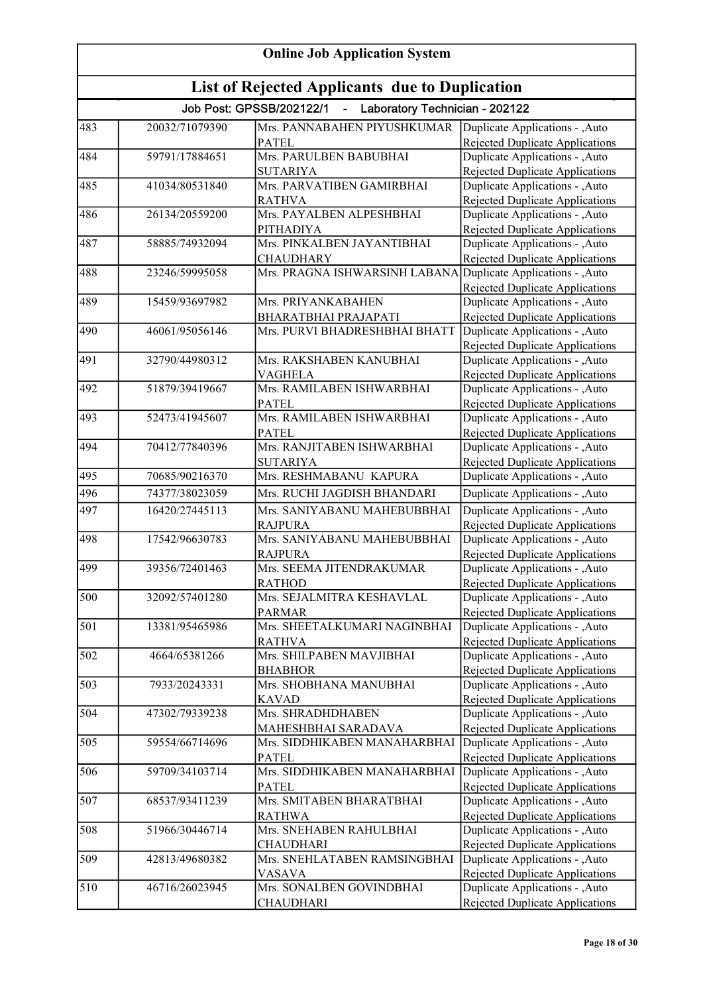| <b>Online Job Application System</b> |                                                       |                                                                      |                                                                           |  |
|--------------------------------------|-------------------------------------------------------|----------------------------------------------------------------------|---------------------------------------------------------------------------|--|
|                                      | <b>List of Rejected Applicants due to Duplication</b> |                                                                      |                                                                           |  |
|                                      |                                                       | Job Post: GPSSB/202122/1<br>Laboratory Technician - 202122<br>$\sim$ |                                                                           |  |
| 483                                  | 20032/71079390                                        | Mrs. PANNABAHEN PIYUSHKUMAR                                          | Duplicate Applications - , Auto                                           |  |
|                                      |                                                       | <b>PATEL</b>                                                         | Rejected Duplicate Applications                                           |  |
| 484                                  | 59791/17884651                                        | Mrs. PARULBEN BABUBHAI                                               | Duplicate Applications - ,Auto                                            |  |
|                                      |                                                       | <b>SUTARIYA</b>                                                      | <b>Rejected Duplicate Applications</b>                                    |  |
| 485                                  | 41034/80531840                                        | Mrs. PARVATIBEN GAMIRBHAI                                            | Duplicate Applications - ,Auto                                            |  |
|                                      |                                                       | <b>RATHVA</b>                                                        | Rejected Duplicate Applications                                           |  |
| 486                                  | 26134/20559200                                        | Mrs. PAYALBEN ALPESHBHAI                                             | Duplicate Applications - ,Auto                                            |  |
| 487                                  | 58885/74932094                                        | <b>PITHADIYA</b><br>Mrs. PINKALBEN JAYANTIBHAI                       | Rejected Duplicate Applications                                           |  |
|                                      |                                                       | <b>CHAUDHARY</b>                                                     | Duplicate Applications - , Auto<br>Rejected Duplicate Applications        |  |
| 488                                  | 23246/59995058                                        | Mrs. PRAGNA ISHWARSINH LABANA                                        | Duplicate Applications - , Auto                                           |  |
|                                      |                                                       |                                                                      | Rejected Duplicate Applications                                           |  |
| 489                                  | 15459/93697982                                        | Mrs. PRIYANKABAHEN                                                   | Duplicate Applications - , Auto                                           |  |
|                                      |                                                       | <b>BHARATBHAI PRAJAPATI</b>                                          | Rejected Duplicate Applications                                           |  |
| 490                                  | 46061/95056146                                        | Mrs. PURVI BHADRESHBHAI BHATT                                        | Duplicate Applications - , Auto                                           |  |
|                                      |                                                       |                                                                      | <b>Rejected Duplicate Applications</b>                                    |  |
| 491                                  | 32790/44980312                                        | Mrs. RAKSHABEN KANUBHAI                                              | Duplicate Applications - , Auto                                           |  |
|                                      |                                                       | <b>VAGHELA</b>                                                       | <b>Rejected Duplicate Applications</b>                                    |  |
| 492                                  | 51879/39419667                                        | Mrs. RAMILABEN ISHWARBHAI                                            | Duplicate Applications - , Auto                                           |  |
|                                      |                                                       | <b>PATEL</b>                                                         | <b>Rejected Duplicate Applications</b>                                    |  |
| 493                                  | 52473/41945607                                        | Mrs. RAMILABEN ISHWARBHAI                                            | Duplicate Applications - , Auto                                           |  |
|                                      |                                                       | <b>PATEL</b>                                                         | <b>Rejected Duplicate Applications</b>                                    |  |
| 494                                  | 70412/77840396                                        | Mrs. RANJITABEN ISHWARBHAI                                           | Duplicate Applications - ,Auto                                            |  |
| 495                                  | 70685/90216370                                        | <b>SUTARIYA</b><br>Mrs. RESHMABANU KAPURA                            | <b>Rejected Duplicate Applications</b><br>Duplicate Applications - , Auto |  |
| 496                                  | 74377/38023059                                        | Mrs. RUCHI JAGDISH BHANDARI                                          | Duplicate Applications - ,Auto                                            |  |
|                                      |                                                       |                                                                      |                                                                           |  |
| 497                                  | 16420/27445113                                        | Mrs. SANIYABANU MAHEBUBBHAI                                          | Duplicate Applications - ,Auto                                            |  |
| 498                                  | 17542/96630783                                        | <b>RAJPURA</b><br>Mrs. SANIYABANU MAHEBUBBHAI                        | Rejected Duplicate Applications<br>Duplicate Applications - , Auto        |  |
|                                      |                                                       | <b>RAJPURA</b>                                                       | <b>Rejected Duplicate Applications</b>                                    |  |
| 499                                  | 39356/72401463                                        | Mrs. SEEMA JITENDRAKUMAR                                             | Duplicate Applications - , Auto                                           |  |
|                                      |                                                       | <b>RATHOD</b>                                                        | Rejected Duplicate Applications                                           |  |
| 500                                  | 32092/57401280                                        | Mrs. SEJALMITRA KESHAVLAL                                            | Duplicate Applications - , Auto                                           |  |
|                                      |                                                       | <b>PARMAR</b>                                                        | <b>Rejected Duplicate Applications</b>                                    |  |
| 501                                  | 13381/95465986                                        | Mrs. SHEETALKUMARI NAGINBHAI                                         | Duplicate Applications - , Auto                                           |  |
|                                      |                                                       | <b>RATHVA</b>                                                        | <b>Rejected Duplicate Applications</b>                                    |  |
| 502                                  | 4664/65381266                                         | Mrs. SHILPABEN MAVJIBHAI                                             | Duplicate Applications - , Auto                                           |  |
|                                      |                                                       | <b>BHABHOR</b>                                                       | Rejected Duplicate Applications                                           |  |
| 503                                  | 7933/20243331                                         | Mrs. SHOBHANA MANUBHAI                                               | Duplicate Applications - , Auto                                           |  |
|                                      | 47302/79339238                                        | <b>KAVAD</b><br>Mrs. SHRADHDHABEN                                    | <b>Rejected Duplicate Applications</b>                                    |  |
| 504                                  |                                                       |                                                                      | Duplicate Applications - , Auto<br>Rejected Duplicate Applications        |  |
| 505                                  | 59554/66714696                                        | MAHESHBHAI SARADAVA<br>Mrs. SIDDHIKABEN MANAHARBHAI                  | Duplicate Applications - , Auto                                           |  |
|                                      |                                                       | <b>PATEL</b>                                                         | Rejected Duplicate Applications                                           |  |
| 506                                  | 59709/34103714                                        | Mrs. SIDDHIKABEN MANAHARBHAI                                         | Duplicate Applications - , Auto                                           |  |
|                                      |                                                       | <b>PATEL</b>                                                         | <b>Rejected Duplicate Applications</b>                                    |  |
| 507                                  | 68537/93411239                                        | Mrs. SMITABEN BHARATBHAI                                             | Duplicate Applications - ,Auto                                            |  |
|                                      |                                                       | <b>RATHWA</b>                                                        | Rejected Duplicate Applications                                           |  |
| 508                                  | 51966/30446714                                        | Mrs. SNEHABEN RAHULBHAI                                              | Duplicate Applications - , Auto                                           |  |
|                                      |                                                       | <b>CHAUDHARI</b>                                                     | Rejected Duplicate Applications                                           |  |
| 509                                  | 42813/49680382                                        | Mrs. SNEHLATABEN RAMSINGBHAI                                         | Duplicate Applications - , Auto                                           |  |
|                                      |                                                       | VASAVA                                                               | Rejected Duplicate Applications                                           |  |
| 510                                  | 46716/26023945                                        | Mrs. SONALBEN GOVINDBHAI                                             | Duplicate Applications - , Auto                                           |  |
|                                      |                                                       | CHAUDHARI                                                            | Rejected Duplicate Applications                                           |  |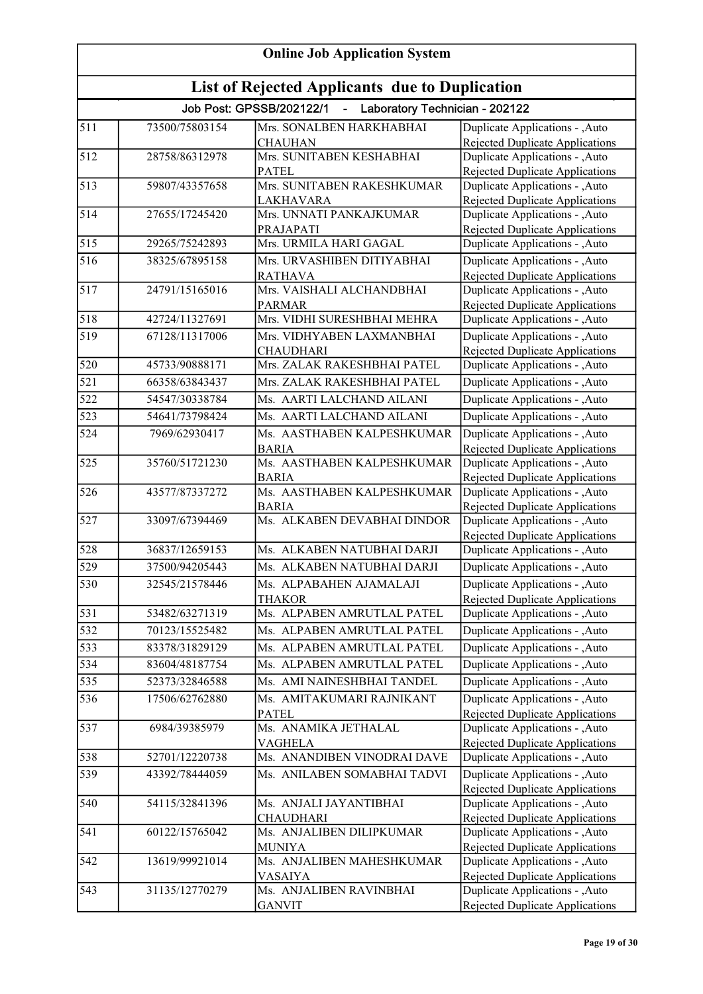| <b>Online Job Application System</b> |                                                |                                                              |                                                                    |  |  |
|--------------------------------------|------------------------------------------------|--------------------------------------------------------------|--------------------------------------------------------------------|--|--|
|                                      | List of Rejected Applicants due to Duplication |                                                              |                                                                    |  |  |
|                                      |                                                | Job Post: GPSSB/202122/1<br>- Laboratory Technician - 202122 |                                                                    |  |  |
| 511                                  | 73500/75803154                                 | Mrs. SONALBEN HARKHABHAI                                     | Duplicate Applications - , Auto                                    |  |  |
|                                      |                                                | <b>CHAUHAN</b>                                               | Rejected Duplicate Applications                                    |  |  |
| $\overline{512}$                     | 28758/86312978                                 | Mrs. SUNITABEN KESHABHAI                                     | Duplicate Applications - ,Auto                                     |  |  |
|                                      |                                                | <b>PATEL</b>                                                 | Rejected Duplicate Applications                                    |  |  |
| $\overline{513}$                     | 59807/43357658                                 | Mrs. SUNITABEN RAKESHKUMAR                                   | Duplicate Applications - , Auto                                    |  |  |
| $\overline{514}$                     | 27655/17245420                                 | LAKHAVARA<br>Mrs. UNNATI PANKAJKUMAR                         | Rejected Duplicate Applications<br>Duplicate Applications - , Auto |  |  |
|                                      |                                                | PRAJAPATI                                                    | Rejected Duplicate Applications                                    |  |  |
| 515                                  | 29265/75242893                                 | Mrs. URMILA HARI GAGAL                                       | Duplicate Applications - , Auto                                    |  |  |
| $\overline{516}$                     | 38325/67895158                                 | Mrs. URVASHIBEN DITIYABHAI                                   | Duplicate Applications - , Auto                                    |  |  |
|                                      |                                                | <b>RATHAVA</b>                                               | Rejected Duplicate Applications                                    |  |  |
| 517                                  | 24791/15165016                                 | Mrs. VAISHALI ALCHANDBHAI                                    | Duplicate Applications - , Auto                                    |  |  |
|                                      |                                                | <b>PARMAR</b>                                                | <b>Rejected Duplicate Applications</b>                             |  |  |
| $\overline{5}18$                     | 42724/11327691                                 | Mrs. VIDHI SURESHBHAI MEHRA                                  | <b>Duplicate Applications - ,Auto</b>                              |  |  |
| 519                                  | 67128/11317006                                 | Mrs. VIDHYABEN LAXMANBHAI                                    | Duplicate Applications - , Auto                                    |  |  |
|                                      |                                                | <b>CHAUDHARI</b>                                             | Rejected Duplicate Applications                                    |  |  |
| 520                                  | 45733/90888171                                 | Mrs. ZALAK RAKESHBHAI PATEL                                  | Duplicate Applications - , Auto                                    |  |  |
| $\overline{521}$                     | 66358/63843437                                 | Mrs. ZALAK RAKESHBHAI PATEL                                  | Duplicate Applications - ,Auto                                     |  |  |
| $\overline{522}$                     | 54547/30338784                                 | Ms. AARTI LALCHAND AILANI                                    | Duplicate Applications - , Auto                                    |  |  |
| $\overline{523}$                     | 54641/73798424                                 | Ms. AARTI LALCHAND AILANI                                    | Duplicate Applications - , Auto                                    |  |  |
| 524                                  | 7969/62930417                                  | Ms. AASTHABEN KALPESHKUMAR                                   | Duplicate Applications - , Auto                                    |  |  |
|                                      |                                                | <b>BARIA</b>                                                 | Rejected Duplicate Applications                                    |  |  |
| 525                                  | 35760/51721230                                 | Ms. AASTHABEN KALPESHKUMAR                                   | Duplicate Applications - , Auto                                    |  |  |
|                                      |                                                | <b>BARIA</b>                                                 | Rejected Duplicate Applications                                    |  |  |
| 526                                  | 43577/87337272                                 | Ms. AASTHABEN KALPESHKUMAR                                   | Duplicate Applications - , Auto                                    |  |  |
|                                      |                                                | <b>BARIA</b>                                                 | Rejected Duplicate Applications                                    |  |  |
| 527                                  | 33097/67394469                                 | Ms. ALKABEN DEVABHAI DINDOR                                  | Duplicate Applications - , Auto                                    |  |  |
|                                      |                                                |                                                              | <b>Rejected Duplicate Applications</b>                             |  |  |
| 528                                  | 36837/12659153                                 | Ms. ALKABEN NATUBHAI DARJI                                   | Duplicate Applications - , Auto                                    |  |  |
| $\overline{529}$                     | 37500/94205443                                 | Ms. ALKABEN NATUBHAI DARJI                                   | Duplicate Applications - , Auto                                    |  |  |
| 530                                  | 32545/21578446                                 | Ms. ALPABAHEN AJAMALAJI                                      | Duplicate Applications - , Auto                                    |  |  |
|                                      |                                                | <b>THAKOR</b>                                                | <b>Rejected Duplicate Applications</b>                             |  |  |
| $[531$                               | 53482/63271319                                 | Ms. ALPABEN AMRUTLAL PATEL                                   | Duplicate Applications - , Auto                                    |  |  |
| 532                                  | 70123/15525482                                 | Ms. ALPABEN AMRUTLAL PATEL                                   | Duplicate Applications - ,Auto                                     |  |  |
| 533                                  | 83378/31829129                                 | Ms. ALPABEN AMRUTLAL PATEL                                   | Duplicate Applications - , Auto                                    |  |  |
| $\overline{5}34$                     | 83604/48187754                                 | Ms. ALPABEN AMRUTLAL PATEL                                   | Duplicate Applications - , Auto                                    |  |  |
| $\overline{535}$                     | 52373/32846588                                 | Ms. AMI NAINESHBHAI TANDEL                                   | Duplicate Applications - , Auto                                    |  |  |
| 536                                  | 17506/62762880                                 | Ms. AMITAKUMARI RAJNIKANT                                    | Duplicate Applications - , Auto                                    |  |  |
|                                      |                                                | <b>PATEL</b>                                                 | Rejected Duplicate Applications                                    |  |  |
| 537                                  | 6984/39385979                                  | Ms. ANAMIKA JETHALAL                                         | Duplicate Applications - ,Auto                                     |  |  |
|                                      |                                                | <b>VAGHELA</b>                                               | <b>Rejected Duplicate Applications</b>                             |  |  |
| 538                                  | 52701/12220738                                 | Ms. ANANDIBEN VINODRAI DAVE                                  | Duplicate Applications - ,Auto                                     |  |  |
| 539                                  | 43392/78444059                                 | Ms. ANILABEN SOMABHAI TADVI                                  | Duplicate Applications - , Auto                                    |  |  |
|                                      |                                                |                                                              | Rejected Duplicate Applications                                    |  |  |
| 540                                  | 54115/32841396                                 | Ms. ANJALI JAYANTIBHAI                                       | Duplicate Applications - , Auto                                    |  |  |
| $\overline{541}$                     | 60122/15765042                                 | <b>CHAUDHARI</b><br>Ms. ANJALIBEN DILIPKUMAR                 | Rejected Duplicate Applications                                    |  |  |
|                                      |                                                | <b>MUNIYA</b>                                                | Duplicate Applications - , Auto<br>Rejected Duplicate Applications |  |  |
| 542                                  | 13619/99921014                                 | Ms. ANJALIBEN MAHESHKUMAR                                    | Duplicate Applications - ,Auto                                     |  |  |
|                                      |                                                | <b>VASAIYA</b>                                               | <b>Rejected Duplicate Applications</b>                             |  |  |
| 543                                  | 31135/12770279                                 | Ms. ANJALIBEN RAVINBHAI                                      | Duplicate Applications - , Auto                                    |  |  |
|                                      |                                                | <b>GANVIT</b>                                                | <b>Rejected Duplicate Applications</b>                             |  |  |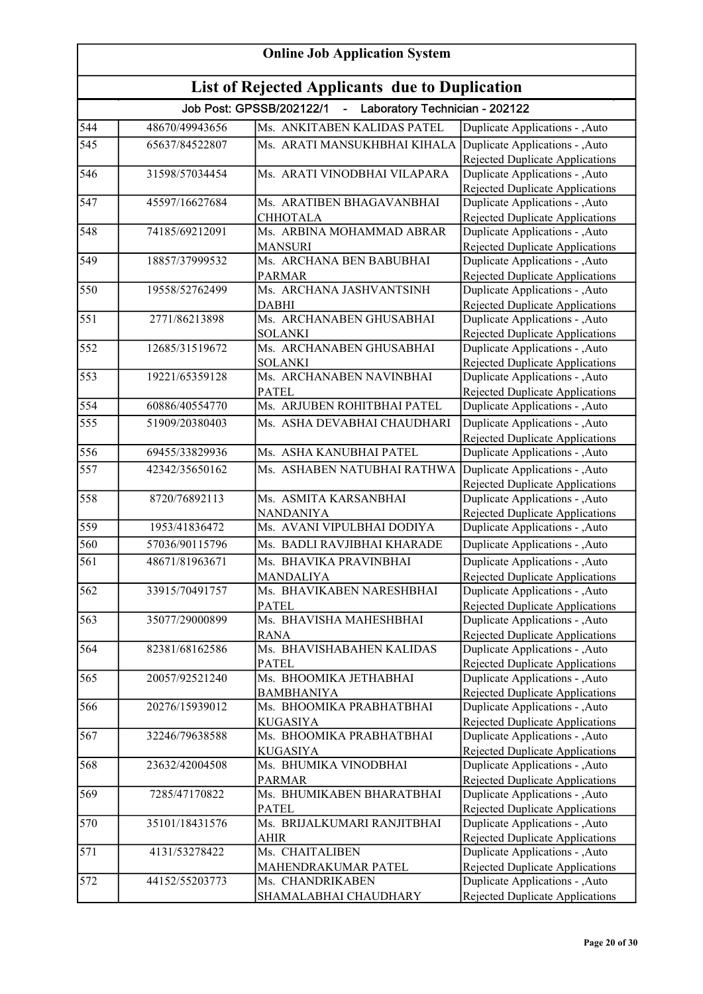| <b>Online Job Application System</b> |                                                       |                                                            |                                                                           |  |
|--------------------------------------|-------------------------------------------------------|------------------------------------------------------------|---------------------------------------------------------------------------|--|
|                                      | <b>List of Rejected Applicants due to Duplication</b> |                                                            |                                                                           |  |
|                                      |                                                       | Job Post: GPSSB/202122/1<br>Laboratory Technician - 202122 |                                                                           |  |
| 544                                  | 48670/49943656                                        | Ms. ANKITABEN KALIDAS PATEL                                | Duplicate Applications - , Auto                                           |  |
| 545                                  | 65637/84522807                                        | Ms. ARATI MANSUKHBHAI KIHALA                               | Duplicate Applications - , Auto                                           |  |
|                                      |                                                       |                                                            | Rejected Duplicate Applications                                           |  |
| 546                                  | 31598/57034454                                        | Ms. ARATI VINODBHAI VILAPARA                               | Duplicate Applications - , Auto                                           |  |
|                                      |                                                       |                                                            | <b>Rejected Duplicate Applications</b>                                    |  |
| 547                                  | 45597/16627684                                        | Ms. ARATIBEN BHAGAVANBHAI                                  | Duplicate Applications - , Auto                                           |  |
|                                      |                                                       | <b>CHHOTALA</b>                                            | <b>Rejected Duplicate Applications</b>                                    |  |
| 548                                  | 74185/69212091                                        | Ms. ARBINA MOHAMMAD ABRAR                                  | Duplicate Applications - , Auto                                           |  |
| 549                                  | 18857/37999532                                        | <b>MANSURI</b><br>Ms. ARCHANA BEN BABUBHAI                 | <b>Rejected Duplicate Applications</b><br>Duplicate Applications - , Auto |  |
|                                      |                                                       | <b>PARMAR</b>                                              | <b>Rejected Duplicate Applications</b>                                    |  |
| 550                                  | 19558/52762499                                        | Ms. ARCHANA JASHVANTSINH                                   | Duplicate Applications - , Auto                                           |  |
|                                      |                                                       | <b>DABHI</b>                                               | <b>Rejected Duplicate Applications</b>                                    |  |
| 551                                  | 2771/86213898                                         | Ms. ARCHANABEN GHUSABHAI                                   | Duplicate Applications - , Auto                                           |  |
|                                      |                                                       | <b>SOLANKI</b>                                             | Rejected Duplicate Applications                                           |  |
| 552                                  | 12685/31519672                                        | Ms. ARCHANABEN GHUSABHAI                                   | Duplicate Applications - , Auto                                           |  |
|                                      |                                                       | <b>SOLANKI</b>                                             | Rejected Duplicate Applications                                           |  |
| 553                                  | 19221/65359128                                        | Ms. ARCHANABEN NAVINBHAI                                   | Duplicate Applications - , Auto                                           |  |
|                                      |                                                       | <b>PATEL</b>                                               | Rejected Duplicate Applications                                           |  |
| 554                                  | 60886/40554770                                        | Ms. ARJUBEN ROHITBHAI PATEL                                | Duplicate Applications - , Auto                                           |  |
| 555                                  | 51909/20380403                                        | Ms. ASHA DEVABHAI CHAUDHARI                                | Duplicate Applications - , Auto                                           |  |
|                                      |                                                       |                                                            | <b>Rejected Duplicate Applications</b>                                    |  |
| 556                                  | 69455/33829936                                        | Ms. ASHA KANUBHAI PATEL                                    | Duplicate Applications - , Auto                                           |  |
| 557                                  | 42342/35650162                                        | Ms. ASHABEN NATUBHAI RATHWA                                | Duplicate Applications - , Auto                                           |  |
|                                      |                                                       |                                                            | <b>Rejected Duplicate Applications</b>                                    |  |
| 558                                  | 8720/76892113                                         | Ms. ASMITA KARSANBHAI                                      | Duplicate Applications - , Auto                                           |  |
|                                      |                                                       | <b>NANDANIYA</b>                                           | Rejected Duplicate Applications                                           |  |
| 559                                  | 1953/41836472                                         | Ms. AVANI VIPULBHAI DODIYA                                 | Duplicate Applications - , Auto                                           |  |
| 560                                  | 57036/90115796                                        | Ms. BADLI RAVJIBHAI KHARADE                                | Duplicate Applications - , Auto                                           |  |
| 561                                  | 48671/81963671                                        | Ms. BHAVIKA PRAVINBHAI                                     | Duplicate Applications - ,Auto                                            |  |
|                                      |                                                       | <b>MANDALIYA</b>                                           | Rejected Duplicate Applications                                           |  |
| 562                                  | 33915/70491757                                        | Ms. BHAVIKABEN NARESHBHAI                                  | Duplicate Applications - , Auto                                           |  |
| 563                                  | 35077/29000899                                        | <b>PATEL</b><br>Ms. BHAVISHA MAHESHBHAI                    | Rejected Duplicate Applications                                           |  |
|                                      |                                                       | <b>RANA</b>                                                | Duplicate Applications - , Auto<br>Rejected Duplicate Applications        |  |
| 564                                  | 82381/68162586                                        | Ms. BHAVISHABAHEN KALIDAS                                  | Duplicate Applications - , Auto                                           |  |
|                                      |                                                       | <b>PATEL</b>                                               | Rejected Duplicate Applications                                           |  |
| 565                                  | 20057/92521240                                        | Ms. BHOOMIKA JETHABHAI                                     | Duplicate Applications - , Auto                                           |  |
|                                      |                                                       | <b>BAMBHANIYA</b>                                          | <b>Rejected Duplicate Applications</b>                                    |  |
| 566                                  | 20276/15939012                                        | Ms. BHOOMIKA PRABHATBHAI                                   | Duplicate Applications - , Auto                                           |  |
|                                      |                                                       | <b>KUGASIYA</b>                                            | Rejected Duplicate Applications                                           |  |
| 567                                  | 32246/79638588                                        | Ms. BHOOMIKA PRABHATBHAI                                   | Duplicate Applications - , Auto                                           |  |
|                                      |                                                       | <b>KUGASIYA</b>                                            | Rejected Duplicate Applications                                           |  |
| 568                                  | 23632/42004508                                        | Ms. BHUMIKA VINODBHAI                                      | Duplicate Applications - , Auto                                           |  |
|                                      |                                                       | <b>PARMAR</b>                                              | Rejected Duplicate Applications                                           |  |
| 569                                  | 7285/47170822                                         | Ms. BHUMIKABEN BHARATBHAI                                  | Duplicate Applications - , Auto                                           |  |
|                                      |                                                       | <b>PATEL</b>                                               | Rejected Duplicate Applications                                           |  |
| 570                                  | 35101/18431576                                        | Ms. BRIJALKUMARI RANJITBHAI<br><b>AHIR</b>                 | Duplicate Applications - ,Auto                                            |  |
| 571                                  | 4131/53278422                                         | Ms. CHAITALIBEN                                            | Rejected Duplicate Applications<br>Duplicate Applications - ,Auto         |  |
|                                      |                                                       | MAHENDRAKUMAR PATEL                                        | Rejected Duplicate Applications                                           |  |
| 572                                  | 44152/55203773                                        | Ms. CHANDRIKABEN                                           | Duplicate Applications - , Auto                                           |  |
|                                      |                                                       | SHAMALABHAI CHAUDHARY                                      | Rejected Duplicate Applications                                           |  |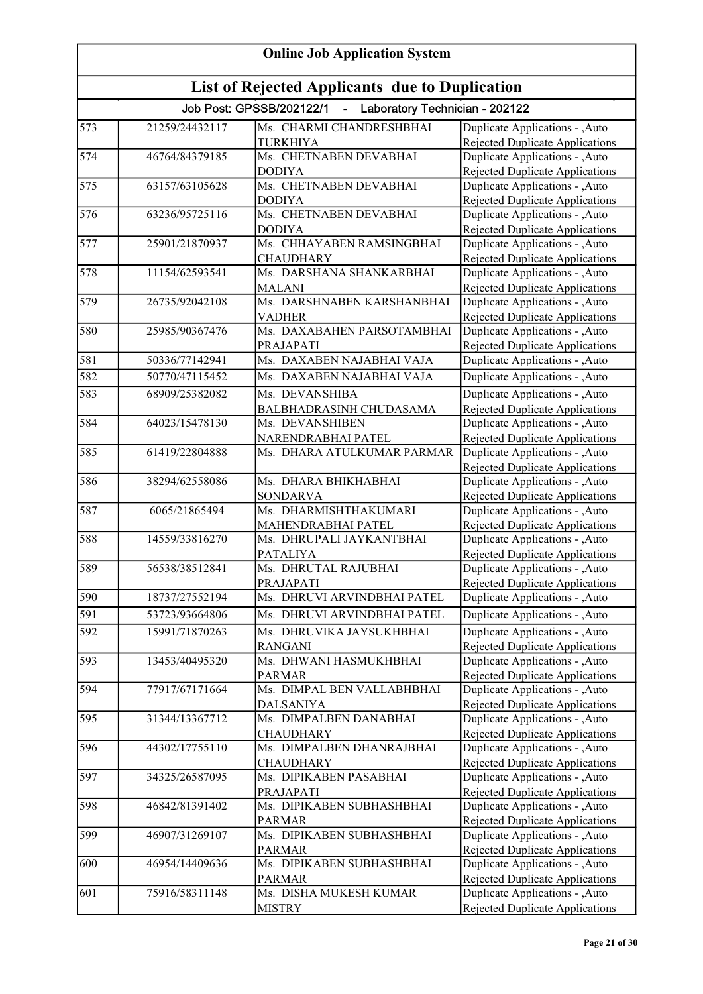| <b>Online Job Application System</b><br>List of Rejected Applicants due to Duplication |                |                                            |                                                                           |
|----------------------------------------------------------------------------------------|----------------|--------------------------------------------|---------------------------------------------------------------------------|
|                                                                                        |                |                                            |                                                                           |
| 573                                                                                    | 21259/24432117 | Ms. CHARMI CHANDRESHBHAI                   | Duplicate Applications - , Auto                                           |
|                                                                                        |                | <b>TURKHIYA</b>                            | Rejected Duplicate Applications                                           |
| 574                                                                                    | 46764/84379185 | Ms. CHETNABEN DEVABHAI                     | Duplicate Applications - ,Auto                                            |
|                                                                                        |                | <b>DODIYA</b>                              | Rejected Duplicate Applications                                           |
| 575                                                                                    | 63157/63105628 | Ms. CHETNABEN DEVABHAI                     | Duplicate Applications - ,Auto                                            |
|                                                                                        |                | <b>DODIYA</b>                              | Rejected Duplicate Applications                                           |
| 576                                                                                    | 63236/95725116 | Ms. CHETNABEN DEVABHAI                     | Duplicate Applications - ,Auto                                            |
| 577                                                                                    | 25901/21870937 | <b>DODIYA</b><br>Ms. CHHAYABEN RAMSINGBHAI | Rejected Duplicate Applications<br>Duplicate Applications - ,Auto         |
|                                                                                        |                | <b>CHAUDHARY</b>                           | Rejected Duplicate Applications                                           |
| 578                                                                                    | 11154/62593541 | Ms. DARSHANA SHANKARBHAI                   | Duplicate Applications - ,Auto                                            |
|                                                                                        |                | <b>MALANI</b>                              | Rejected Duplicate Applications                                           |
| 579                                                                                    | 26735/92042108 | Ms. DARSHNABEN KARSHANBHAI                 | Duplicate Applications - , Auto                                           |
|                                                                                        |                | <b>VADHER</b>                              | <b>Rejected Duplicate Applications</b>                                    |
| 580                                                                                    | 25985/90367476 | Ms. DAXABAHEN PARSOTAMBHAI                 | Duplicate Applications - , Auto                                           |
|                                                                                        |                | PRAJAPATI                                  | <b>Rejected Duplicate Applications</b>                                    |
| 581                                                                                    | 50336/77142941 | Ms. DAXABEN NAJABHAI VAJA                  | Duplicate Applications - , Auto                                           |
| 582                                                                                    | 50770/47115452 | Ms. DAXABEN NAJABHAI VAJA                  | Duplicate Applications - , Auto                                           |
| 583                                                                                    | 68909/25382082 | Ms. DEVANSHIBA                             | Duplicate Applications - , Auto                                           |
|                                                                                        |                | BALBHADRASINH CHUDASAMA                    | <b>Rejected Duplicate Applications</b>                                    |
| 584                                                                                    | 64023/15478130 | Ms. DEVANSHIBEN                            | Duplicate Applications - , Auto                                           |
|                                                                                        |                | NARENDRABHAI PATEL                         | <b>Rejected Duplicate Applications</b>                                    |
| 585                                                                                    | 61419/22804888 | Ms. DHARA ATULKUMAR PARMAR                 | Duplicate Applications - , Auto                                           |
|                                                                                        |                |                                            | <b>Rejected Duplicate Applications</b>                                    |
| 586                                                                                    | 38294/62558086 | Ms. DHARA BHIKHABHAI                       | Duplicate Applications - , Auto                                           |
| 587                                                                                    | 6065/21865494  | <b>SONDARVA</b><br>Ms. DHARMISHTHAKUMARI   | <b>Rejected Duplicate Applications</b>                                    |
|                                                                                        |                | MAHENDRABHAI PATEL                         | Duplicate Applications - ,Auto<br><b>Rejected Duplicate Applications</b>  |
| 588                                                                                    | 14559/33816270 | Ms. DHRUPALI JAYKANTBHAI                   | Duplicate Applications - ,Auto                                            |
|                                                                                        |                | <b>PATALIYA</b>                            | <b>Rejected Duplicate Applications</b>                                    |
| 589                                                                                    | 56538/38512841 | Ms. DHRUTAL RAJUBHAI                       | Duplicate Applications - , Auto                                           |
|                                                                                        |                | PRAJAPATI                                  | Rejected Duplicate Applications                                           |
| 590                                                                                    | 18737/27552194 | Ms. DHRUVI ARVINDBHAI PATEL                | Duplicate Applications - ,Auto                                            |
| 591                                                                                    | 53723/93664806 | Ms. DHRUVI ARVINDBHAI PATEL                | Duplicate Applications - ,Auto                                            |
| 592                                                                                    | 15991/71870263 | Ms. DHRUVIKA JAYSUKHBHAI                   | Duplicate Applications - , Auto                                           |
|                                                                                        |                | <b>RANGANI</b>                             | Rejected Duplicate Applications                                           |
| 593                                                                                    | 13453/40495320 | Ms. DHWANI HASMUKHBHAI                     | Duplicate Applications - , Auto                                           |
|                                                                                        |                | <b>PARMAR</b>                              | Rejected Duplicate Applications                                           |
| 594                                                                                    | 77917/67171664 | Ms. DIMPAL BEN VALLABHBHAI                 | Duplicate Applications - ,Auto                                            |
|                                                                                        |                | <b>DALSANIYA</b>                           | Rejected Duplicate Applications                                           |
| 595                                                                                    | 31344/13367712 | Ms. DIMPALBEN DANABHAI                     | Duplicate Applications - ,Auto                                            |
|                                                                                        |                | <b>CHAUDHARY</b>                           | Rejected Duplicate Applications                                           |
| 596                                                                                    | 44302/17755110 | Ms. DIMPALBEN DHANRAJBHAI                  | Duplicate Applications - , Auto                                           |
|                                                                                        |                | <b>CHAUDHARY</b>                           | Rejected Duplicate Applications                                           |
| 597                                                                                    | 34325/26587095 | Ms. DIPIKABEN PASABHAI<br>PRAJAPATI        | Duplicate Applications - , Auto                                           |
| 598                                                                                    | 46842/81391402 | Ms. DIPIKABEN SUBHASHBHAI                  | <b>Rejected Duplicate Applications</b><br>Duplicate Applications - , Auto |
|                                                                                        |                | <b>PARMAR</b>                              | <b>Rejected Duplicate Applications</b>                                    |
| 599                                                                                    | 46907/31269107 | Ms. DIPIKABEN SUBHASHBHAI                  | Duplicate Applications - , Auto                                           |
|                                                                                        |                | <b>PARMAR</b>                              | <b>Rejected Duplicate Applications</b>                                    |
| 600                                                                                    | 46954/14409636 | Ms. DIPIKABEN SUBHASHBHAI                  | Duplicate Applications - , Auto                                           |
|                                                                                        |                | <b>PARMAR</b>                              | Rejected Duplicate Applications                                           |
| 601                                                                                    | 75916/58311148 | Ms. DISHA MUKESH KUMAR                     | Duplicate Applications - , Auto                                           |
|                                                                                        |                | <b>MISTRY</b>                              | Rejected Duplicate Applications                                           |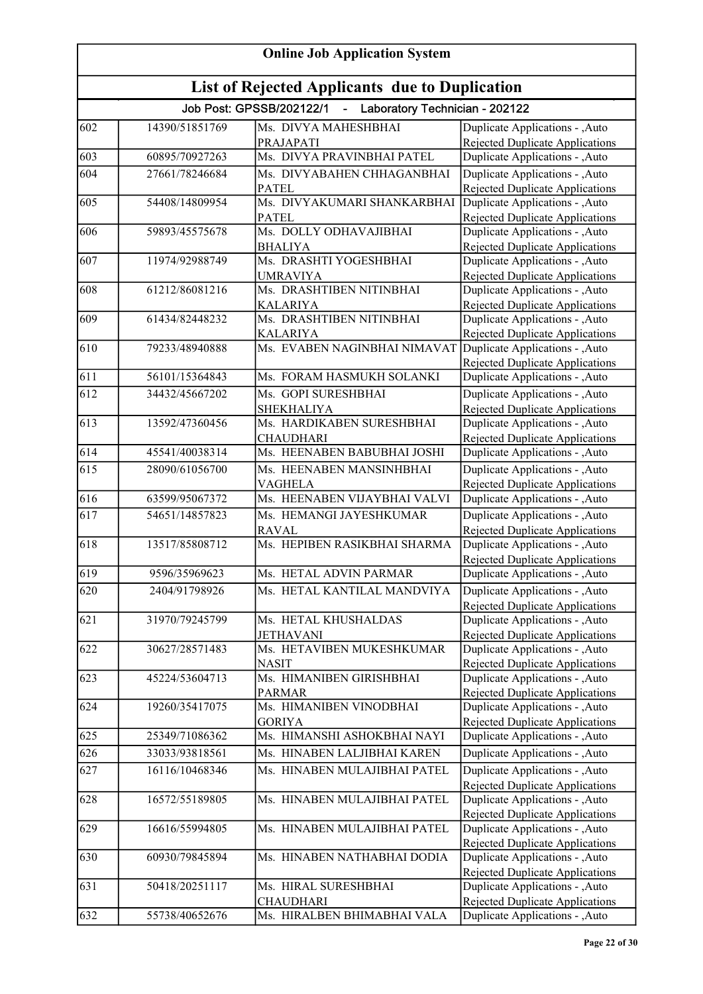| <b>Online Job Application System</b>                  |                |                                                                         |                                                                           |
|-------------------------------------------------------|----------------|-------------------------------------------------------------------------|---------------------------------------------------------------------------|
| <b>List of Rejected Applicants due to Duplication</b> |                |                                                                         |                                                                           |
|                                                       |                | Job Post: GPSSB/202122/1<br>Laboratory Technician - 202122<br>$\sim 10$ |                                                                           |
| 602                                                   | 14390/51851769 | Ms. DIVYA MAHESHBHAI                                                    | Duplicate Applications - , Auto                                           |
|                                                       |                | PRAJAPATI                                                               | Rejected Duplicate Applications                                           |
| 603                                                   | 60895/70927263 | Ms. DIVYA PRAVINBHAI PATEL                                              | Duplicate Applications - , Auto                                           |
| 604                                                   | 27661/78246684 | Ms. DIVYABAHEN CHHAGANBHAI                                              | Duplicate Applications - , Auto                                           |
| 605                                                   | 54408/14809954 | <b>PATEL</b><br>Ms. DIVYAKUMARI SHANKARBHAI                             | Rejected Duplicate Applications<br>Duplicate Applications - , Auto        |
|                                                       |                | <b>PATEL</b>                                                            | <b>Rejected Duplicate Applications</b>                                    |
| 606                                                   | 59893/45575678 | Ms. DOLLY ODHAVAJIBHAI                                                  | Duplicate Applications - , Auto                                           |
|                                                       |                | <b>BHALIYA</b>                                                          | <b>Rejected Duplicate Applications</b>                                    |
| 607                                                   | 11974/92988749 | Ms. DRASHTI YOGESHBHAI                                                  | Duplicate Applications - , Auto                                           |
| 608                                                   | 61212/86081216 | <b>UMRAVIYA</b><br>Ms. DRASHTIBEN NITINBHAI                             | <b>Rejected Duplicate Applications</b><br>Duplicate Applications - , Auto |
|                                                       |                | <b>KALARIYA</b>                                                         | Rejected Duplicate Applications                                           |
| 609                                                   | 61434/82448232 | Ms. DRASHTIBEN NITINBHAI                                                | Duplicate Applications - , Auto                                           |
|                                                       |                | <b>KALARIYA</b>                                                         | Rejected Duplicate Applications                                           |
| 610                                                   | 79233/48940888 | Ms. EVABEN NAGINBHAI NIMAVAT Duplicate Applications - , Auto            |                                                                           |
| 611                                                   | 56101/15364843 | Ms. FORAM HASMUKH SOLANKI                                               | Rejected Duplicate Applications                                           |
| 612                                                   |                | Ms. GOPI SURESHBHAI                                                     | Duplicate Applications - , Auto                                           |
|                                                       | 34432/45667202 | <b>SHEKHALIYA</b>                                                       | Duplicate Applications - , Auto<br><b>Rejected Duplicate Applications</b> |
| 613                                                   | 13592/47360456 | Ms. HARDIKABEN SURESHBHAI                                               | Duplicate Applications - , Auto                                           |
|                                                       |                | <b>CHAUDHARI</b>                                                        | Rejected Duplicate Applications                                           |
| 614                                                   | 45541/40038314 | Ms. HEENABEN BABUBHAI JOSHI                                             | Duplicate Applications - , Auto                                           |
| 615                                                   | 28090/61056700 | Ms. HEENABEN MANSINHBHAI                                                | Duplicate Applications - , Auto                                           |
|                                                       |                | <b>VAGHELA</b>                                                          | Rejected Duplicate Applications                                           |
| 616                                                   | 63599/95067372 | Ms. HEENABEN VIJAYBHAI VALVI                                            | Duplicate Applications - ,Auto                                            |
| 617                                                   | 54651/14857823 | Ms. HEMANGI JAYESHKUMAR<br><b>RAVAL</b>                                 | Duplicate Applications - , Auto                                           |
| 618                                                   | 13517/85808712 | Ms. HEPIBEN RASIKBHAI SHARMA                                            | <b>Rejected Duplicate Applications</b><br>Duplicate Applications - ,Auto  |
|                                                       |                |                                                                         | <b>Rejected Duplicate Applications</b>                                    |
| $\overline{619}$                                      | 9596/35969623  | Ms. HETAL ADVIN PARMAR                                                  | Duplicate Applications - , Auto                                           |
| 620                                                   | 2404/91798926  | Ms. HETAL KANTILAL MANDVIYA                                             | Duplicate Applications - , Auto                                           |
|                                                       |                |                                                                         | Rejected Duplicate Applications                                           |
| 621                                                   | 31970/79245799 | Ms. HETAL KHUSHALDAS                                                    | Duplicate Applications - , Auto                                           |
| 622                                                   | 30627/28571483 | <b>JETHAVANI</b><br>Ms. HETAVIBEN MUKESHKUMAR                           | Rejected Duplicate Applications<br>Duplicate Applications - ,Auto         |
|                                                       |                | <b>NASIT</b>                                                            | Rejected Duplicate Applications                                           |
| 623                                                   | 45224/53604713 | Ms. HIMANIBEN GIRISHBHAI                                                | Duplicate Applications - , Auto                                           |
|                                                       |                | <b>PARMAR</b>                                                           | <b>Rejected Duplicate Applications</b>                                    |
| 624                                                   | 19260/35417075 | Ms. HIMANIBEN VINODBHAI                                                 | Duplicate Applications - , Auto                                           |
| 625                                                   | 25349/71086362 | <b>GORIYA</b><br>Ms. HIMANSHI ASHOKBHAI NAYI                            | <b>Rejected Duplicate Applications</b>                                    |
| 626                                                   | 33033/93818561 | Ms. HINABEN LALJIBHAI KAREN                                             | Duplicate Applications - ,Auto                                            |
| 627                                                   | 16116/10468346 | Ms. HINABEN MULAJIBHAI PATEL                                            | Duplicate Applications - , Auto<br>Duplicate Applications - , Auto        |
|                                                       |                |                                                                         | Rejected Duplicate Applications                                           |
| 628                                                   | 16572/55189805 | Ms. HINABEN MULAJIBHAI PATEL                                            | Duplicate Applications - , Auto                                           |
|                                                       |                |                                                                         | Rejected Duplicate Applications                                           |
| 629                                                   | 16616/55994805 | Ms. HINABEN MULAJIBHAI PATEL                                            | Duplicate Applications - , Auto                                           |
|                                                       |                |                                                                         | <b>Rejected Duplicate Applications</b>                                    |
| 630                                                   | 60930/79845894 | Ms. HINABEN NATHABHAI DODIA                                             | Duplicate Applications - , Auto<br>Rejected Duplicate Applications        |
| 631                                                   | 50418/20251117 | Ms. HIRAL SURESHBHAI                                                    | Duplicate Applications - , Auto                                           |
|                                                       |                | <b>CHAUDHARI</b>                                                        | Rejected Duplicate Applications                                           |
| 632                                                   | 55738/40652676 | Ms. HIRALBEN BHIMABHAI VALA                                             | Duplicate Applications - , Auto                                           |
|                                                       |                |                                                                         |                                                                           |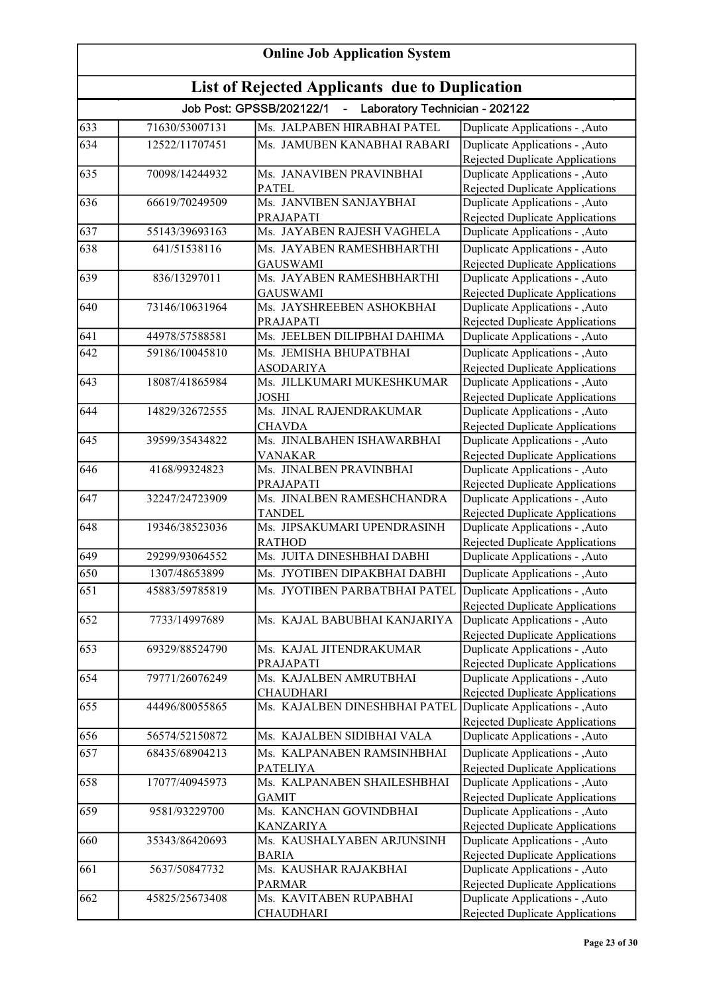| <b>Online Job Application System</b> |                                                       |                                                              |                                                                           |  |
|--------------------------------------|-------------------------------------------------------|--------------------------------------------------------------|---------------------------------------------------------------------------|--|
|                                      | <b>List of Rejected Applicants due to Duplication</b> |                                                              |                                                                           |  |
|                                      |                                                       | Job Post: GPSSB/202122/1<br>- Laboratory Technician - 202122 |                                                                           |  |
| 633                                  | 71630/53007131                                        | Ms. JALPABEN HIRABHAI PATEL                                  | Duplicate Applications - ,Auto                                            |  |
| 634                                  | 12522/11707451                                        | Ms. JAMUBEN KANABHAI RABARI                                  | Duplicate Applications - , Auto                                           |  |
|                                      |                                                       |                                                              | Rejected Duplicate Applications                                           |  |
| 635                                  | 70098/14244932                                        | Ms. JANAVIBEN PRAVINBHAI                                     | Duplicate Applications - ,Auto                                            |  |
|                                      |                                                       | <b>PATEL</b>                                                 | Rejected Duplicate Applications                                           |  |
| 636                                  | 66619/70249509                                        | Ms. JANVIBEN SANJAYBHAI                                      | Duplicate Applications - , Auto                                           |  |
|                                      |                                                       | PRAJAPATI                                                    | Rejected Duplicate Applications                                           |  |
| 637                                  | 55143/39693163                                        | Ms. JAYABEN RAJESH VAGHELA                                   | Duplicate Applications - ,Auto                                            |  |
| 638                                  | 641/51538116                                          | Ms. JAYABEN RAMESHBHARTHI                                    | Duplicate Applications - , Auto                                           |  |
|                                      | 836/13297011                                          | <b>GAUSWAMI</b>                                              | <b>Rejected Duplicate Applications</b>                                    |  |
| 639                                  |                                                       | Ms. JAYABEN RAMESHBHARTHI<br><b>GAUSWAMI</b>                 | Duplicate Applications - , Auto<br>Rejected Duplicate Applications        |  |
| 640                                  | 73146/10631964                                        | Ms. JAYSHREEBEN ASHOKBHAI                                    | Duplicate Applications - , Auto                                           |  |
|                                      |                                                       | PRAJAPATI                                                    | Rejected Duplicate Applications                                           |  |
| 641                                  | 44978/57588581                                        | Ms. JEELBEN DILIPBHAI DAHIMA                                 | Duplicate Applications - , Auto                                           |  |
| 642                                  | 59186/10045810                                        | Ms. JEMISHA BHUPATBHAI                                       | Duplicate Applications - , Auto                                           |  |
|                                      |                                                       | <b>ASODARIYA</b>                                             | Rejected Duplicate Applications                                           |  |
| 643                                  | 18087/41865984                                        | Ms. JILLKUMARI MUKESHKUMAR                                   | Duplicate Applications - , Auto                                           |  |
|                                      |                                                       | <b>JOSHI</b>                                                 | <b>Rejected Duplicate Applications</b>                                    |  |
| 644                                  | 14829/32672555                                        | Ms. JINAL RAJENDRAKUMAR                                      | Duplicate Applications - ,Auto                                            |  |
|                                      |                                                       | <b>CHAVDA</b>                                                | Rejected Duplicate Applications                                           |  |
| 645                                  | 39599/35434822                                        | Ms. JINALBAHEN ISHAWARBHAI                                   | Duplicate Applications - , Auto                                           |  |
|                                      |                                                       | <b>VANAKAR</b>                                               | Rejected Duplicate Applications                                           |  |
| 646                                  | 4168/99324823                                         | Ms. JINALBEN PRAVINBHAI                                      | Duplicate Applications - , Auto                                           |  |
| 647                                  | 32247/24723909                                        | PRAJAPATI<br>Ms. JINALBEN RAMESHCHANDRA                      | Rejected Duplicate Applications<br>Duplicate Applications - , Auto        |  |
|                                      |                                                       | <b>TANDEL</b>                                                | <b>Rejected Duplicate Applications</b>                                    |  |
| 648                                  | 19346/38523036                                        | Ms. JIPSAKUMARI UPENDRASINH                                  | Duplicate Applications - , Auto                                           |  |
|                                      |                                                       | <b>RATHOD</b>                                                | Rejected Duplicate Applications                                           |  |
| 649                                  | 29299/93064552                                        | Ms. JUITA DINESHBHAI DABHI                                   | Duplicate Applications - , Auto                                           |  |
| 650                                  | 1307/48653899                                         | Ms. JYOTIBEN DIPAKBHAI DABHI                                 | Duplicate Applications - , Auto                                           |  |
| 651                                  | 45883/59785819                                        | Ms. JYOTIBEN PARBATBHAI PATEL                                | Duplicate Applications - , Auto                                           |  |
|                                      |                                                       |                                                              | Rejected Duplicate Applications                                           |  |
| 652                                  | 7733/14997689                                         | Ms. KAJAL BABUBHAI KANJARIYA                                 | Duplicate Applications - , Auto                                           |  |
|                                      |                                                       |                                                              | Rejected Duplicate Applications                                           |  |
| 653                                  | 69329/88524790                                        | Ms. KAJAL JITENDRAKUMAR                                      | Duplicate Applications - , Auto                                           |  |
|                                      |                                                       | PRAJAPATI                                                    | Rejected Duplicate Applications                                           |  |
| 654                                  | 79771/26076249                                        | Ms. KAJALBEN AMRUTBHAI<br><b>CHAUDHARI</b>                   | Duplicate Applications - , Auto                                           |  |
| 655                                  | 44496/80055865                                        | Ms. KAJALBEN DINESHBHAI PATEL                                | <b>Rejected Duplicate Applications</b><br>Duplicate Applications - , Auto |  |
|                                      |                                                       |                                                              | Rejected Duplicate Applications                                           |  |
| 656                                  | 56574/52150872                                        | Ms. KAJALBEN SIDIBHAI VALA                                   | Duplicate Applications - , Auto                                           |  |
| 657                                  | 68435/68904213                                        | Ms. KALPANABEN RAMSINHBHAI                                   | Duplicate Applications - , Auto                                           |  |
|                                      |                                                       | <b>PATELIYA</b>                                              | Rejected Duplicate Applications                                           |  |
| 658                                  | 17077/40945973                                        | Ms. KALPANABEN SHAILESHBHAI                                  | Duplicate Applications - , Auto                                           |  |
|                                      |                                                       | <b>GAMIT</b>                                                 | Rejected Duplicate Applications                                           |  |
| 659                                  | 9581/93229700                                         | Ms. KANCHAN GOVINDBHAI                                       | Duplicate Applications - , Auto                                           |  |
|                                      |                                                       | <b>KANZARIYA</b>                                             | Rejected Duplicate Applications                                           |  |
| 660                                  | 35343/86420693                                        | Ms. KAUSHALYABEN ARJUNSINH                                   | Duplicate Applications - , Auto                                           |  |
|                                      |                                                       | <b>BARIA</b>                                                 | <b>Rejected Duplicate Applications</b>                                    |  |
| 661                                  | 5637/50847732                                         | Ms. KAUSHAR RAJAKBHAI<br><b>PARMAR</b>                       | Duplicate Applications - , Auto<br>Rejected Duplicate Applications        |  |
| 662                                  | 45825/25673408                                        | Ms. KAVITABEN RUPABHAI                                       | Duplicate Applications - , Auto                                           |  |
|                                      |                                                       | <b>CHAUDHARI</b>                                             | Rejected Duplicate Applications                                           |  |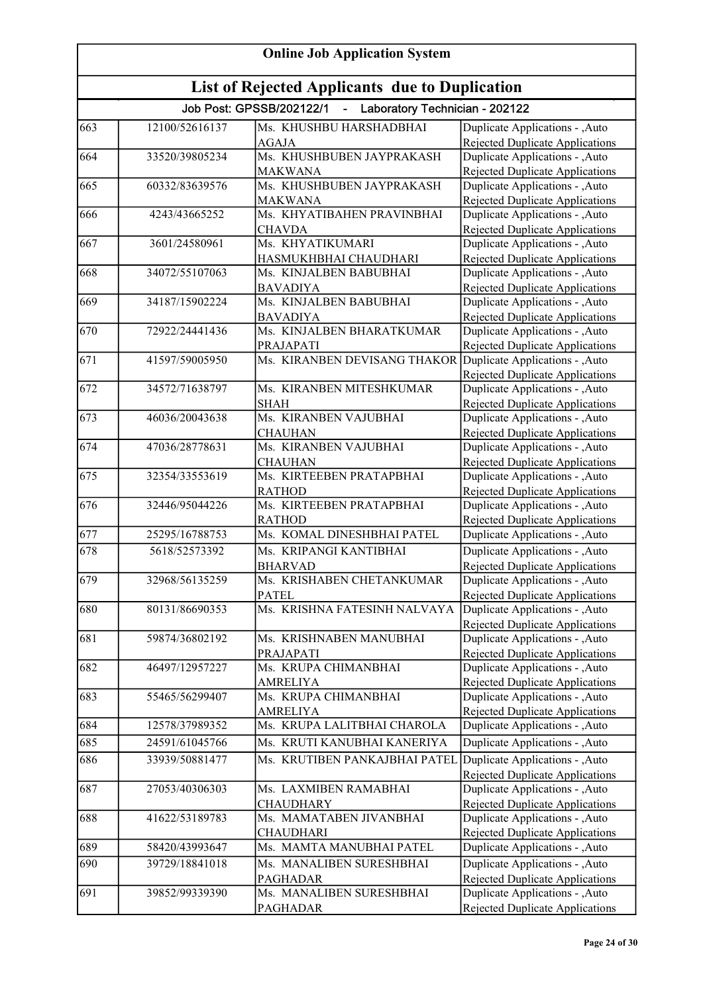| <b>Online Job Application System</b><br>List of Rejected Applicants due to Duplication |                |                                                              |                                                                    |
|----------------------------------------------------------------------------------------|----------------|--------------------------------------------------------------|--------------------------------------------------------------------|
|                                                                                        |                |                                                              |                                                                    |
| 663                                                                                    | 12100/52616137 | Ms. KHUSHBU HARSHADBHAI                                      | Duplicate Applications - , Auto                                    |
|                                                                                        |                | <b>AGAJA</b>                                                 | Rejected Duplicate Applications                                    |
| 664                                                                                    | 33520/39805234 | Ms. KHUSHBUBEN JAYPRAKASH                                    | Duplicate Applications - , Auto                                    |
|                                                                                        |                | <b>MAKWANA</b>                                               | Rejected Duplicate Applications                                    |
| 665                                                                                    | 60332/83639576 | Ms. KHUSHBUBEN JAYPRAKASH                                    | Duplicate Applications - ,Auto                                     |
|                                                                                        |                | <b>MAKWANA</b>                                               | Rejected Duplicate Applications                                    |
| 666                                                                                    | 4243/43665252  | Ms. KHYATIBAHEN PRAVINBHAI                                   | Duplicate Applications - ,Auto                                     |
|                                                                                        |                | <b>CHAVDA</b>                                                | Rejected Duplicate Applications                                    |
| 667                                                                                    | 3601/24580961  | Ms. KHYATIKUMARI                                             | Duplicate Applications - ,Auto                                     |
| 668                                                                                    | 34072/55107063 | HASMUKHBHAI CHAUDHARI<br>Ms. KINJALBEN BABUBHAI              | Rejected Duplicate Applications                                    |
|                                                                                        |                |                                                              | Duplicate Applications - , Auto                                    |
| 669                                                                                    | 34187/15902224 | <b>BAVADIYA</b><br>Ms. KINJALBEN BABUBHAI                    | Rejected Duplicate Applications<br>Duplicate Applications - , Auto |
|                                                                                        |                | <b>BAVADIYA</b>                                              | Rejected Duplicate Applications                                    |
| 670                                                                                    | 72922/24441436 | Ms. KINJALBEN BHARATKUMAR                                    | Duplicate Applications - ,Auto                                     |
|                                                                                        |                | PRAJAPATI                                                    | Rejected Duplicate Applications                                    |
| 671                                                                                    | 41597/59005950 | Ms. KIRANBEN DEVISANG THAKOR Duplicate Applications - , Auto |                                                                    |
|                                                                                        |                |                                                              | <b>Rejected Duplicate Applications</b>                             |
| 672                                                                                    | 34572/71638797 | Ms. KIRANBEN MITESHKUMAR                                     | Duplicate Applications - , Auto                                    |
|                                                                                        |                | <b>SHAH</b>                                                  | <b>Rejected Duplicate Applications</b>                             |
| 673                                                                                    | 46036/20043638 | Ms. KIRANBEN VAJUBHAI                                        | Duplicate Applications - ,Auto                                     |
|                                                                                        |                | <b>CHAUHAN</b>                                               | <b>Rejected Duplicate Applications</b>                             |
| 674                                                                                    | 47036/28778631 | Ms. KIRANBEN VAJUBHAI                                        | Duplicate Applications - , Auto                                    |
|                                                                                        |                | <b>CHAUHAN</b>                                               | <b>Rejected Duplicate Applications</b>                             |
| 675                                                                                    | 32354/33553619 | Ms. KIRTEEBEN PRATAPBHAI                                     | Duplicate Applications - , Auto                                    |
|                                                                                        |                | <b>RATHOD</b>                                                | <b>Rejected Duplicate Applications</b>                             |
| 676                                                                                    | 32446/95044226 | Ms. KIRTEEBEN PRATAPBHAI                                     | Duplicate Applications - , Auto                                    |
|                                                                                        |                | <b>RATHOD</b>                                                | Rejected Duplicate Applications                                    |
| 677                                                                                    | 25295/16788753 | Ms. KOMAL DINESHBHAI PATEL                                   | Duplicate Applications - , Auto                                    |
| 678                                                                                    | 5618/52573392  | Ms. KRIPANGI KANTIBHAI                                       | Duplicate Applications - , Auto                                    |
|                                                                                        |                | <b>BHARVAD</b>                                               | <b>Rejected Duplicate Applications</b>                             |
| 679                                                                                    | 32968/56135259 | Ms. KRISHABEN CHETANKUMAR                                    | Duplicate Applications - , Auto                                    |
|                                                                                        |                | <b>PATEL</b>                                                 | Rejected Duplicate Applications                                    |
| 680                                                                                    | 80131/86690353 | Ms. KRISHNA FATESINH NALVAYA                                 | Duplicate Applications - , Auto                                    |
|                                                                                        |                |                                                              | Rejected Duplicate Applications                                    |
| 681                                                                                    | 59874/36802192 | Ms. KRISHNABEN MANUBHAI                                      | Duplicate Applications - , Auto                                    |
|                                                                                        |                | PRAJAPATI                                                    | Rejected Duplicate Applications                                    |
| 682                                                                                    | 46497/12957227 | Ms. KRUPA CHIMANBHAI                                         | Duplicate Applications - , Auto                                    |
|                                                                                        |                | <b>AMRELIYA</b>                                              | Rejected Duplicate Applications                                    |
| 683                                                                                    | 55465/56299407 | Ms. KRUPA CHIMANBHAI                                         | Duplicate Applications - , Auto                                    |
|                                                                                        | 12578/37989352 | <b>AMRELIYA</b><br>Ms. KRUPA LALITBHAI CHAROLA               | <b>Rejected Duplicate Applications</b>                             |
| 684                                                                                    |                |                                                              | Duplicate Applications - , Auto                                    |
| 685                                                                                    | 24591/61045766 | Ms. KRUTI KANUBHAI KANERIYA                                  | Duplicate Applications - ,Auto                                     |
| 686                                                                                    | 33939/50881477 | Ms. KRUTIBEN PANKAJBHAI PATEL                                | Duplicate Applications - , Auto                                    |
|                                                                                        |                |                                                              | Rejected Duplicate Applications                                    |
| 687                                                                                    | 27053/40306303 | Ms. LAXMIBEN RAMABHAI                                        | Duplicate Applications - , Auto                                    |
|                                                                                        |                | <b>CHAUDHARY</b>                                             | <b>Rejected Duplicate Applications</b>                             |
| 688                                                                                    | 41622/53189783 | Ms. MAMATABEN JIVANBHAI                                      | Duplicate Applications - , Auto                                    |
|                                                                                        |                | <b>CHAUDHARI</b>                                             | Rejected Duplicate Applications                                    |
| 689                                                                                    | 58420/43993647 | Ms. MAMTA MANUBHAI PATEL                                     | Duplicate Applications - ,Auto                                     |
| 690                                                                                    | 39729/18841018 | Ms. MANALIBEN SURESHBHAI                                     | Duplicate Applications - , Auto                                    |
|                                                                                        |                | <b>PAGHADAR</b>                                              | Rejected Duplicate Applications                                    |
| 691                                                                                    | 39852/99339390 | Ms. MANALIBEN SURESHBHAI                                     | Duplicate Applications - , Auto                                    |
|                                                                                        |                | <b>PAGHADAR</b>                                              | Rejected Duplicate Applications                                    |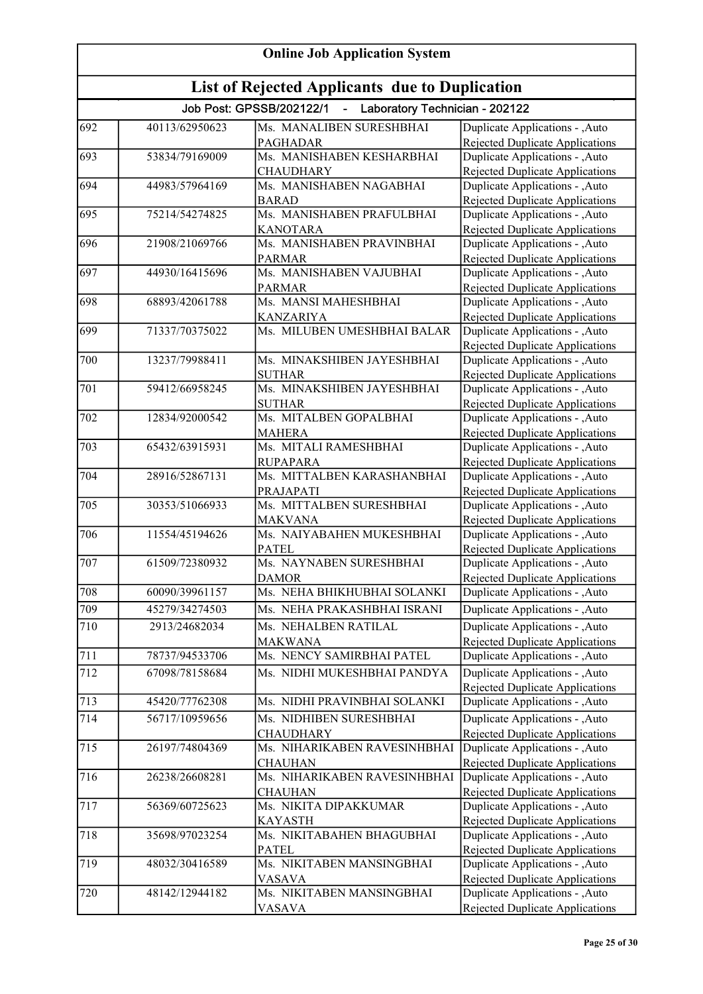| <b>Online Job Application System</b>           |                |                                                                              |                                                                           |  |
|------------------------------------------------|----------------|------------------------------------------------------------------------------|---------------------------------------------------------------------------|--|
| List of Rejected Applicants due to Duplication |                |                                                                              |                                                                           |  |
|                                                |                | Job Post: GPSSB/202122/1<br>Laboratory Technician - 202122<br>$\blacksquare$ |                                                                           |  |
| 692                                            | 40113/62950623 | Ms. MANALIBEN SURESHBHAI                                                     | Duplicate Applications - , Auto                                           |  |
|                                                |                | <b>PAGHADAR</b>                                                              | Rejected Duplicate Applications                                           |  |
| 693                                            | 53834/79169009 | Ms. MANISHABEN KESHARBHAI                                                    | Duplicate Applications - , Auto                                           |  |
|                                                |                | <b>CHAUDHARY</b>                                                             | <b>Rejected Duplicate Applications</b>                                    |  |
| 694                                            | 44983/57964169 | Ms. MANISHABEN NAGABHAI                                                      | Duplicate Applications - , Auto                                           |  |
| 695                                            | 75214/54274825 | <b>BARAD</b><br>Ms. MANISHABEN PRAFULBHAI                                    | Rejected Duplicate Applications<br>Duplicate Applications - , Auto        |  |
|                                                |                | <b>KANOTARA</b>                                                              | Rejected Duplicate Applications                                           |  |
| 696                                            | 21908/21069766 | Ms. MANISHABEN PRAVINBHAI                                                    | Duplicate Applications - , Auto                                           |  |
|                                                |                | <b>PARMAR</b>                                                                | Rejected Duplicate Applications                                           |  |
| 697                                            | 44930/16415696 | Ms. MANISHABEN VAJUBHAI                                                      | Duplicate Applications - , Auto                                           |  |
|                                                |                | <b>PARMAR</b>                                                                | Rejected Duplicate Applications                                           |  |
| 698                                            | 68893/42061788 | Ms. MANSI MAHESHBHAI                                                         | Duplicate Applications - , Auto                                           |  |
|                                                |                | <b>KANZARIYA</b>                                                             | Rejected Duplicate Applications                                           |  |
| 699                                            | 71337/70375022 | Ms. MILUBEN UMESHBHAI BALAR                                                  | Duplicate Applications - , Auto                                           |  |
|                                                |                |                                                                              | Rejected Duplicate Applications                                           |  |
| 700                                            | 13237/79988411 | Ms. MINAKSHIBEN JAYESHBHAI                                                   | Duplicate Applications - , Auto                                           |  |
|                                                |                | <b>SUTHAR</b>                                                                | <b>Rejected Duplicate Applications</b>                                    |  |
| 701                                            | 59412/66958245 | Ms. MINAKSHIBEN JAYESHBHAI                                                   | Duplicate Applications - , Auto                                           |  |
| 702                                            | 12834/92000542 | <b>SUTHAR</b><br>Ms. MITALBEN GOPALBHAI                                      | <b>Rejected Duplicate Applications</b><br>Duplicate Applications - , Auto |  |
|                                                |                | <b>MAHERA</b>                                                                | <b>Rejected Duplicate Applications</b>                                    |  |
| 703                                            | 65432/63915931 | Ms. MITALI RAMESHBHAI                                                        | Duplicate Applications - , Auto                                           |  |
|                                                |                | <b>RUPAPARA</b>                                                              | Rejected Duplicate Applications                                           |  |
| 704                                            | 28916/52867131 | Ms. MITTALBEN KARASHANBHAI                                                   | Duplicate Applications - , Auto                                           |  |
|                                                |                | PRAJAPATI                                                                    | <b>Rejected Duplicate Applications</b>                                    |  |
| 705                                            | 30353/51066933 | Ms. MITTALBEN SURESHBHAI                                                     | Duplicate Applications - , Auto                                           |  |
|                                                |                | <b>MAKVANA</b>                                                               | Rejected Duplicate Applications                                           |  |
| 706                                            | 11554/45194626 | Ms. NAIYABAHEN MUKESHBHAI                                                    | Duplicate Applications - , Auto                                           |  |
|                                                |                | <b>PATEL</b>                                                                 | Rejected Duplicate Applications                                           |  |
| 707                                            | 61509/72380932 | Ms. NAYNABEN SURESHBHAI                                                      | Duplicate Applications - , Auto                                           |  |
| 708                                            | 60090/39961157 | <b>DAMOR</b><br>Ms. NEHA BHIKHUBHAI SOLANKI                                  | Rejected Duplicate Applications                                           |  |
|                                                |                |                                                                              | Duplicate Applications - , Auto                                           |  |
| 709                                            | 45279/34274503 | Ms. NEHA PRAKASHBHAI ISRANI                                                  | Duplicate Applications - ,Auto                                            |  |
| 710                                            | 2913/24682034  | Ms. NEHALBEN RATILAL                                                         | Duplicate Applications - , Auto                                           |  |
| 711                                            | 78737/94533706 | <b>MAKWANA</b><br>Ms. NENCY SAMIRBHAI PATEL                                  | <b>Rejected Duplicate Applications</b><br>Duplicate Applications - ,Auto  |  |
|                                                |                |                                                                              |                                                                           |  |
| 712                                            | 67098/78158684 | Ms. NIDHI MUKESHBHAI PANDYA                                                  | Duplicate Applications - , Auto                                           |  |
| 713                                            | 45420/77762308 | Ms. NIDHI PRAVINBHAI SOLANKI                                                 | Rejected Duplicate Applications<br>Duplicate Applications - , Auto        |  |
| 714                                            | 56717/10959656 | Ms. NIDHIBEN SURESHBHAI                                                      |                                                                           |  |
|                                                |                | <b>CHAUDHARY</b>                                                             | Duplicate Applications - , Auto<br>Rejected Duplicate Applications        |  |
| 715                                            | 26197/74804369 | Ms. NIHARIKABEN RAVESINHBHAI                                                 | Duplicate Applications - , Auto                                           |  |
|                                                |                | <b>CHAUHAN</b>                                                               | Rejected Duplicate Applications                                           |  |
| 716                                            | 26238/26608281 | Ms. NIHARIKABEN RAVESINHBHAI                                                 | Duplicate Applications - , Auto                                           |  |
|                                                |                | <b>CHAUHAN</b>                                                               | <b>Rejected Duplicate Applications</b>                                    |  |
| 717                                            | 56369/60725623 | Ms. NIKITA DIPAKKUMAR                                                        | Duplicate Applications - , Auto                                           |  |
|                                                |                | <b>KAYASTH</b>                                                               | <b>Rejected Duplicate Applications</b>                                    |  |
| 718                                            | 35698/97023254 | Ms. NIKITABAHEN BHAGUBHAI                                                    | Duplicate Applications - , Auto                                           |  |
|                                                |                | <b>PATEL</b>                                                                 | <b>Rejected Duplicate Applications</b>                                    |  |
| 719                                            | 48032/30416589 | Ms. NIKITABEN MANSINGBHAI                                                    | Duplicate Applications - , Auto                                           |  |
|                                                |                | <b>VASAVA</b>                                                                | Rejected Duplicate Applications                                           |  |
| 720                                            | 48142/12944182 | Ms. NIKITABEN MANSINGBHAI                                                    | Duplicate Applications - , Auto<br>Rejected Duplicate Applications        |  |
|                                                |                | VASAVA                                                                       |                                                                           |  |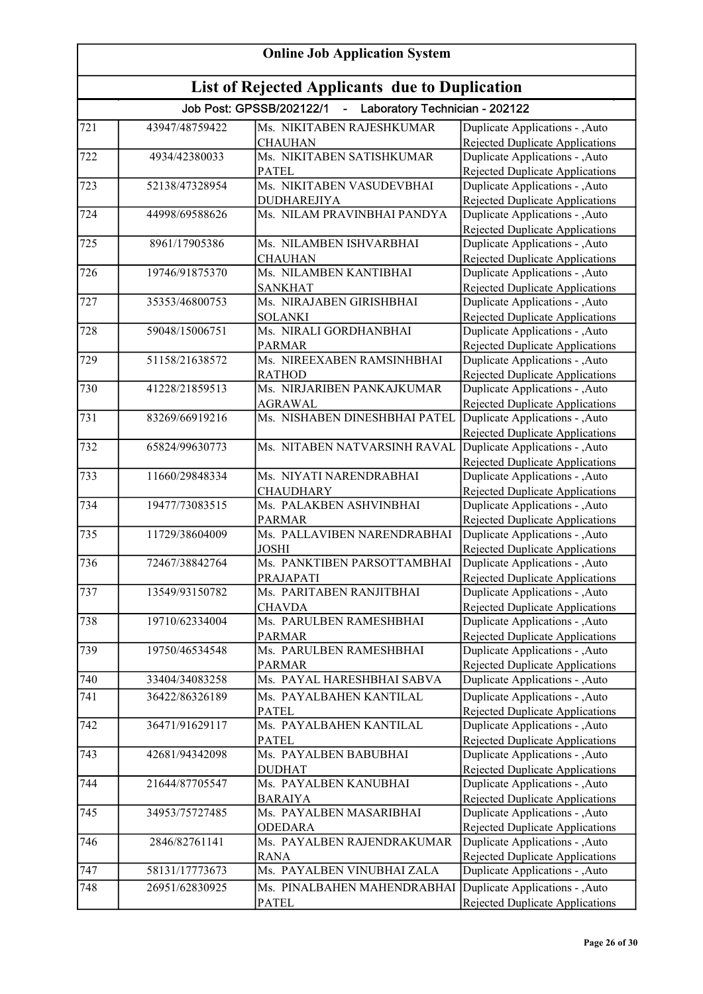| <b>Online Job Application System</b>                  |                |                                                              |                                                                           |  |
|-------------------------------------------------------|----------------|--------------------------------------------------------------|---------------------------------------------------------------------------|--|
| <b>List of Rejected Applicants due to Duplication</b> |                |                                                              |                                                                           |  |
|                                                       |                | Job Post: GPSSB/202122/1<br>- Laboratory Technician - 202122 |                                                                           |  |
| 721                                                   | 43947/48759422 | Ms. NIKITABEN RAJESHKUMAR                                    | Duplicate Applications - , Auto                                           |  |
|                                                       |                | <b>CHAUHAN</b>                                               | Rejected Duplicate Applications                                           |  |
| 722                                                   | 4934/42380033  | Ms. NIKITABEN SATISHKUMAR                                    | Duplicate Applications - , Auto                                           |  |
|                                                       |                | <b>PATEL</b>                                                 | Rejected Duplicate Applications                                           |  |
| 723                                                   | 52138/47328954 | Ms. NIKITABEN VASUDEVBHAI                                    | Duplicate Applications - , Auto                                           |  |
|                                                       |                | <b>DUDHAREJIYA</b>                                           | <b>Rejected Duplicate Applications</b>                                    |  |
| 724                                                   | 44998/69588626 | Ms. NILAM PRAVINBHAI PANDYA                                  | Duplicate Applications - ,Auto                                            |  |
|                                                       |                |                                                              | Rejected Duplicate Applications                                           |  |
| 725                                                   | 8961/17905386  | Ms. NILAMBEN ISHVARBHAI                                      | Duplicate Applications - , Auto                                           |  |
| 726                                                   | 19746/91875370 | <b>CHAUHAN</b><br>Ms. NILAMBEN KANTIBHAI                     | <b>Rejected Duplicate Applications</b>                                    |  |
|                                                       |                | <b>SANKHAT</b>                                               | Duplicate Applications - , Auto<br>Rejected Duplicate Applications        |  |
| 727                                                   | 35353/46800753 | Ms. NIRAJABEN GIRISHBHAI                                     | Duplicate Applications - , Auto                                           |  |
|                                                       |                | <b>SOLANKI</b>                                               | Rejected Duplicate Applications                                           |  |
| 728                                                   | 59048/15006751 | Ms. NIRALI GORDHANBHAI                                       | Duplicate Applications - , Auto                                           |  |
|                                                       |                | <b>PARMAR</b>                                                | <b>Rejected Duplicate Applications</b>                                    |  |
| 729                                                   | 51158/21638572 | Ms. NIREEXABEN RAMSINHBHAI                                   | Duplicate Applications - , Auto                                           |  |
|                                                       |                | <b>RATHOD</b>                                                | <b>Rejected Duplicate Applications</b>                                    |  |
| 730                                                   | 41228/21859513 | Ms. NIRJARIBEN PANKAJKUMAR                                   | Duplicate Applications - , Auto                                           |  |
|                                                       |                | <b>AGRAWAL</b>                                               | <b>Rejected Duplicate Applications</b>                                    |  |
| $\overline{731}$                                      | 83269/66919216 | Ms. NISHABEN DINESHBHAI PATEL                                | Duplicate Applications - ,Auto                                            |  |
|                                                       |                |                                                              | <b>Rejected Duplicate Applications</b>                                    |  |
| 732                                                   | 65824/99630773 | Ms. NITABEN NATVARSINH RAVAL                                 | Duplicate Applications - , Auto                                           |  |
|                                                       |                |                                                              | Rejected Duplicate Applications                                           |  |
| 733                                                   | 11660/29848334 | Ms. NIYATI NARENDRABHAI                                      | Duplicate Applications - ,Auto                                            |  |
|                                                       |                | <b>CHAUDHARY</b>                                             | <b>Rejected Duplicate Applications</b>                                    |  |
| 734                                                   | 19477/73083515 | Ms. PALAKBEN ASHVINBHAI                                      | Duplicate Applications - , Auto                                           |  |
|                                                       |                | <b>PARMAR</b>                                                | Rejected Duplicate Applications                                           |  |
| 735                                                   | 11729/38604009 | Ms. PALLAVIBEN NARENDRABHAI                                  | Duplicate Applications - , Auto                                           |  |
|                                                       |                | <b>JOSHI</b>                                                 | Rejected Duplicate Applications                                           |  |
| 736                                                   | 72467/38842764 | Ms. PANKTIBEN PARSOTTAMBHAI                                  | Duplicate Applications - , Auto                                           |  |
|                                                       |                | PRAJAPATI                                                    | Rejected Duplicate Applications                                           |  |
| 737                                                   | 13549/93150782 | Ms. PARITABEN RANJITBHAI                                     | Duplicate Applications - , Auto                                           |  |
| 738                                                   | 19710/62334004 | <b>CHAVDA</b><br>Ms. PARULBEN RAMESHBHAI                     | Rejected Duplicate Applications                                           |  |
|                                                       |                |                                                              | Duplicate Applications - , Auto<br><b>Rejected Duplicate Applications</b> |  |
| 739                                                   | 19750/46534548 | <b>PARMAR</b><br>Ms. PARULBEN RAMESHBHAI                     | Duplicate Applications - , Auto                                           |  |
|                                                       |                | <b>PARMAR</b>                                                | Rejected Duplicate Applications                                           |  |
| 740                                                   | 33404/34083258 | Ms. PAYAL HARESHBHAI SABVA                                   | Duplicate Applications - , Auto                                           |  |
| 741                                                   | 36422/86326189 | Ms. PAYALBAHEN KANTILAL                                      | Duplicate Applications - , Auto                                           |  |
|                                                       |                | <b>PATEL</b>                                                 | Rejected Duplicate Applications                                           |  |
| 742                                                   | 36471/91629117 | Ms. PAYALBAHEN KANTILAL                                      | Duplicate Applications - , Auto                                           |  |
|                                                       |                | <b>PATEL</b>                                                 | Rejected Duplicate Applications                                           |  |
| 743                                                   | 42681/94342098 | Ms. PAYALBEN BABUBHAI                                        | Duplicate Applications - , Auto                                           |  |
|                                                       |                | <b>DUDHAT</b>                                                | Rejected Duplicate Applications                                           |  |
| 744                                                   | 21644/87705547 | Ms. PAYALBEN KANUBHAI                                        | Duplicate Applications - , Auto                                           |  |
|                                                       |                | <b>BARAIYA</b>                                               | Rejected Duplicate Applications                                           |  |
| 745                                                   | 34953/75727485 | Ms. PAYALBEN MASARIBHAI                                      | Duplicate Applications - , Auto                                           |  |
|                                                       |                | <b>ODEDARA</b>                                               | Rejected Duplicate Applications                                           |  |
| 746                                                   | 2846/82761141  | Ms. PAYALBEN RAJENDRAKUMAR                                   | Duplicate Applications - , Auto                                           |  |
|                                                       |                | <b>RANA</b>                                                  | Rejected Duplicate Applications                                           |  |
| 747                                                   | 58131/17773673 | Ms. PAYALBEN VINUBHAI ZALA                                   | Duplicate Applications - ,Auto                                            |  |
| 748                                                   | 26951/62830925 | Ms. PINALBAHEN MAHENDRABHAI                                  | Duplicate Applications - , Auto                                           |  |
|                                                       |                | <b>PATEL</b>                                                 | Rejected Duplicate Applications                                           |  |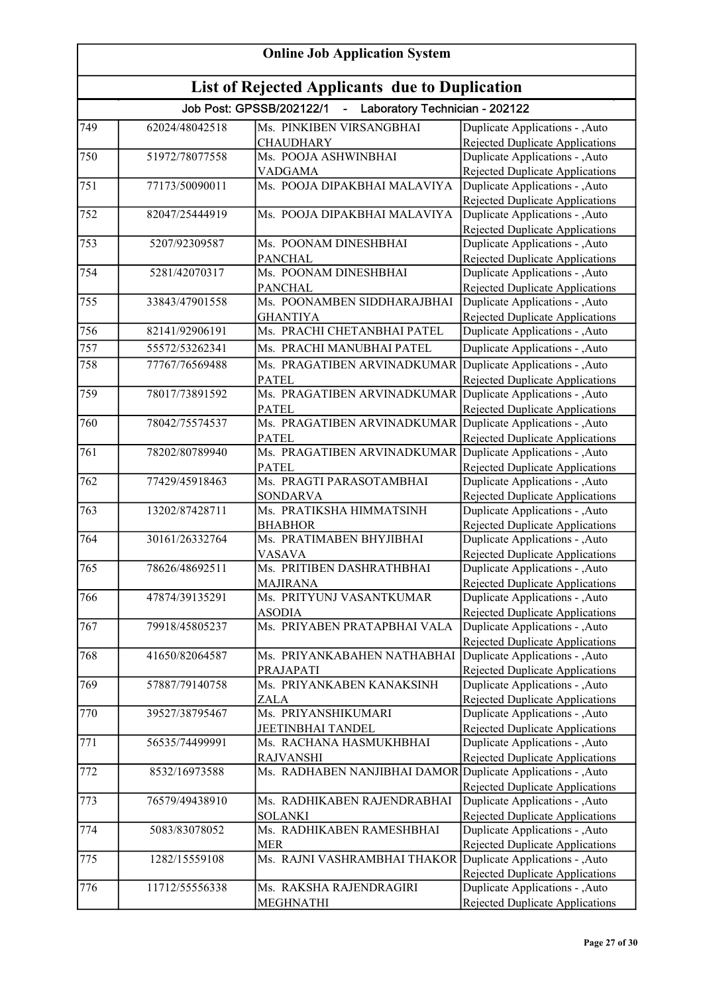| <b>Online Job Application System</b>           |                |                                                                              |                                                                           |  |
|------------------------------------------------|----------------|------------------------------------------------------------------------------|---------------------------------------------------------------------------|--|
| List of Rejected Applicants due to Duplication |                |                                                                              |                                                                           |  |
|                                                |                | Job Post: GPSSB/202122/1<br>Laboratory Technician - 202122<br>$\blacksquare$ |                                                                           |  |
| 749                                            | 62024/48042518 | Ms. PINKIBEN VIRSANGBHAI                                                     | Duplicate Applications - , Auto                                           |  |
|                                                |                | <b>CHAUDHARY</b>                                                             | Rejected Duplicate Applications                                           |  |
| 750                                            | 51972/78077558 | Ms. POOJA ASHWINBHAI                                                         | Duplicate Applications - ,Auto                                            |  |
|                                                |                | <b>VADGAMA</b>                                                               | Rejected Duplicate Applications                                           |  |
| 751                                            | 77173/50090011 | Ms. POOJA DIPAKBHAI MALAVIYA                                                 | Duplicate Applications - , Auto                                           |  |
|                                                |                |                                                                              | Rejected Duplicate Applications                                           |  |
| 752                                            | 82047/25444919 | Ms. POOJA DIPAKBHAI MALAVIYA                                                 | Duplicate Applications - ,Auto                                            |  |
|                                                |                |                                                                              | Rejected Duplicate Applications                                           |  |
| 753                                            | 5207/92309587  | Ms. POONAM DINESHBHAI                                                        | Duplicate Applications - , Auto                                           |  |
|                                                |                | <b>PANCHAL</b>                                                               | Rejected Duplicate Applications                                           |  |
| 754                                            | 5281/42070317  | Ms. POONAM DINESHBHAI                                                        | Duplicate Applications - , Auto                                           |  |
|                                                | 33843/47901558 | <b>PANCHAL</b><br>Ms. POONAMBEN SIDDHARAJBHAI                                | Rejected Duplicate Applications                                           |  |
| 755                                            |                | <b>GHANTIYA</b>                                                              | Duplicate Applications - , Auto                                           |  |
| 756                                            | 82141/92906191 | Ms. PRACHI CHETANBHAI PATEL                                                  | <b>Rejected Duplicate Applications</b><br>Duplicate Applications - , Auto |  |
|                                                |                |                                                                              |                                                                           |  |
| 757                                            | 55572/53262341 | Ms. PRACHI MANUBHAI PATEL                                                    | Duplicate Applications - , Auto                                           |  |
| 758                                            | 77767/76569488 | Ms. PRAGATIBEN ARVINADKUMAR                                                  | Duplicate Applications - , Auto                                           |  |
|                                                |                | <b>PATEL</b>                                                                 | Rejected Duplicate Applications                                           |  |
| 759                                            | 78017/73891592 | Ms. PRAGATIBEN ARVINADKUMAR Duplicate Applications - ,Auto                   |                                                                           |  |
|                                                |                | <b>PATEL</b>                                                                 | <b>Rejected Duplicate Applications</b>                                    |  |
| 760                                            | 78042/75574537 | Ms. PRAGATIBEN ARVINADKUMAR Duplicate Applications - ,Auto                   |                                                                           |  |
|                                                |                | <b>PATEL</b>                                                                 | <b>Rejected Duplicate Applications</b>                                    |  |
| 761                                            | 78202/80789940 | Ms. PRAGATIBEN ARVINADKUMAR Duplicate Applications - , Auto                  |                                                                           |  |
| 762                                            | 77429/45918463 | <b>PATEL</b><br>Ms. PRAGTI PARASOTAMBHAI                                     | <b>Rejected Duplicate Applications</b><br>Duplicate Applications - , Auto |  |
|                                                |                | <b>SONDARVA</b>                                                              |                                                                           |  |
| 763                                            | 13202/87428711 | Ms. PRATIKSHA HIMMATSINH                                                     | <b>Rejected Duplicate Applications</b><br>Duplicate Applications - , Auto |  |
|                                                |                | <b>BHABHOR</b>                                                               | Rejected Duplicate Applications                                           |  |
| 764                                            | 30161/26332764 | Ms. PRATIMABEN BHYJIBHAI                                                     | Duplicate Applications - ,Auto                                            |  |
|                                                |                | VASAVA                                                                       | <b>Rejected Duplicate Applications</b>                                    |  |
| 765                                            | 78626/48692511 | Ms. PRITIBEN DASHRATHBHAI                                                    | Duplicate Applications - , Auto                                           |  |
|                                                |                | <b>MAJIRANA</b>                                                              | Rejected Duplicate Applications                                           |  |
| 766                                            | 47874/39135291 | Ms. PRITYUNJ VASANTKUMAR                                                     | Duplicate Applications - , Auto                                           |  |
|                                                |                | <b>ASODIA</b>                                                                | <b>Rejected Duplicate Applications</b>                                    |  |
| 767                                            | 79918/45805237 | Ms. PRIYABEN PRATAPBHAI VALA                                                 | Duplicate Applications - , Auto                                           |  |
|                                                |                |                                                                              | Rejected Duplicate Applications                                           |  |
| 768                                            | 41650/82064587 | Ms. PRIYANKABAHEN NATHABHAI                                                  | Duplicate Applications - , Auto                                           |  |
|                                                |                | PRAJAPATI                                                                    | Rejected Duplicate Applications                                           |  |
| 769                                            | 57887/79140758 | Ms. PRIYANKABEN KANAKSINH                                                    | Duplicate Applications - , Auto                                           |  |
|                                                |                | ZALA                                                                         | Rejected Duplicate Applications                                           |  |
| 770                                            | 39527/38795467 | Ms. PRIYANSHIKUMARI                                                          | Duplicate Applications - , Auto                                           |  |
|                                                |                | JEETINBHAI TANDEL                                                            | Rejected Duplicate Applications                                           |  |
| 771                                            | 56535/74499991 | Ms. RACHANA HASMUKHBHAI                                                      | Duplicate Applications - , Auto                                           |  |
|                                                |                | <b>RAJVANSHI</b>                                                             | Rejected Duplicate Applications                                           |  |
| 772                                            | 8532/16973588  | Ms. RADHABEN NANJIBHAI DAMOR Duplicate Applications - , Auto                 |                                                                           |  |
|                                                |                |                                                                              | <b>Rejected Duplicate Applications</b>                                    |  |
| 773                                            | 76579/49438910 | Ms. RADHIKABEN RAJENDRABHAI                                                  | Duplicate Applications - , Auto                                           |  |
|                                                |                | <b>SOLANKI</b>                                                               | Rejected Duplicate Applications                                           |  |
| 774                                            | 5083/83078052  | Ms. RADHIKABEN RAMESHBHAI                                                    | Duplicate Applications - , Auto                                           |  |
|                                                |                | <b>MER</b>                                                                   | Rejected Duplicate Applications                                           |  |
| 775                                            | 1282/15559108  | Ms. RAJNI VASHRAMBHAI THAKOR                                                 | Duplicate Applications - , Auto                                           |  |
|                                                |                |                                                                              | Rejected Duplicate Applications                                           |  |
| 776                                            | 11712/55556338 | Ms. RAKSHA RAJENDRAGIRI                                                      | Duplicate Applications - , Auto                                           |  |
|                                                |                | MEGHNATHI                                                                    | Rejected Duplicate Applications                                           |  |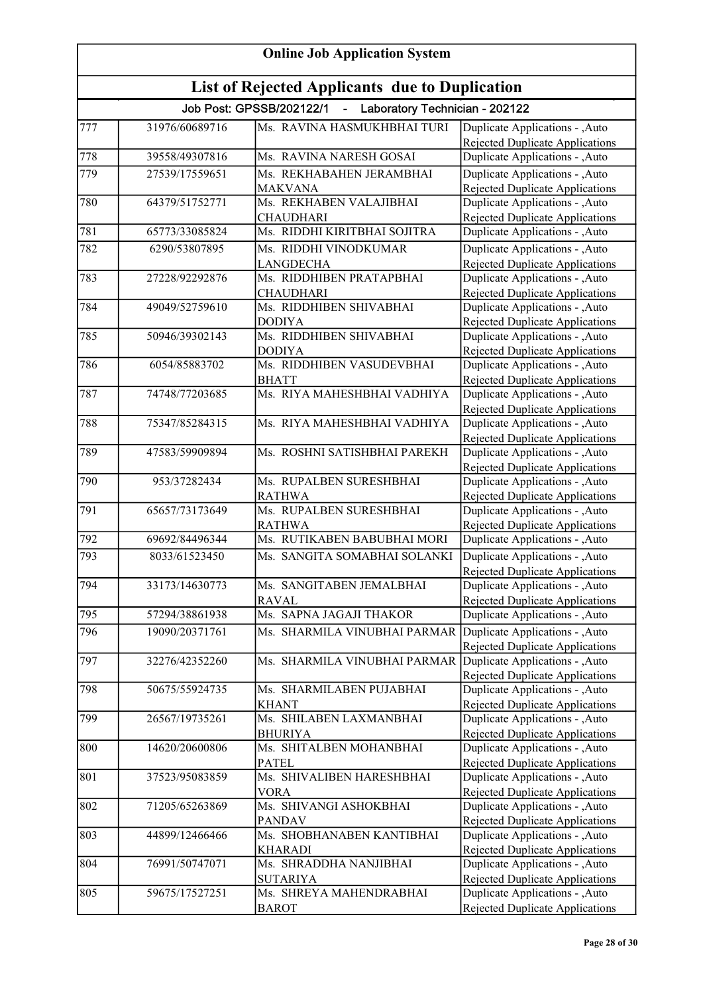| <b>Online Job Application System</b>                  |                |                                                              |                                                                          |  |
|-------------------------------------------------------|----------------|--------------------------------------------------------------|--------------------------------------------------------------------------|--|
| <b>List of Rejected Applicants due to Duplication</b> |                |                                                              |                                                                          |  |
|                                                       |                | Job Post: GPSSB/202122/1<br>- Laboratory Technician - 202122 |                                                                          |  |
| 777                                                   | 31976/60689716 | Ms. RAVINA HASMUKHBHAI TURI                                  | Duplicate Applications - ,Auto                                           |  |
|                                                       |                |                                                              | Rejected Duplicate Applications                                          |  |
| 778                                                   | 39558/49307816 | Ms. RAVINA NARESH GOSAI                                      | Duplicate Applications - ,Auto                                           |  |
| 779                                                   | 27539/17559651 | Ms. REKHABAHEN JERAMBHAI                                     | Duplicate Applications - , Auto                                          |  |
|                                                       |                | <b>MAKVANA</b>                                               | Rejected Duplicate Applications                                          |  |
| 780                                                   | 64379/51752771 | Ms. REKHABEN VALAJIBHAI                                      | Duplicate Applications - ,Auto                                           |  |
|                                                       |                | <b>CHAUDHARI</b>                                             | Rejected Duplicate Applications                                          |  |
| $\overline{781}$                                      | 65773/33085824 | Ms. RIDDHI KIRITBHAI SOJITRA                                 | Duplicate Applications - ,Auto                                           |  |
| 782                                                   | 6290/53807895  | Ms. RIDDHI VINODKUMAR                                        | Duplicate Applications - ,Auto                                           |  |
| 783                                                   | 27228/92292876 | <b>LANGDECHA</b><br>Ms. RIDDHIBEN PRATAPBHAI                 | <b>Rejected Duplicate Applications</b>                                   |  |
|                                                       |                | <b>CHAUDHARI</b>                                             | Duplicate Applications - , Auto<br>Rejected Duplicate Applications       |  |
| 784                                                   | 49049/52759610 | Ms. RIDDHIBEN SHIVABHAI                                      | Duplicate Applications - , Auto                                          |  |
|                                                       |                | <b>DODIYA</b>                                                | <b>Rejected Duplicate Applications</b>                                   |  |
| 785                                                   | 50946/39302143 | Ms. RIDDHIBEN SHIVABHAI                                      | Duplicate Applications - , Auto                                          |  |
|                                                       |                | <b>DODIYA</b>                                                | Rejected Duplicate Applications                                          |  |
| 786                                                   | 6054/85883702  | Ms. RIDDHIBEN VASUDEVBHAI                                    | Duplicate Applications - , Auto                                          |  |
|                                                       |                | <b>BHATT</b>                                                 | Rejected Duplicate Applications                                          |  |
| 787                                                   | 74748/77203685 | Ms. RIYA MAHESHBHAI VADHIYA                                  | Duplicate Applications - ,Auto                                           |  |
|                                                       |                |                                                              | Rejected Duplicate Applications                                          |  |
| 788                                                   | 75347/85284315 | Ms. RIYA MAHESHBHAI VADHIYA                                  | Duplicate Applications - , Auto                                          |  |
|                                                       |                |                                                              | Rejected Duplicate Applications                                          |  |
| 789                                                   | 47583/59909894 | Ms. ROSHNI SATISHBHAI PAREKH                                 | Duplicate Applications - , Auto                                          |  |
| 790                                                   | 953/37282434   | Ms. RUPALBEN SURESHBHAI                                      | Rejected Duplicate Applications                                          |  |
|                                                       |                | <b>RATHWA</b>                                                | Duplicate Applications - ,Auto<br><b>Rejected Duplicate Applications</b> |  |
| $\sqrt{791}$                                          | 65657/73173649 | Ms. RUPALBEN SURESHBHAI                                      | Duplicate Applications - ,Auto                                           |  |
|                                                       |                | <b>RATHWA</b>                                                | Rejected Duplicate Applications                                          |  |
| $\sqrt{792}$                                          | 69692/84496344 | Ms. RUTIKABEN BABUBHAI MORI                                  | Duplicate Applications - , Auto                                          |  |
| 793                                                   | 8033/61523450  | Ms. SANGITA SOMABHAI SOLANKI                                 | Duplicate Applications - , Auto                                          |  |
|                                                       |                |                                                              | Rejected Duplicate Applications                                          |  |
| 794                                                   | 33173/14630773 | Ms. SANGITABEN JEMALBHAI                                     | Duplicate Applications - , Auto                                          |  |
|                                                       |                | <b>RAVAL</b>                                                 | <b>Rejected Duplicate Applications</b>                                   |  |
| $\sqrt{795}$                                          | 57294/38861938 | Ms. SAPNA JAGAJI THAKOR                                      | Duplicate Applications - , Auto                                          |  |
| 796                                                   | 19090/20371761 | Ms. SHARMILA VINUBHAI PARMAR                                 | Duplicate Applications - , Auto                                          |  |
|                                                       |                |                                                              | Rejected Duplicate Applications                                          |  |
| 797                                                   | 32276/42352260 | Ms. SHARMILA VINUBHAI PARMAR                                 | Duplicate Applications - , Auto                                          |  |
|                                                       |                |                                                              | Rejected Duplicate Applications                                          |  |
| 798                                                   | 50675/55924735 | Ms. SHARMILABEN PUJABHAI                                     | Duplicate Applications - ,Auto                                           |  |
|                                                       |                | <b>KHANT</b>                                                 | Rejected Duplicate Applications                                          |  |
| 799                                                   | 26567/19735261 | Ms. SHILABEN LAXMANBHAI                                      | Duplicate Applications - , Auto                                          |  |
| 800                                                   | 14620/20600806 | <b>BHURIYA</b><br>Ms. SHITALBEN MOHANBHAI                    | Rejected Duplicate Applications<br>Duplicate Applications - ,Auto        |  |
|                                                       |                | <b>PATEL</b>                                                 | Rejected Duplicate Applications                                          |  |
| 801                                                   | 37523/95083859 | Ms. SHIVALIBEN HARESHBHAI                                    | Duplicate Applications - , Auto                                          |  |
|                                                       |                | <b>VORA</b>                                                  | <b>Rejected Duplicate Applications</b>                                   |  |
| 802                                                   | 71205/65263869 | Ms. SHIVANGI ASHOKBHAI                                       | Duplicate Applications - , Auto                                          |  |
|                                                       |                | <b>PANDAV</b>                                                | <b>Rejected Duplicate Applications</b>                                   |  |
| 803                                                   | 44899/12466466 | Ms. SHOBHANABEN KANTIBHAI                                    | Duplicate Applications - , Auto                                          |  |
|                                                       |                | <b>KHARADI</b>                                               | <b>Rejected Duplicate Applications</b>                                   |  |
| 804                                                   | 76991/50747071 | Ms. SHRADDHA NANJIBHAI                                       | Duplicate Applications - , Auto                                          |  |
|                                                       |                | <b>SUTARIYA</b>                                              | <b>Rejected Duplicate Applications</b>                                   |  |
| 805                                                   | 59675/17527251 | Ms. SHREYA MAHENDRABHAI                                      | Duplicate Applications - ,Auto                                           |  |
|                                                       |                | <b>BAROT</b>                                                 | Rejected Duplicate Applications                                          |  |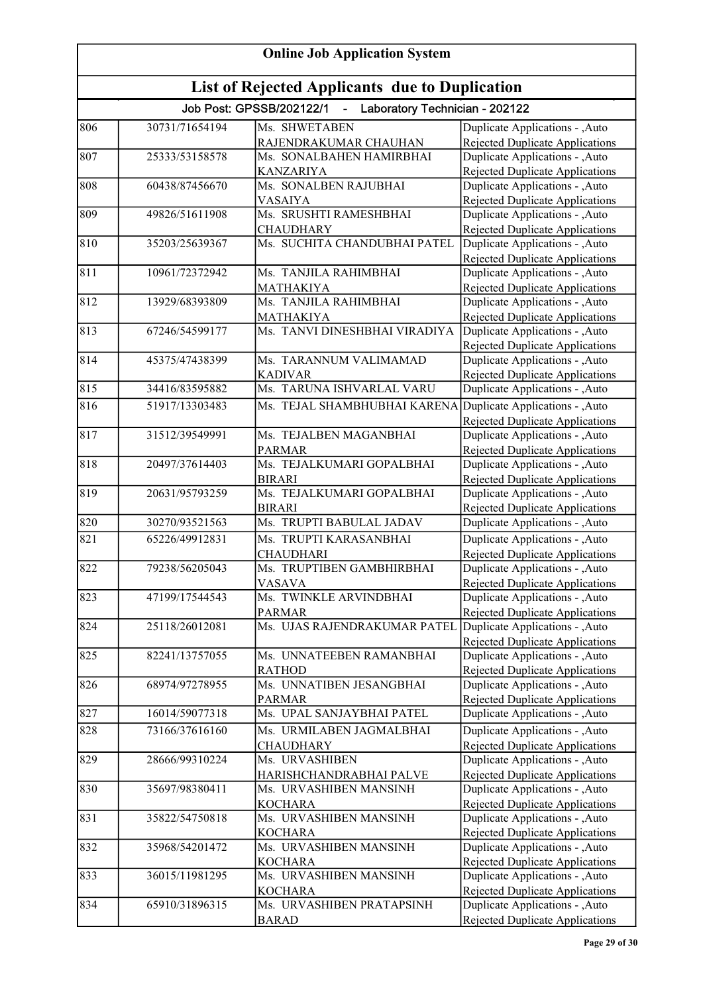| <b>Online Job Application System</b>                  |                |                                                            |                                                                          |  |
|-------------------------------------------------------|----------------|------------------------------------------------------------|--------------------------------------------------------------------------|--|
| <b>List of Rejected Applicants due to Duplication</b> |                |                                                            |                                                                          |  |
|                                                       |                | Job Post: GPSSB/202122/1<br>Laboratory Technician - 202122 |                                                                          |  |
| 806                                                   | 30731/71654194 | Ms. SHWETABEN                                              | Duplicate Applications - , Auto                                          |  |
|                                                       |                | RAJENDRAKUMAR CHAUHAN                                      | Rejected Duplicate Applications                                          |  |
| 807                                                   | 25333/53158578 | Ms. SONALBAHEN HAMIRBHAI                                   | Duplicate Applications - ,Auto                                           |  |
|                                                       |                | <b>KANZARIYA</b>                                           | <b>Rejected Duplicate Applications</b>                                   |  |
| 808                                                   | 60438/87456670 | Ms. SONALBEN RAJUBHAI                                      | Duplicate Applications - ,Auto                                           |  |
|                                                       |                | <b>VASAIYA</b>                                             | Rejected Duplicate Applications                                          |  |
| 809                                                   | 49826/51611908 | Ms. SRUSHTI RAMESHBHAI                                     | Duplicate Applications - ,Auto                                           |  |
| 810                                                   | 35203/25639367 | <b>CHAUDHARY</b><br>Ms. SUCHITA CHANDUBHAI PATEL           | Rejected Duplicate Applications<br>Duplicate Applications - ,Auto        |  |
|                                                       |                |                                                            | Rejected Duplicate Applications                                          |  |
| 811                                                   | 10961/72372942 | Ms. TANJILA RAHIMBHAI                                      | Duplicate Applications - ,Auto                                           |  |
|                                                       |                | <b>MATHAKIYA</b>                                           | Rejected Duplicate Applications                                          |  |
| 812                                                   | 13929/68393809 | Ms. TANJILA RAHIMBHAI                                      | Duplicate Applications - , Auto                                          |  |
|                                                       |                | <b>MATHAKIYA</b>                                           | <b>Rejected Duplicate Applications</b>                                   |  |
| 813                                                   | 67246/54599177 | Ms. TANVI DINESHBHAI VIRADIYA                              | Duplicate Applications - ,Auto                                           |  |
|                                                       |                |                                                            | Rejected Duplicate Applications                                          |  |
| 814                                                   | 45375/47438399 | Ms. TARANNUM VALIMAMAD                                     | Duplicate Applications - , Auto                                          |  |
|                                                       |                | <b>KADIVAR</b>                                             | <b>Rejected Duplicate Applications</b>                                   |  |
| 815                                                   | 34416/83595882 | Ms. TARUNA ISHVARLAL VARU                                  | Duplicate Applications - , Auto                                          |  |
| 816                                                   | 51917/13303483 | Ms. TEJAL SHAMBHUBHAI KARENA                               | Duplicate Applications - , Auto                                          |  |
|                                                       |                |                                                            | Rejected Duplicate Applications                                          |  |
| 817                                                   | 31512/39549991 | Ms. TEJALBEN MAGANBHAI                                     | Duplicate Applications - , Auto                                          |  |
|                                                       |                | <b>PARMAR</b>                                              | Rejected Duplicate Applications                                          |  |
| 818                                                   | 20497/37614403 | Ms. TEJALKUMARI GOPALBHAI                                  | Duplicate Applications - , Auto                                          |  |
| 819                                                   | 20631/95793259 | <b>BIRARI</b><br>Ms. TEJALKUMARI GOPALBHAI                 | <b>Rejected Duplicate Applications</b><br>Duplicate Applications - ,Auto |  |
|                                                       |                | <b>BIRARI</b>                                              | <b>Rejected Duplicate Applications</b>                                   |  |
| 820                                                   | 30270/93521563 | Ms. TRUPTI BABULAL JADAV                                   | Duplicate Applications - ,Auto                                           |  |
| 821                                                   | 65226/49912831 | Ms. TRUPTI KARASANBHAI                                     | Duplicate Applications - ,Auto                                           |  |
|                                                       |                | <b>CHAUDHARI</b>                                           | <b>Rejected Duplicate Applications</b>                                   |  |
| 822                                                   | 79238/56205043 | Ms. TRUPTIBEN GAMBHIRBHAI                                  | Duplicate Applications - , Auto                                          |  |
|                                                       |                | <b>VASAVA</b>                                              | Rejected Duplicate Applications                                          |  |
| 823                                                   | 47199/17544543 | Ms. TWINKLE ARVINDBHAI                                     | Duplicate Applications - , Auto                                          |  |
|                                                       |                | <b>PARMAR</b>                                              | <b>Rejected Duplicate Applications</b>                                   |  |
| 824                                                   | 25118/26012081 | Ms. UJAS RAJENDRAKUMAR PATEL                               | Duplicate Applications - , Auto                                          |  |
|                                                       |                |                                                            | <b>Rejected Duplicate Applications</b>                                   |  |
| 825                                                   | 82241/13757055 | Ms. UNNATEEBEN RAMANBHAI                                   | Duplicate Applications - , Auto                                          |  |
|                                                       |                | <b>RATHOD</b>                                              | Rejected Duplicate Applications                                          |  |
| 826                                                   | 68974/97278955 | Ms. UNNATIBEN JESANGBHAI                                   | Duplicate Applications - , Auto                                          |  |
| 827                                                   | 16014/59077318 | <b>PARMAR</b><br>Ms. UPAL SANJAYBHAI PATEL                 | Rejected Duplicate Applications<br>Duplicate Applications - , Auto       |  |
|                                                       |                |                                                            |                                                                          |  |
| 828                                                   | 73166/37616160 | Ms. URMILABEN JAGMALBHAI                                   | Duplicate Applications - ,Auto                                           |  |
| 829                                                   | 28666/99310224 | <b>CHAUDHARY</b><br>Ms. URVASHIBEN                         | Rejected Duplicate Applications<br>Duplicate Applications - , Auto       |  |
|                                                       |                | HARISHCHANDRABHAI PALVE                                    | Rejected Duplicate Applications                                          |  |
| 830                                                   | 35697/98380411 | Ms. URVASHIBEN MANSINH                                     | Duplicate Applications - , Auto                                          |  |
|                                                       |                | <b>KOCHARA</b>                                             | Rejected Duplicate Applications                                          |  |
| 831                                                   | 35822/54750818 | Ms. URVASHIBEN MANSINH                                     | Duplicate Applications - , Auto                                          |  |
|                                                       |                | <b>KOCHARA</b>                                             | Rejected Duplicate Applications                                          |  |
| 832                                                   | 35968/54201472 | Ms. URVASHIBEN MANSINH                                     | Duplicate Applications - , Auto                                          |  |
|                                                       |                | <b>KOCHARA</b>                                             | <b>Rejected Duplicate Applications</b>                                   |  |
| 833                                                   | 36015/11981295 | Ms. URVASHIBEN MANSINH                                     | Duplicate Applications - , Auto                                          |  |
|                                                       |                | <b>KOCHARA</b>                                             | <b>Rejected Duplicate Applications</b>                                   |  |
| 834                                                   | 65910/31896315 | Ms. URVASHIBEN PRATAPSINH                                  | Duplicate Applications - , Auto                                          |  |
|                                                       |                | <b>BARAD</b>                                               | Rejected Duplicate Applications                                          |  |